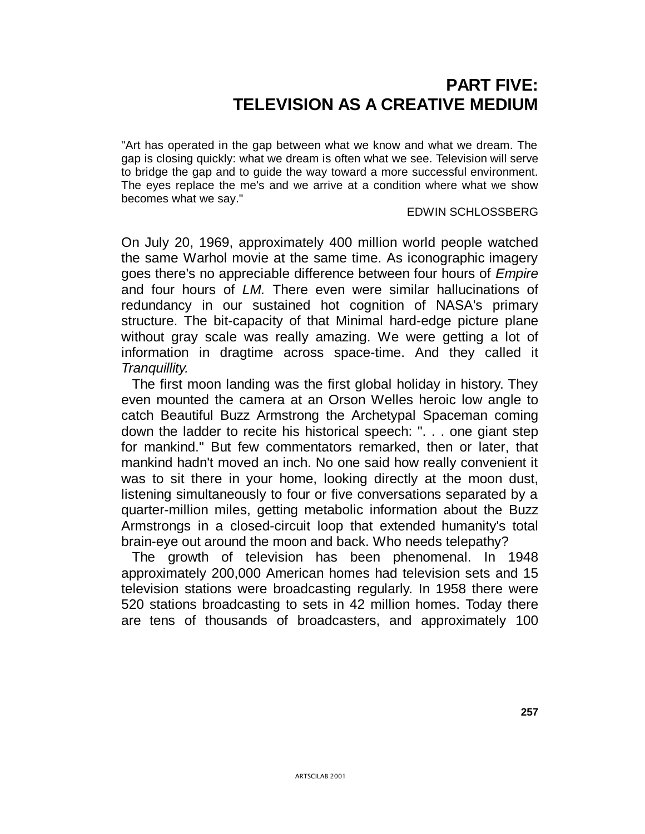# **PART FIVE: TELEVISION AS A CREATIVE MEDIUM**

"Art has operated in the gap between what we know and what we dream. The gap is closing quickly: what we dream is often what we see. Television will serve to bridge the gap and to guide the way toward a more successful environment. The eyes replace the me's and we arrive at a condition where what we show becomes what we say."

### EDWIN SCHLOSSBERG

On July 20, 1969, approximately 400 million world people watched the same Warhol movie at the same time. As iconographic imagery goes there's no appreciable difference between four hours of *Empire*  and four hours of *LM.* There even were similar hallucinations of redundancy in our sustained hot cognition of NASA's primary structure. The bit-capacity of that Minimal hard-edge picture plane without gray scale was really amazing. We were getting a lot of information in dragtime across space-time. And they called it *Tranquillity.*

The first moon landing was the first global holiday in history. They even mounted the camera at an Orson Welles heroic low angle to catch Beautiful Buzz Armstrong the Archetypal Spaceman coming down the ladder to recite his historical speech: ". . . one giant step for mankind.'' But few commentators remarked, then or later, that mankind hadn't moved an inch. No one said how really convenient it was to sit there in your home, looking directly at the moon dust, listening simultaneously to four or five conversations separated by a quarter-million miles, getting metabolic information about the Buzz Armstrongs in a closed-circuit loop that extended humanity's total brain-eye out around the moon and back. Who needs telepathy?

The growth of television has been phenomenal. In 1948 approximately 200,000 American homes had television sets and 15 television stations were broadcasting regularly. In 1958 there were 520 stations broadcasting to sets in 42 million homes. Today there are tens of thousands of broadcasters, and approximately 100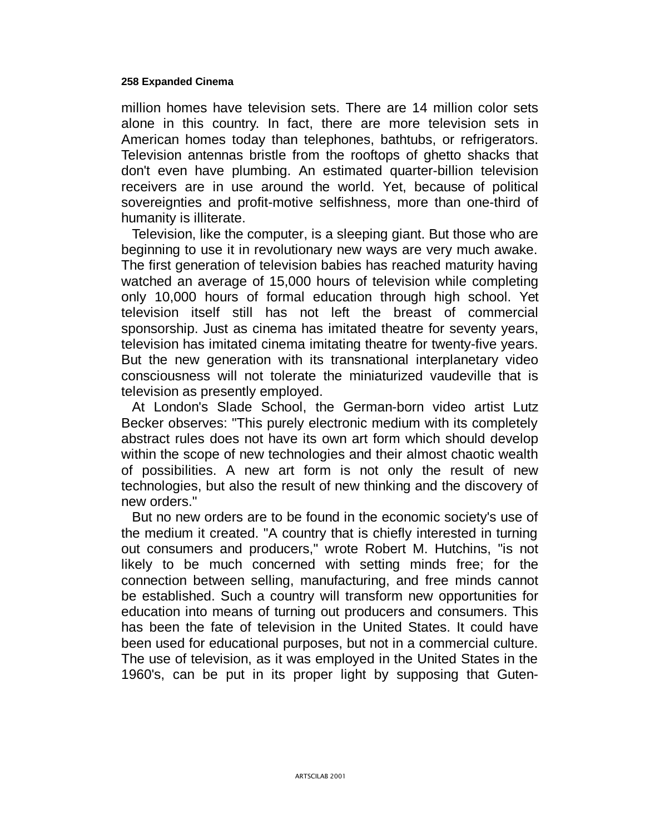million homes have television sets. There are 14 million color sets alone in this country. In fact, there are more television sets in American homes today than telephones, bathtubs, or refrigerators. Television antennas bristle from the rooftops of ghetto shacks that don't even have plumbing. An estimated quarter-billion television receivers are in use around the world. Yet, because of political sovereignties and profit-motive selfishness, more than one-third of humanity is illiterate.

Television, like the computer, is a sleeping giant. But those who are beginning to use it in revolutionary new ways are very much awake. The first generation of television babies has reached maturity having watched an average of 15,000 hours of television while completing only 10,000 hours of formal education through high school. Yet television itself still has not left the breast of commercial sponsorship. Just as cinema has imitated theatre for seventy years, television has imitated cinema imitating theatre for twenty-five years. But the new generation with its transnational interplanetary video consciousness will not tolerate the miniaturized vaudeville that is television as presently employed.

At London's Slade School, the German-born video artist Lutz Becker observes: "This purely electronic medium with its completely abstract rules does not have its own art form which should develop within the scope of new technologies and their almost chaotic wealth of possibilities. A new art form is not only the result of new technologies, but also the result of new thinking and the discovery of new orders."

But no new orders are to be found in the economic society's use of the medium it created. "A country that is chiefly interested in turning out consumers and producers," wrote Robert M. Hutchins, "is not likely to be much concerned with setting minds free; for the connection between selling, manufacturing, and free minds cannot be established. Such a country will transform new opportunities for education into means of turning out producers and consumers. This has been the fate of television in the United States. It could have been used for educational purposes, but not in a commercial culture. The use of television, as it was employed in the United States in the 1960's, can be put in its proper light by supposing that Guten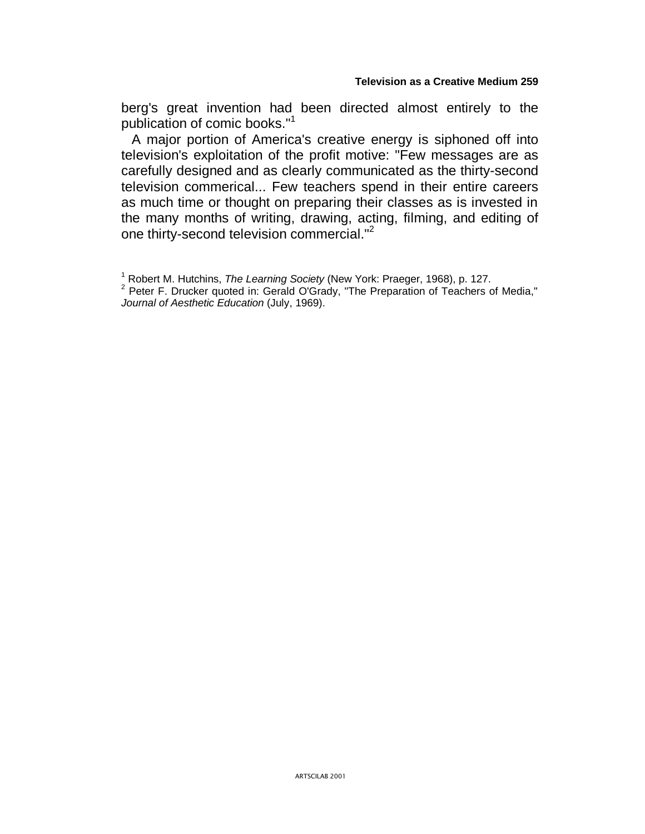berg's great invention had been directed almost entirely to the publication of comic books."<sup>1</sup>

A major portion of America's creative energy is siphoned off into television's exploitation of the profit motive: "Few messages are as carefully designed and as clearly communicated as the thirty-second television commerical... Few teachers spend in their entire careers as much time or thought on preparing their classes as is invested in the many months of writing, drawing, acting, filming, and editing of one thirty-second television commercial."<sup>2</sup>

<sup>&</sup>lt;sup>1</sup> Robert M. Hutchins, *The Learning Society* (New York: Praeger, 1968), p. 127.

<sup>&</sup>lt;sup>2</sup> Peter F. Drucker quoted in: Gerald O'Grady, "The Preparation of Teachers of Media," *Journal of Aesthetic Education* (July, 1969).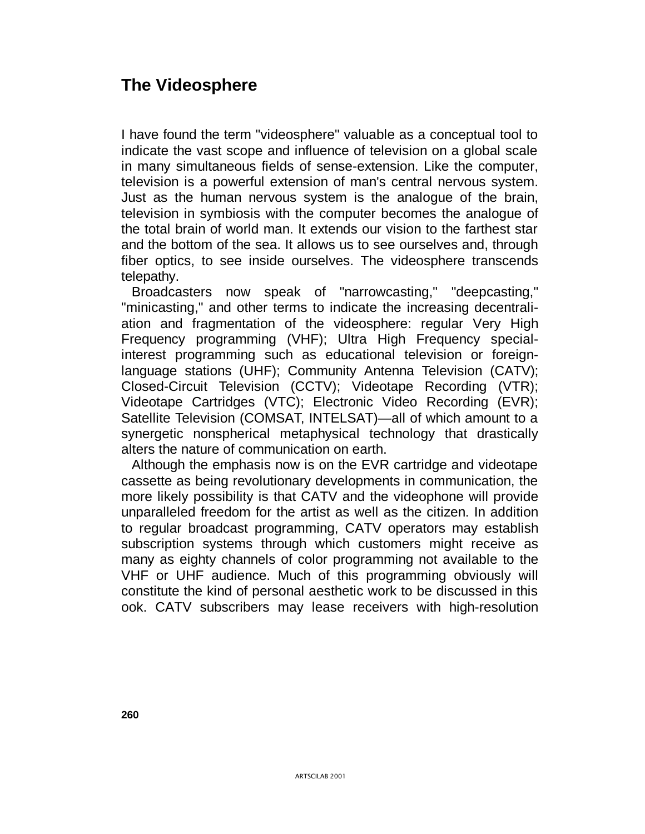# **The Videosphere**

I have found the term "videosphere" valuable as a conceptual tool to indicate the vast scope and influence of television on a global scale in many simultaneous fields of sense-extension. Like the computer, television is a powerful extension of man's central nervous system. Just as the human nervous system is the analogue of the brain, television in symbiosis with the computer becomes the analogue of the total brain of world man. It extends our vision to the farthest star and the bottom of the sea. It allows us to see ourselves and, through fiber optics, to see inside ourselves. The videosphere transcends telepathy.

Broadcasters now speak of "narrowcasting," "deepcasting," "minicasting," and other terms to indicate the increasing decentraliation and fragmentation of the videosphere: regular Very High Frequency programming (VHF); Ultra High Frequency specialinterest programming such as educational television or foreignlanguage stations (UHF); Community Antenna Television (CATV); Closed-Circuit Television (CCTV); Videotape Recording (VTR); Videotape Cartridges (VTC); Electronic Video Recording (EVR); Satellite Television (COMSAT, INTELSAT)— all of which amount to a synergetic nonspherical metaphysical technology that drastically alters the nature of communication on earth.

Although the emphasis now is on the EVR cartridge and videotape cassette as being revolutionary developments in communication, the more likely possibility is that CATV and the videophone will provide unparalleled freedom for the artist as well as the citizen. In addition to regular broadcast programming, CATV operators may establish subscription systems through which customers might receive as many as eighty channels of color programming not available to the VHF or UHF audience. Much of this programming obviously will constitute the kind of personal aesthetic work to be discussed in this ook. CATV subscribers may lease receivers with high-resolution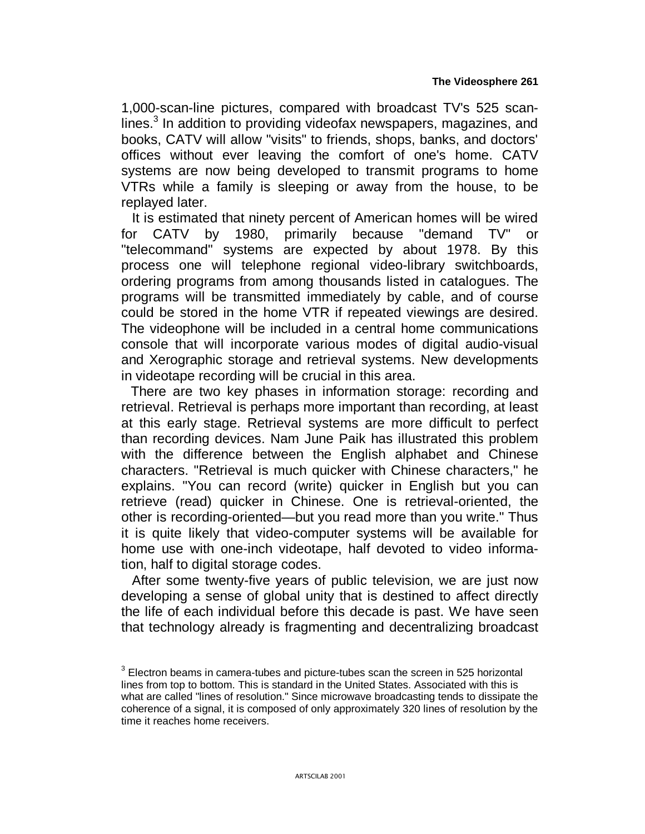1,000-scan-line pictures, compared with broadcast TV's 525 scanlines. $3$  In addition to providing videofax newspapers, magazines, and books, CATV will allow "visits" to friends, shops, banks, and doctors' offices without ever leaving the comfort of one's home. CATV systems are now being developed to transmit programs to home VTRs while a family is sleeping or away from the house, to be replayed later.

It is estimated that ninety percent of American homes will be wired for CATV by 1980, primarily because "demand TV" or "telecommand" systems are expected by about 1978. By this process one will telephone regional video-library switchboards, ordering programs from among thousands listed in catalogues. The programs will be transmitted immediately by cable, and of course could be stored in the home VTR if repeated viewings are desired. The videophone will be included in a central home communications console that will incorporate various modes of digital audio-visual and Xerographic storage and retrieval systems. New developments in videotape recording will be crucial in this area.

There are two key phases in information storage: recording and retrieval. Retrieval is perhaps more important than recording, at least at this early stage. Retrieval systems are more difficult to perfect than recording devices. Nam June Paik has illustrated this problem with the difference between the English alphabet and Chinese characters. "Retrieval is much quicker with Chinese characters," he explains. "You can record (write) quicker in English but you can retrieve (read) quicker in Chinese. One is retrieval-oriented, the other is recording-oriented— but you read more than you write." Thus it is quite likely that video-computer systems will be available for home use with one-inch videotape, half devoted to video information, half to digital storage codes.

After some twenty-five years of public television, we are just now developing a sense of global unity that is destined to affect directly the life of each individual before this decade is past. We have seen that technology already is fragmenting and decentralizing broadcast

 $3$  Electron beams in camera-tubes and picture-tubes scan the screen in 525 horizontal lines from top to bottom. This is standard in the United States. Associated with this is what are called "lines of resolution." Since microwave broadcasting tends to dissipate the coherence of a signal, it is composed of only approximately 320 lines of resolution by the time it reaches home receivers.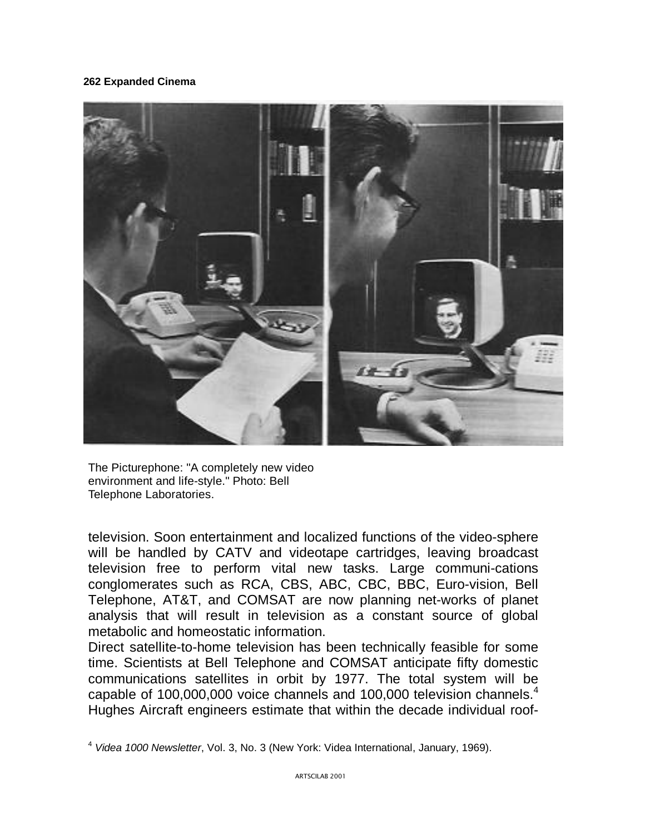

The Picturephone: "A completely new video environment and life-style." Photo: Bell Telephone Laboratories.

television. Soon entertainment and localized functions of the video-sphere will be handled by CATV and videotape cartridges, leaving broadcast television free to perform vital new tasks. Large communi-cations conglomerates such as RCA, CBS, ABC, CBC, BBC, Euro-vision, Bell Telephone, AT&T, and COMSAT are now planning net-works of planet analysis that will result in television as a constant source of global metabolic and homeostatic information.

Direct satellite-to-home television has been technically feasible for some time. Scientists at Bell Telephone and COMSAT anticipate fifty domestic communications satellites in orbit by 1977. The total system will be capable of 100,000,000 voice channels and 100,000 television channels.<sup>4</sup> Hughes Aircraft engineers estimate that within the decade individual roof-

<sup>4</sup> *Videa 1000 Newsletter*, Vol. 3, No. 3 (New York: Videa International, January, 1969).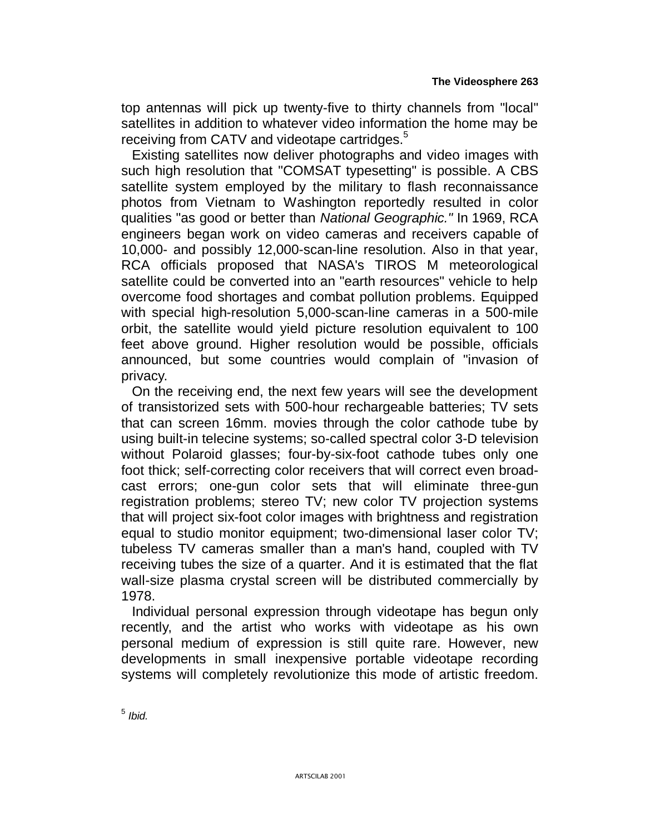top antennas will pick up twenty-five to thirty channels from "local" satellites in addition to whatever video information the home may be receiving from CATV and videotape cartridges.<sup>5</sup>

Existing satellites now deliver photographs and video images with such high resolution that "COMSAT typesetting" is possible. A CBS satellite system employed by the military to flash reconnaissance photos from Vietnam to Washington reportedly resulted in color qualities "as good or better than *National Geographic."* In 1969, RCA engineers began work on video cameras and receivers capable of 10,000- and possibly 12,000-scan-line resolution. Also in that year, RCA officials proposed that NASA's TIROS M meteorological satellite could be converted into an "earth resources" vehicle to help overcome food shortages and combat pollution problems. Equipped with special high-resolution 5,000-scan-line cameras in a 500-mile orbit, the satellite would yield picture resolution equivalent to 100 feet above ground. Higher resolution would be possible, officials announced, but some countries would complain of "invasion of privacy.

On the receiving end, the next few years will see the development of transistorized sets with 500-hour rechargeable batteries; TV sets that can screen 16mm. movies through the color cathode tube by using built-in telecine systems; so-called spectral color 3-D television without Polaroid glasses; four-by-six-foot cathode tubes only one foot thick; self-correcting color receivers that will correct even broadcast errors; one-gun color sets that will eliminate three-gun registration problems; stereo TV; new color TV projection systems that will project six-foot color images with brightness and registration equal to studio monitor equipment; two-dimensional laser color TV; tubeless TV cameras smaller than a man's hand, coupled with TV receiving tubes the size of a quarter. And it is estimated that the flat wall-size plasma crystal screen will be distributed commercially by 1978.

Individual personal expression through videotape has begun only recently, and the artist who works with videotape as his own personal medium of expression is still quite rare. However, new developments in small inexpensive portable videotape recording systems will completely revolutionize this mode of artistic freedom.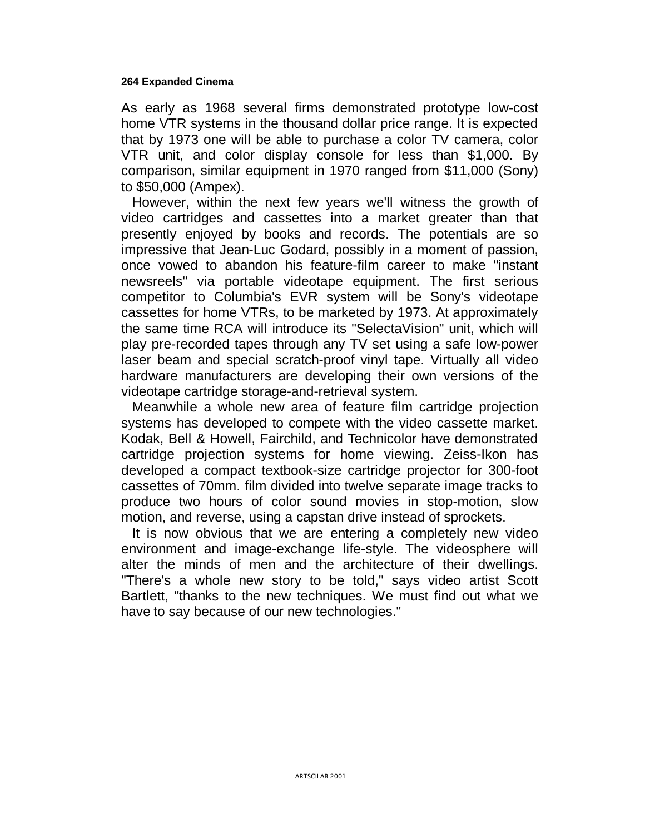As early as 1968 several firms demonstrated prototype low-cost home VTR systems in the thousand dollar price range. It is expected that by 1973 one will be able to purchase a color TV camera, color VTR unit, and color display console for less than \$1,000. By comparison, similar equipment in 1970 ranged from \$11,000 (Sony) to \$50,000 (Ampex).

However, within the next few years we'll witness the growth of video cartridges and cassettes into a market greater than that presently enjoyed by books and records. The potentials are so impressive that Jean-Luc Godard, possibly in a moment of passion, once vowed to abandon his feature-film career to make "instant newsreels" via portable videotape equipment. The first serious competitor to Columbia's EVR system will be Sony's videotape cassettes for home VTRs, to be marketed by 1973. At approximately the same time RCA will introduce its "SelectaVision" unit, which will play pre-recorded tapes through any TV set using a safe low-power laser beam and special scratch-proof vinyl tape. Virtually all video hardware manufacturers are developing their own versions of the videotape cartridge storage-and-retrieval system.

Meanwhile a whole new area of feature film cartridge projection systems has developed to compete with the video cassette market. Kodak, Bell & Howell, Fairchild, and Technicolor have demonstrated cartridge projection systems for home viewing. Zeiss-Ikon has developed a compact textbook-size cartridge projector for 300-foot cassettes of 70mm. film divided into twelve separate image tracks to produce two hours of color sound movies in stop-motion, slow motion, and reverse, using a capstan drive instead of sprockets.

It is now obvious that we are entering a completely new video environment and image-exchange life-style. The videosphere will alter the minds of men and the architecture of their dwellings. "There's a whole new story to be told," says video artist Scott Bartlett, "thanks to the new techniques. We must find out what we have to say because of our new technologies."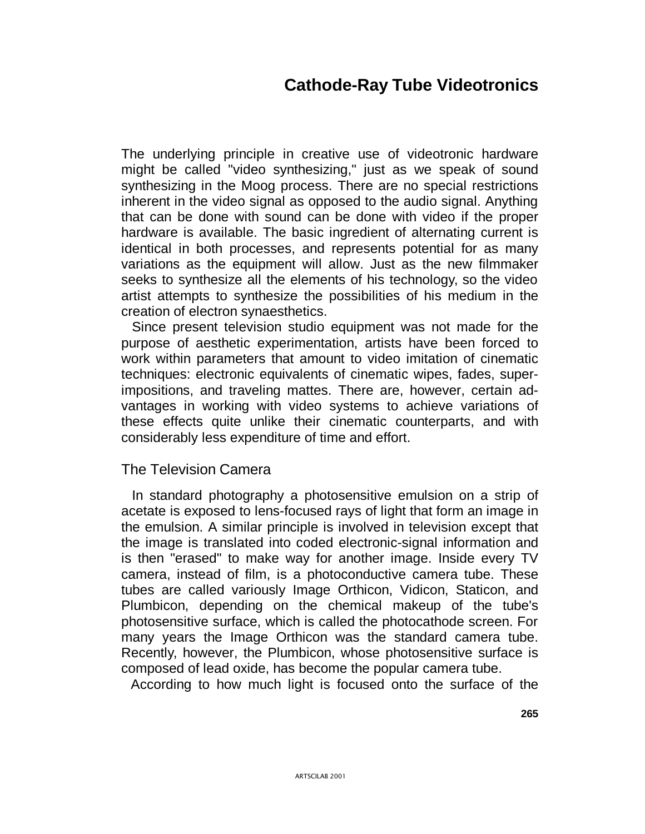# **Cathode-Ray Tube Videotronics**

The underlying principle in creative use of videotronic hardware might be called "video synthesizing," just as we speak of sound synthesizing in the Moog process. There are no special restrictions inherent in the video signal as opposed to the audio signal. Anything that can be done with sound can be done with video if the proper hardware is available. The basic ingredient of alternating current is identical in both processes, and represents potential for as many variations as the equipment will allow. Just as the new filmmaker seeks to synthesize all the elements of his technology, so the video artist attempts to synthesize the possibilities of his medium in the creation of electron synaesthetics.

Since present television studio equipment was not made for the purpose of aesthetic experimentation, artists have been forced to work within parameters that amount to video imitation of cinematic techniques: electronic equivalents of cinematic wipes, fades, superimpositions, and traveling mattes. There are, however, certain advantages in working with video systems to achieve variations of these effects quite unlike their cinematic counterparts, and with considerably less expenditure of time and effort.

### The Television Camera

In standard photography a photosensitive emulsion on a strip of acetate is exposed to lens-focused rays of light that form an image in the emulsion. A similar principle is involved in television except that the image is translated into coded electronic-signal information and is then "erased" to make way for another image. Inside every TV camera, instead of film, is a photoconductive camera tube. These tubes are called variously Image Orthicon, Vidicon, Staticon, and Plumbicon, depending on the chemical makeup of the tube's photosensitive surface, which is called the photocathode screen. For many years the Image Orthicon was the standard camera tube. Recently, however, the Plumbicon, whose photosensitive surface is composed of lead oxide, has become the popular camera tube.

According to how much light is focused onto the surface of the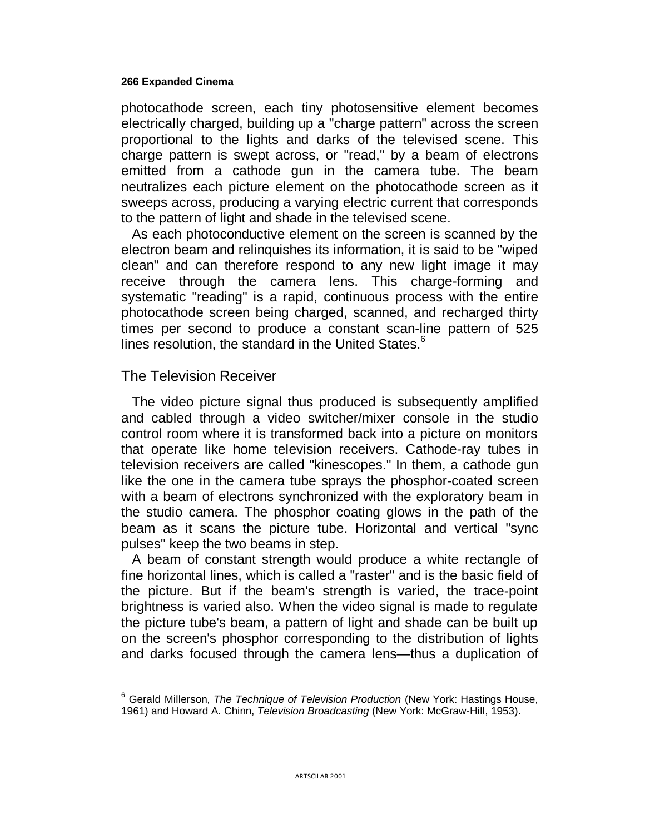photocathode screen, each tiny photosensitive element becomes electrically charged, building up a "charge pattern" across the screen proportional to the lights and darks of the televised scene. This charge pattern is swept across, or "read," by a beam of electrons emitted from a cathode gun in the camera tube. The beam neutralizes each picture element on the photocathode screen as it sweeps across, producing a varying electric current that corresponds to the pattern of light and shade in the televised scene.

As each photoconductive element on the screen is scanned by the electron beam and relinquishes its information, it is said to be "wiped clean" and can therefore respond to any new light image it may receive through the camera lens. This charge-forming and systematic "reading" is a rapid, continuous process with the entire photocathode screen being charged, scanned, and recharged thirty times per second to produce a constant scan-line pattern of 525 lines resolution, the standard in the United States.<sup>6</sup>

### The Television Receiver

The video picture signal thus produced is subsequently amplified and cabled through a video switcher/mixer console in the studio control room where it is transformed back into a picture on monitors that operate like home television receivers. Cathode-ray tubes in television receivers are called "kinescopes." In them, a cathode gun like the one in the camera tube sprays the phosphor-coated screen with a beam of electrons synchronized with the exploratory beam in the studio camera. The phosphor coating glows in the path of the beam as it scans the picture tube. Horizontal and vertical "sync pulses" keep the two beams in step.

A beam of constant strength would produce a white rectangle of fine horizontal lines, which is called a "raster" and is the basic field of the picture. But if the beam's strength is varied, the trace-point brightness is varied also. When the video signal is made to regulate the picture tube's beam, a pattern of light and shade can be built up on the screen's phosphor corresponding to the distribution of lights and darks focused through the camera lens— thus a duplication of

<sup>&</sup>lt;sup>6</sup> Gerald Millerson, *The Technique of Television Production* (New York: Hastings House,

<sup>1961)</sup> and Howard A. Chinn, *Television Broadcasting* (New York: McGraw-Hill, 1953).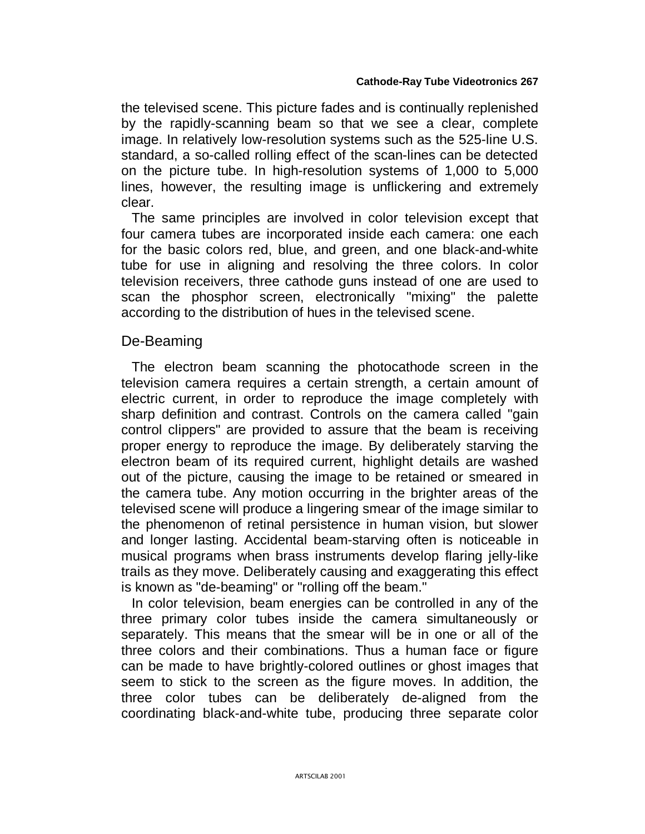the televised scene. This picture fades and is continually replenished by the rapidly-scanning beam so that we see a clear, complete image. In relatively low-resolution systems such as the 525-line U.S. standard, a so-called rolling effect of the scan-lines can be detected on the picture tube. In high-resolution systems of 1,000 to 5,000 lines, however, the resulting image is unflickering and extremely clear.

The same principles are involved in color television except that four camera tubes are incorporated inside each camera: one each for the basic colors red, blue, and green, and one black-and-white tube for use in aligning and resolving the three colors. In color television receivers, three cathode guns instead of one are used to scan the phosphor screen, electronically "mixing" the palette according to the distribution of hues in the televised scene.

# De-Beaming

The electron beam scanning the photocathode screen in the television camera requires a certain strength, a certain amount of electric current, in order to reproduce the image completely with sharp definition and contrast. Controls on the camera called "gain control clippers" are provided to assure that the beam is receiving proper energy to reproduce the image. By deliberately starving the electron beam of its required current, highlight details are washed out of the picture, causing the image to be retained or smeared in the camera tube. Any motion occurring in the brighter areas of the televised scene will produce a lingering smear of the image similar to the phenomenon of retinal persistence in human vision, but slower and longer lasting. Accidental beam-starving often is noticeable in musical programs when brass instruments develop flaring jelly-like trails as they move. Deliberately causing and exaggerating this effect is known as "de-beaming" or "rolling off the beam."

In color television, beam energies can be controlled in any of the three primary color tubes inside the camera simultaneously or separately. This means that the smear will be in one or all of the three colors and their combinations. Thus a human face or figure can be made to have brightly-colored outlines or ghost images that seem to stick to the screen as the figure moves. In addition, the three color tubes can be deliberately de-aligned from the coordinating black-and-white tube, producing three separate color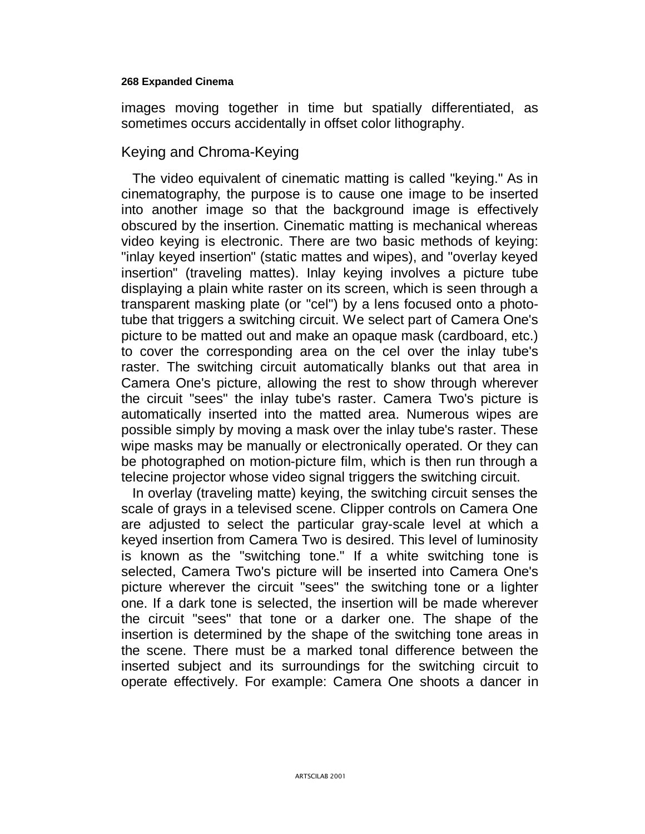images moving together in time but spatially differentiated, as sometimes occurs accidentally in offset color lithography.

## Keying and Chroma-Keying

The video equivalent of cinematic matting is called "keying." As in cinematography, the purpose is to cause one image to be inserted into another image so that the background image is effectively obscured by the insertion. Cinematic matting is mechanical whereas video keying is electronic. There are two basic methods of keying: "inlay keyed insertion" (static mattes and wipes), and "overlay keyed insertion" (traveling mattes). Inlay keying involves a picture tube displaying a plain white raster on its screen, which is seen through a transparent masking plate (or "cel") by a lens focused onto a phototube that triggers a switching circuit. We select part of Camera One's picture to be matted out and make an opaque mask (cardboard, etc.) to cover the corresponding area on the cel over the inlay tube's raster. The switching circuit automatically blanks out that area in Camera One's picture, allowing the rest to show through wherever the circuit "sees" the inlay tube's raster. Camera Two's picture is automatically inserted into the matted area. Numerous wipes are possible simply by moving a mask over the inlay tube's raster. These wipe masks may be manually or electronically operated. Or they can be photographed on motion-picture film, which is then run through a telecine projector whose video signal triggers the switching circuit.

In overlay (traveling matte) keying, the switching circuit senses the scale of grays in a televised scene. Clipper controls on Camera One are adjusted to select the particular gray-scale level at which a keyed insertion from Camera Two is desired. This level of luminosity is known as the "switching tone." If a white switching tone is selected, Camera Two's picture will be inserted into Camera One's picture wherever the circuit "sees" the switching tone or a lighter one. If a dark tone is selected, the insertion will be made wherever the circuit "sees" that tone or a darker one. The shape of the insertion is determined by the shape of the switching tone areas in the scene. There must be a marked tonal difference between the inserted subject and its surroundings for the switching circuit to operate effectively. For example: Camera One shoots a dancer in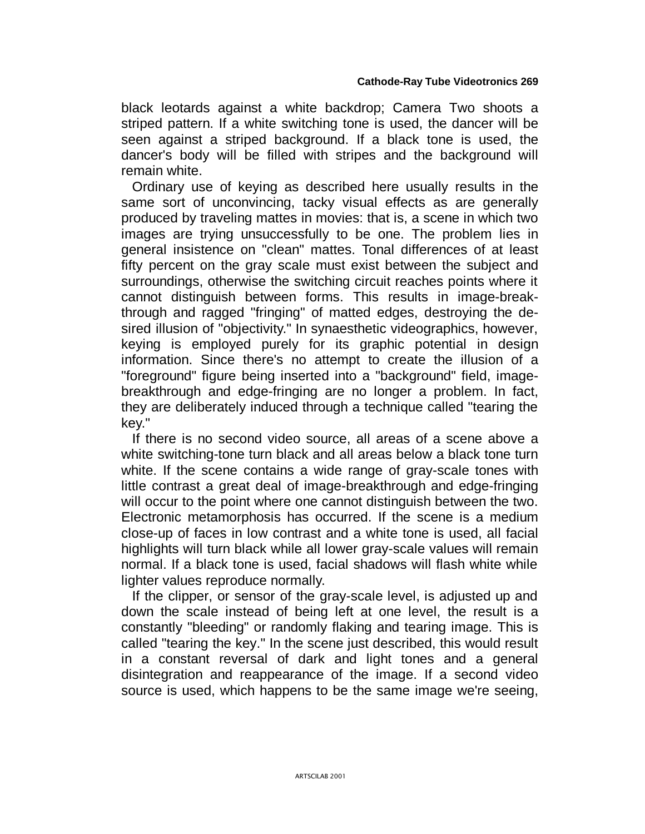black leotards against a white backdrop; Camera Two shoots a striped pattern. If a white switching tone is used, the dancer will be seen against a striped background. If a black tone is used, the dancer's body will be filled with stripes and the background will remain white.

Ordinary use of keying as described here usually results in the same sort of unconvincing, tacky visual effects as are generally produced by traveling mattes in movies: that is, a scene in which two images are trying unsuccessfully to be one. The problem lies in general insistence on "clean" mattes. Tonal differences of at least fifty percent on the gray scale must exist between the subject and surroundings, otherwise the switching circuit reaches points where it cannot distinguish between forms. This results in image-breakthrough and ragged "fringing" of matted edges, destroying the desired illusion of "objectivity." In synaesthetic videographics, however, keying is employed purely for its graphic potential in design information. Since there's no attempt to create the illusion of a "foreground" figure being inserted into a "background" field, imagebreakthrough and edge-fringing are no longer a problem. In fact, they are deliberately induced through a technique called "tearing the key."

If there is no second video source, all areas of a scene above a white switching-tone turn black and all areas below a black tone turn white. If the scene contains a wide range of gray-scale tones with little contrast a great deal of image-breakthrough and edge-fringing will occur to the point where one cannot distinguish between the two. Electronic metamorphosis has occurred. If the scene is a medium close-up of faces in low contrast and a white tone is used, all facial highlights will turn black while all lower gray-scale values will remain normal. If a black tone is used, facial shadows will flash white while lighter values reproduce normally.

If the clipper, or sensor of the gray-scale level, is adjusted up and down the scale instead of being left at one level, the result is a constantly "bleeding" or randomly flaking and tearing image. This is called "tearing the key." In the scene just described, this would result in a constant reversal of dark and light tones and a general disintegration and reappearance of the image. If a second video source is used, which happens to be the same image we're seeing,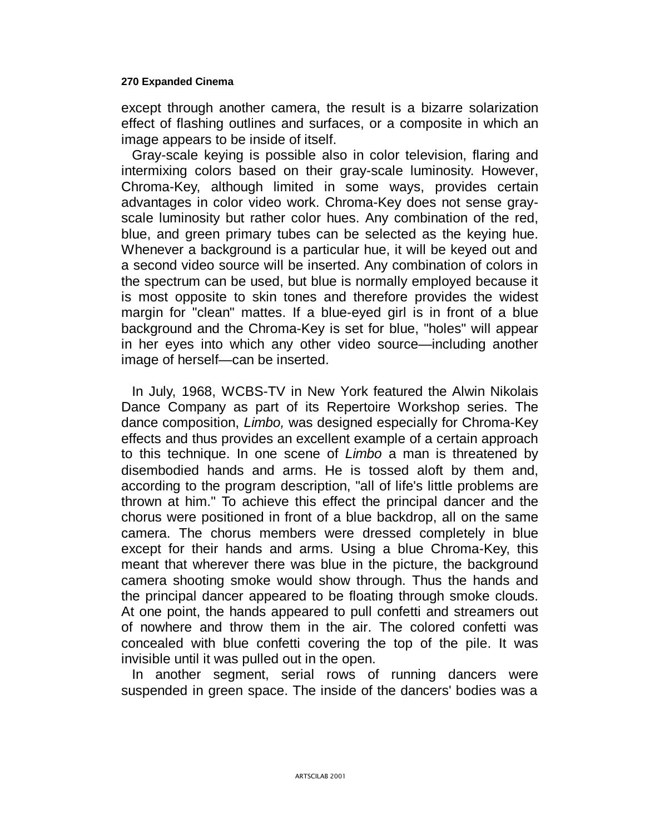except through another camera, the result is a bizarre solarization effect of flashing outlines and surfaces, or a composite in which an image appears to be inside of itself.

Gray-scale keying is possible also in color television, flaring and intermixing colors based on their gray-scale luminosity. However, Chroma-Key, although limited in some ways, provides certain advantages in color video work. Chroma-Key does not sense grayscale luminosity but rather color hues. Any combination of the red, blue, and green primary tubes can be selected as the keying hue. Whenever a background is a particular hue, it will be keyed out and a second video source will be inserted. Any combination of colors in the spectrum can be used, but blue is normally employed because it is most opposite to skin tones and therefore provides the widest margin for "clean" mattes. If a blue-eyed girl is in front of a blue background and the Chroma-Key is set for blue, "holes" will appear in her eyes into which any other video source— including another image of herself-can be inserted.

In July, 1968, WCBS-TV in New York featured the Alwin Nikolais Dance Company as part of its Repertoire Workshop series. The dance composition, *Limbo,* was designed especially for Chroma-Key effects and thus provides an excellent example of a certain approach to this technique. In one scene of *Limbo* a man is threatened by disembodied hands and arms. He is tossed aloft by them and, according to the program description, "all of life's little problems are thrown at him." To achieve this effect the principal dancer and the chorus were positioned in front of a blue backdrop, all on the same camera. The chorus members were dressed completely in blue except for their hands and arms. Using a blue Chroma-Key, this meant that wherever there was blue in the picture, the background camera shooting smoke would show through. Thus the hands and the principal dancer appeared to be floating through smoke clouds. At one point, the hands appeared to pull confetti and streamers out of nowhere and throw them in the air. The colored confetti was concealed with blue confetti covering the top of the pile. It was invisible until it was pulled out in the open.

In another segment, serial rows of running dancers were suspended in green space. The inside of the dancers' bodies was a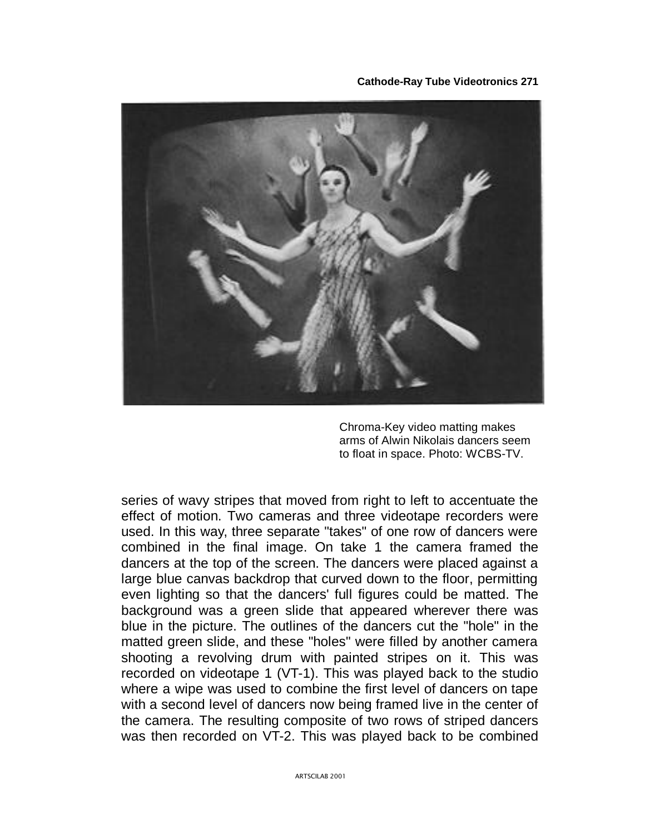#### **Cathode-Ray Tube Videotronics 271**



Chroma-Key video matting makes arms of Alwin Nikolais dancers seem to float in space. Photo: WCBS-TV.

series of wavy stripes that moved from right to left to accentuate the effect of motion. Two cameras and three videotape recorders were used. In this way, three separate "takes" of one row of dancers were combined in the final image. On take 1 the camera framed the dancers at the top of the screen. The dancers were placed against a large blue canvas backdrop that curved down to the floor, permitting even lighting so that the dancers' full figures could be matted. The background was a green slide that appeared wherever there was blue in the picture. The outlines of the dancers cut the "hole" in the matted green slide, and these "holes" were filled by another camera shooting a revolving drum with painted stripes on it. This was recorded on videotape 1 (VT-1). This was played back to the studio where a wipe was used to combine the first level of dancers on tape with a second level of dancers now being framed live in the center of the camera. The resulting composite of two rows of striped dancers was then recorded on VT-2. This was played back to be combined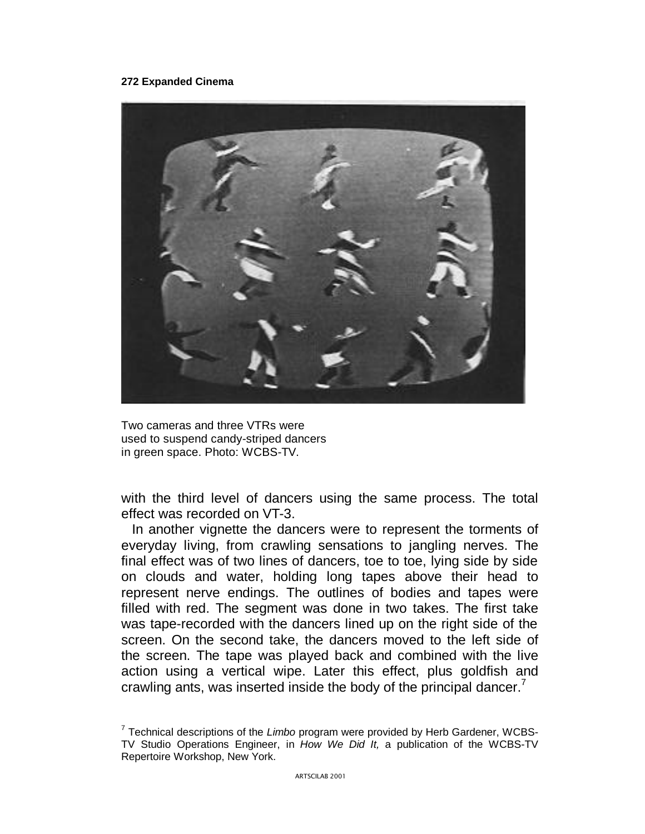

Two cameras and three VTRs were used to suspend candy-striped dancers in green space. Photo: WCBS-TV.

with the third level of dancers using the same process. The total effect was recorded on VT-3.

In another vignette the dancers were to represent the torments of everyday living, from crawling sensations to jangling nerves. The final effect was of two lines of dancers, toe to toe, lying side by side on clouds and water, holding long tapes above their head to represent nerve endings. The outlines of bodies and tapes were filled with red. The segment was done in two takes. The first take was tape-recorded with the dancers lined up on the right side of the screen. On the second take, the dancers moved to the left side of the screen. The tape was played back and combined with the live action using a vertical wipe. Later this effect, plus goldfish and crawling ants, was inserted inside the body of the principal dancer. $<sup>7</sup>$ </sup>

<sup>7</sup> Technical descriptions of the *Limbo* program were provided by Herb Gardener, WCBS-TV Studio Operations Engineer, in *How We Did It,* a publication of the WCBS-TV Repertoire Workshop, New York.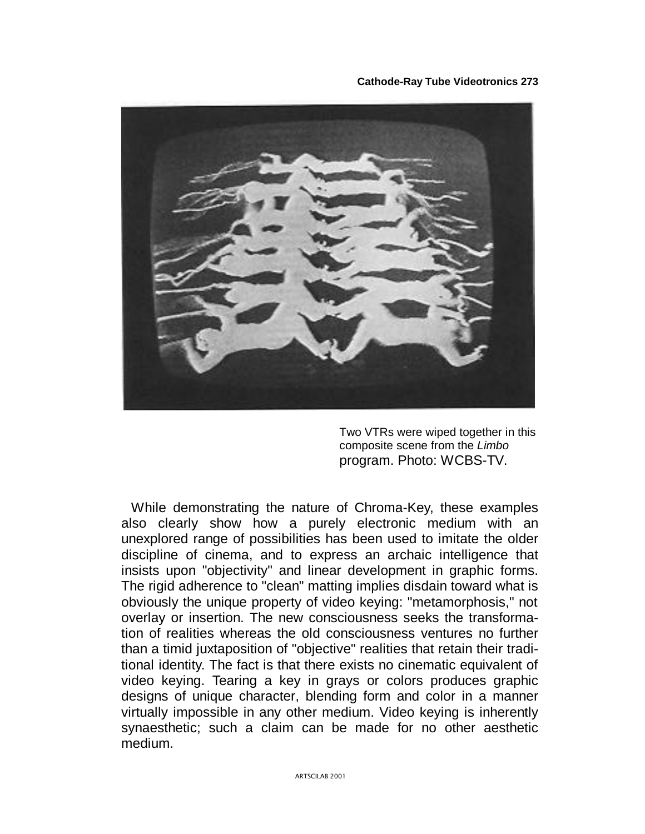#### **Cathode-Ray Tube Videotronics 273**



Two VTRs were wiped together in this composite scene from the *Limbo* program. Photo: WCBS-TV.

While demonstrating the nature of Chroma-Key, these examples also clearly show how a purely electronic medium with an unexplored range of possibilities has been used to imitate the older discipline of cinema, and to express an archaic intelligence that insists upon "objectivity" and linear development in graphic forms. The rigid adherence to "clean" matting implies disdain toward what is obviously the unique property of video keying: "metamorphosis," not overlay or insertion. The new consciousness seeks the transformation of realities whereas the old consciousness ventures no further than a timid juxtaposition of "objective" realities that retain their traditional identity. The fact is that there exists no cinematic equivalent of video keying. Tearing a key in grays or colors produces graphic designs of unique character, blending form and color in a manner virtually impossible in any other medium. Video keying is inherently synaesthetic; such a claim can be made for no other aesthetic medium.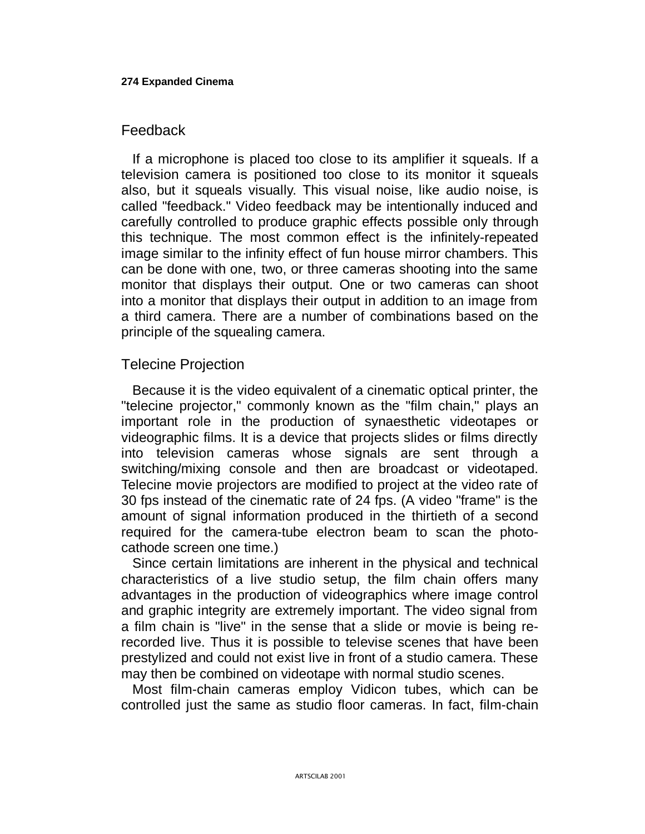### **Feedback**

If a microphone is placed too close to its amplifier it squeals. If a television camera is positioned too close to its monitor it squeals also, but it squeals visually. This visual noise, like audio noise, is called "feedback." Video feedback may be intentionally induced and carefully controlled to produce graphic effects possible only through this technique. The most common effect is the infinitely-repeated image similar to the infinity effect of fun house mirror chambers. This can be done with one, two, or three cameras shooting into the same monitor that displays their output. One or two cameras can shoot into a monitor that displays their output in addition to an image from a third camera. There are a number of combinations based on the principle of the squealing camera.

## Telecine Projection

Because it is the video equivalent of a cinematic optical printer, the "telecine projector," commonly known as the "film chain," plays an important role in the production of synaesthetic videotapes or videographic films. It is a device that projects slides or films directly into television cameras whose signals are sent through a switching/mixing console and then are broadcast or videotaped. Telecine movie projectors are modified to project at the video rate of 30 fps instead of the cinematic rate of 24 fps. (A video "frame" is the amount of signal information produced in the thirtieth of a second required for the camera-tube electron beam to scan the photocathode screen one time.)

Since certain limitations are inherent in the physical and technical characteristics of a live studio setup, the film chain offers many advantages in the production of videographics where image control and graphic integrity are extremely important. The video signal from a film chain is "live" in the sense that a slide or movie is being rerecorded live. Thus it is possible to televise scenes that have been prestylized and could not exist live in front of a studio camera. These may then be combined on videotape with normal studio scenes.

Most film-chain cameras employ Vidicon tubes, which can be controlled just the same as studio floor cameras. In fact, film-chain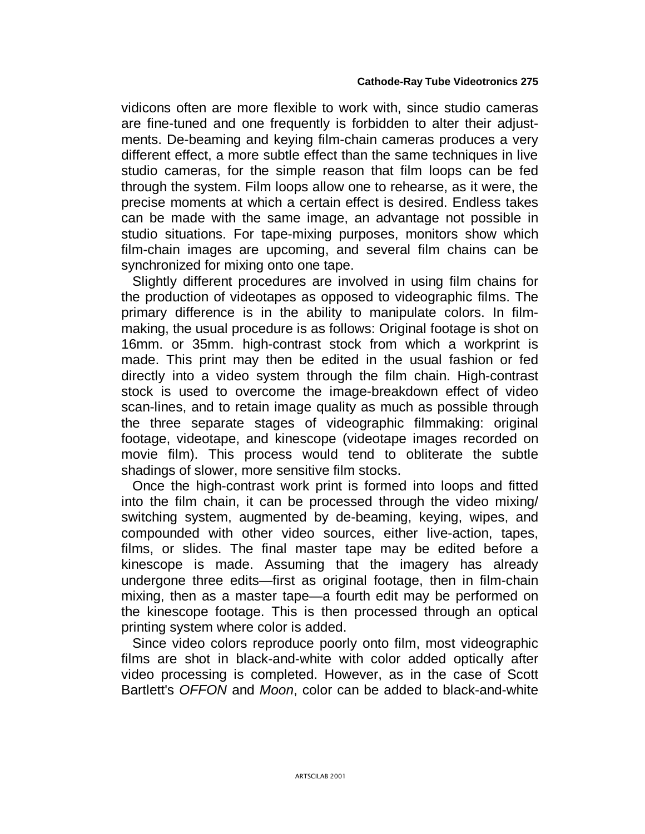vidicons often are more flexible to work with, since studio cameras are fine-tuned and one frequently is forbidden to alter their adjustments. De-beaming and keying film-chain cameras produces a very different effect, a more subtle effect than the same techniques in live studio cameras, for the simple reason that film loops can be fed through the system. Film loops allow one to rehearse, as it were, the precise moments at which a certain effect is desired. Endless takes can be made with the same image, an advantage not possible in studio situations. For tape-mixing purposes, monitors show which film-chain images are upcoming, and several film chains can be synchronized for mixing onto one tape.

Slightly different procedures are involved in using film chains for the production of videotapes as opposed to videographic films. The primary difference is in the ability to manipulate colors. In filmmaking, the usual procedure is as follows: Original footage is shot on 16mm. or 35mm. high-contrast stock from which a workprint is made. This print may then be edited in the usual fashion or fed directly into a video system through the film chain. High-contrast stock is used to overcome the image-breakdown effect of video scan-lines, and to retain image quality as much as possible through the three separate stages of videographic filmmaking: original footage, videotape, and kinescope (videotape images recorded on movie film). This process would tend to obliterate the subtle shadings of slower, more sensitive film stocks.

Once the high-contrast work print is formed into loops and fitted into the film chain, it can be processed through the video mixing/ switching system, augmented by de-beaming, keying, wipes, and compounded with other video sources, either live-action, tapes, films, or slides. The final master tape may be edited before a kinescope is made. Assuming that the imagery has already undergone three edits— first as original footage, then in film-chain mixing, then as a master tape—a fourth edit may be performed on the kinescope footage. This is then processed through an optical printing system where color is added.

Since video colors reproduce poorly onto film, most videographic films are shot in black-and-white with color added optically after video processing is completed. However, as in the case of Scott Bartlett's *OFFON* and *Moon*, color can be added to black-and-white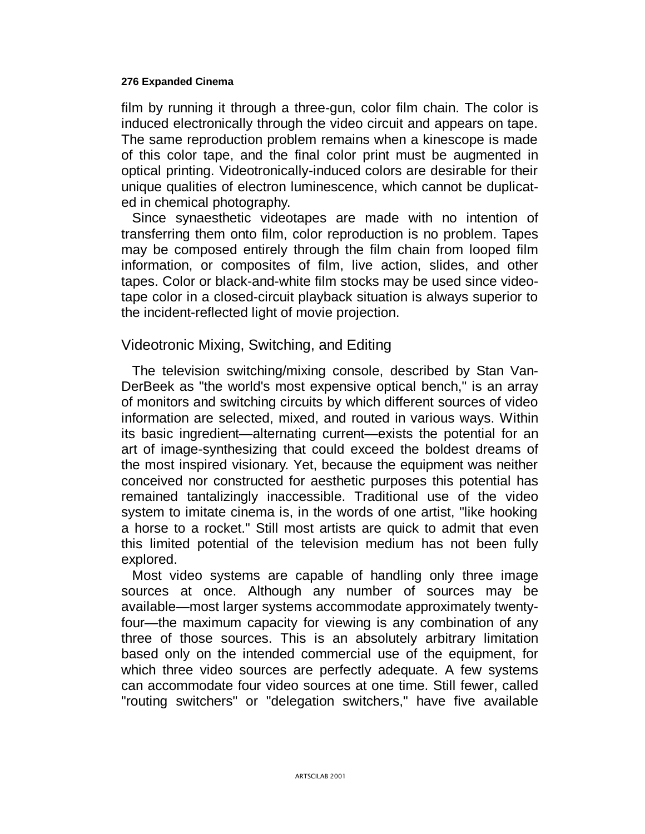film by running it through a three-gun, color film chain. The color is induced electronically through the video circuit and appears on tape. The same reproduction problem remains when a kinescope is made of this color tape, and the final color print must be augmented in optical printing. Videotronically-induced colors are desirable for their unique qualities of electron luminescence, which cannot be duplicated in chemical photography.

Since synaesthetic videotapes are made with no intention of transferring them onto film, color reproduction is no problem. Tapes may be composed entirely through the film chain from looped film information, or composites of film, live action, slides, and other tapes. Color or black-and-white film stocks may be used since videotape color in a closed-circuit playback situation is always superior to the incident-reflected light of movie projection.

### Videotronic Mixing, Switching, and Editing

The television switching/mixing console, described by Stan Van-DerBeek as "the world's most expensive optical bench," is an array of monitors and switching circuits by which different sources of video information are selected, mixed, and routed in various ways. Within its basic ingredient— alternating current— exists the potential for an art of image-synthesizing that could exceed the boldest dreams of the most inspired visionary. Yet, because the equipment was neither conceived nor constructed for aesthetic purposes this potential has remained tantalizingly inaccessible. Traditional use of the video system to imitate cinema is, in the words of one artist, "like hooking a horse to a rocket." Still most artists are quick to admit that even this limited potential of the television medium has not been fully explored.

Most video systems are capable of handling only three image sources at once. Although any number of sources may be available— most larger systems accommodate approximately twentyfour— the maximum capacity for viewing is any combination of any three of those sources. This is an absolutely arbitrary limitation based only on the intended commercial use of the equipment, for which three video sources are perfectly adequate. A few systems can accommodate four video sources at one time. Still fewer, called "routing switchers" or "delegation switchers," have five available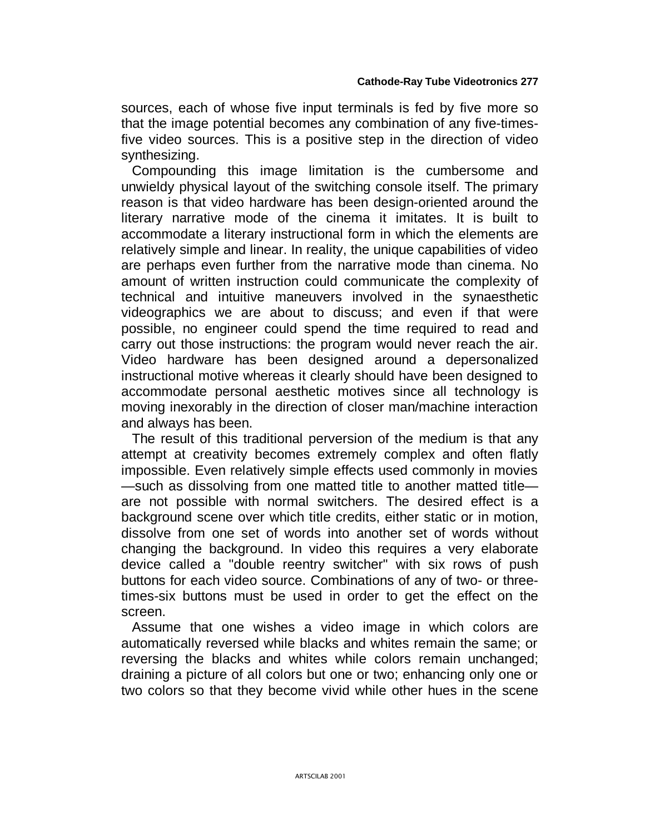sources, each of whose five input terminals is fed by five more so that the image potential becomes any combination of any five-timesfive video sources. This is a positive step in the direction of video synthesizing.

Compounding this image limitation is the cumbersome and unwieldy physical layout of the switching console itself. The primary reason is that video hardware has been design-oriented around the literary narrative mode of the cinema it imitates. It is built to accommodate a literary instructional form in which the elements are relatively simple and linear. In reality, the unique capabilities of video are perhaps even further from the narrative mode than cinema. No amount of written instruction could communicate the complexity of technical and intuitive maneuvers involved in the synaesthetic videographics we are about to discuss; and even if that were possible, no engineer could spend the time required to read and carry out those instructions: the program would never reach the air. Video hardware has been designed around a depersonalized instructional motive whereas it clearly should have been designed to accommodate personal aesthetic motives since all technology is moving inexorably in the direction of closer man/machine interaction and always has been.

The result of this traditional perversion of the medium is that any attempt at creativity becomes extremely complex and often flatly impossible. Even relatively simple effects used commonly in movies — such as dissolving from one matted title to another matted title are not possible with normal switchers. The desired effect is a background scene over which title credits, either static or in motion, dissolve from one set of words into another set of words without changing the background. In video this requires a very elaborate device called a "double reentry switcher" with six rows of push buttons for each video source. Combinations of any of two- or threetimes-six buttons must be used in order to get the effect on the screen.

Assume that one wishes a video image in which colors are automatically reversed while blacks and whites remain the same; or reversing the blacks and whites while colors remain unchanged; draining a picture of all colors but one or two; enhancing only one or two colors so that they become vivid while other hues in the scene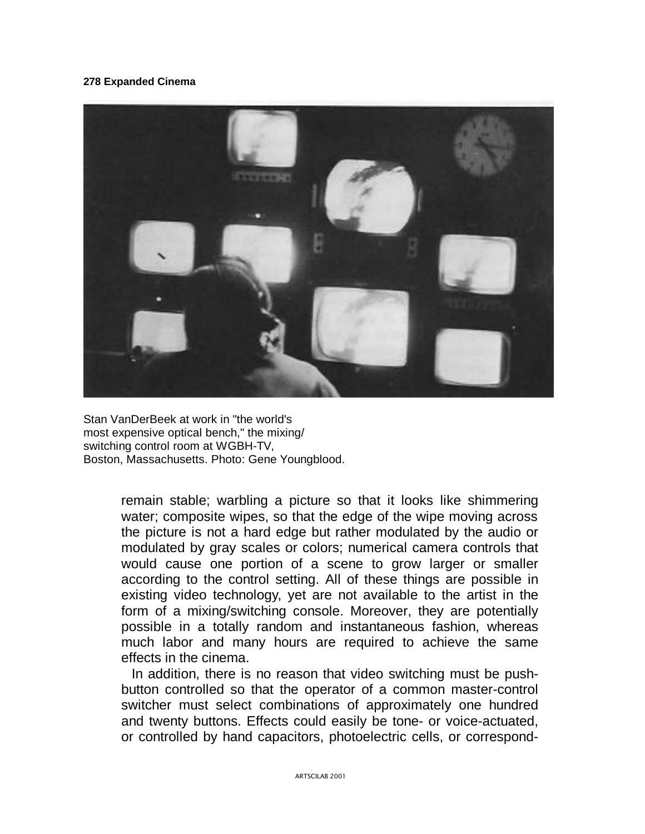

Stan VanDerBeek at work in "the world's most expensive optical bench," the mixing/ switching control room at WGBH-TV, Boston, Massachusetts. Photo: Gene Youngblood.

> remain stable; warbling a picture so that it looks like shimmering water; composite wipes, so that the edge of the wipe moving across the picture is not a hard edge but rather modulated by the audio or modulated by gray scales or colors; numerical camera controls that would cause one portion of a scene to grow larger or smaller according to the control setting. All of these things are possible in existing video technology, yet are not available to the artist in the form of a mixing/switching console. Moreover, they are potentially possible in a totally random and instantaneous fashion, whereas much labor and many hours are required to achieve the same effects in the cinema.

> In addition, there is no reason that video switching must be pushbutton controlled so that the operator of a common master-control switcher must select combinations of approximately one hundred and twenty buttons. Effects could easily be tone- or voice-actuated, or controlled by hand capacitors, photoelectric cells, or correspond-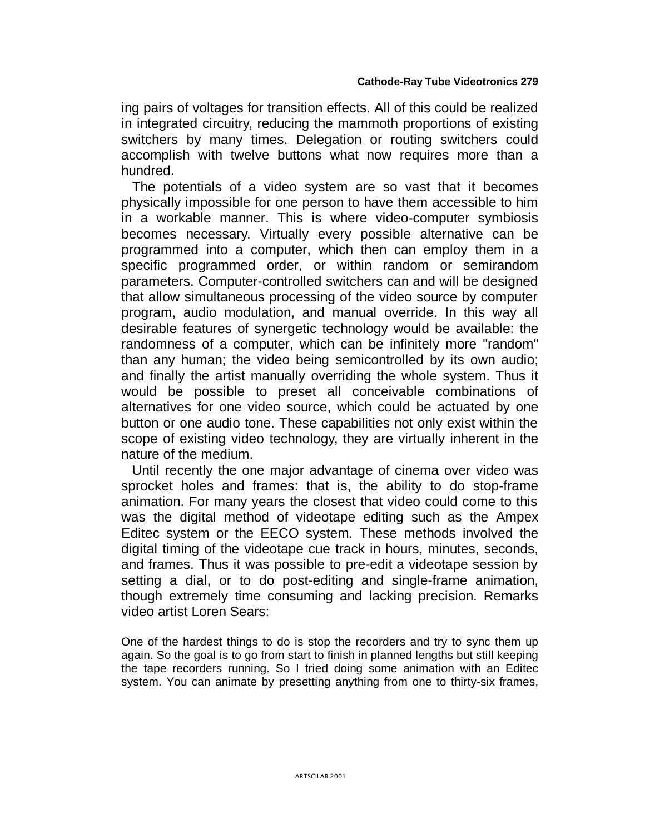ing pairs of voltages for transition effects. All of this could be realized in integrated circuitry, reducing the mammoth proportions of existing switchers by many times. Delegation or routing switchers could accomplish with twelve buttons what now requires more than a hundred.

The potentials of a video system are so vast that it becomes physically impossible for one person to have them accessible to him in a workable manner. This is where video-computer symbiosis becomes necessary. Virtually every possible alternative can be programmed into a computer, which then can employ them in a specific programmed order, or within random or semirandom parameters. Computer-controlled switchers can and will be designed that allow simultaneous processing of the video source by computer program, audio modulation, and manual override. In this way all desirable features of synergetic technology would be available: the randomness of a computer, which can be infinitely more "random" than any human; the video being semicontrolled by its own audio; and finally the artist manually overriding the whole system. Thus it would be possible to preset all conceivable combinations of alternatives for one video source, which could be actuated by one button or one audio tone. These capabilities not only exist within the scope of existing video technology, they are virtually inherent in the nature of the medium.

Until recently the one major advantage of cinema over video was sprocket holes and frames: that is, the ability to do stop-frame animation. For many years the closest that video could come to this was the digital method of videotape editing such as the Ampex Editec system or the EECO system. These methods involved the digital timing of the videotape cue track in hours, minutes, seconds, and frames. Thus it was possible to pre-edit a videotape session by setting a dial, or to do post-editing and single-frame animation, though extremely time consuming and lacking precision. Remarks video artist Loren Sears:

One of the hardest things to do is stop the recorders and try to sync them up again. So the goal is to go from start to finish in planned lengths but still keeping the tape recorders running. So I tried doing some animation with an Editec system. You can animate by presetting anything from one to thirty-six frames,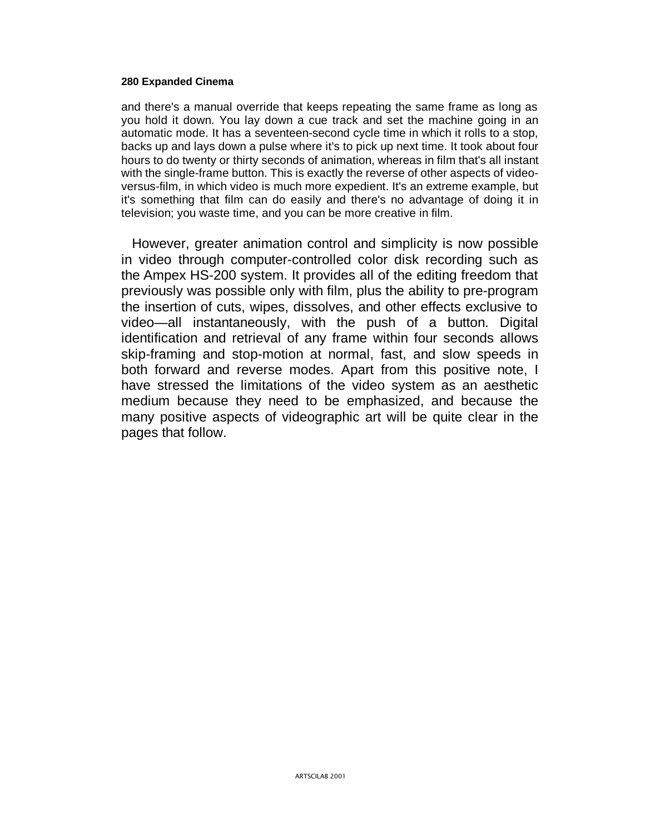and there's a manual override that keeps repeating the same frame as long as you hold it down. You lay down a cue track and set the machine going in an automatic mode. It has a seventeen-second cycle time in which it rolls to a stop, backs up and lays down a pulse where it's to pick up next time. It took about four hours to do twenty or thirty seconds of animation, whereas in film that's all instant with the single-frame button. This is exactly the reverse of other aspects of videoversus-film, in which video is much more expedient. It's an extreme example, but it's something that film can do easily and there's no advantage of doing it in television; you waste time, and you can be more creative in film.

However, greater animation control and simplicity is now possible in video through computer-controlled color disk recording such as the Ampex HS-200 system. It provides all of the editing freedom that previously was possible only with film, plus the ability to pre-program the insertion of cuts, wipes, dissolves, and other effects exclusive to video— all instantaneously, with the push of a button. Digital identification and retrieval of any frame within four seconds allows skip-framing and stop-motion at normal, fast, and slow speeds in both forward and reverse modes. Apart from this positive note, I have stressed the limitations of the video system as an aesthetic medium because they need to be emphasized, and because the many positive aspects of videographic art will be quite clear in the pages that follow.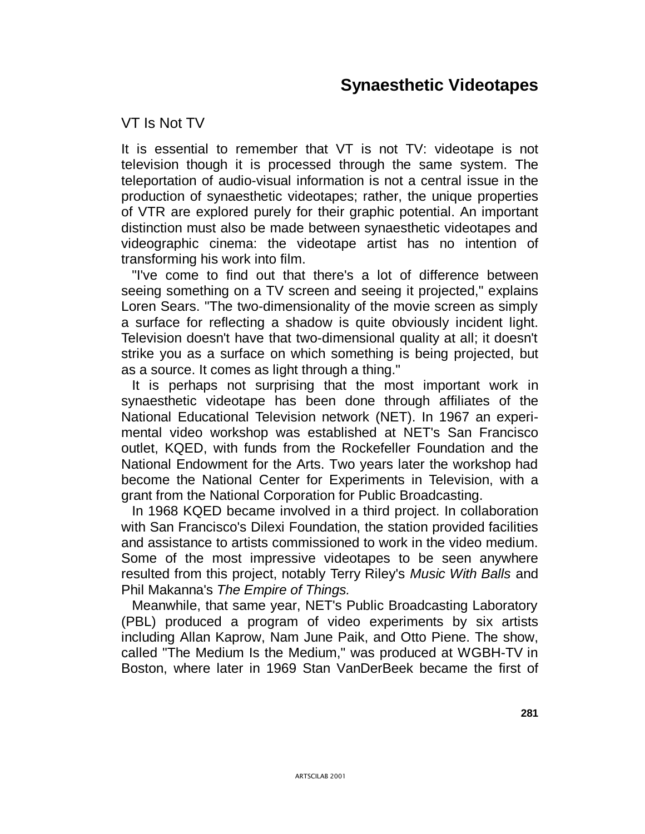# **Synaesthetic Videotapes**

VT Is Not TV

It is essential to remember that VT is not TV: videotape is not television though it is processed through the same system. The teleportation of audio-visual information is not a central issue in the production of synaesthetic videotapes; rather, the unique properties of VTR are explored purely for their graphic potential. An important distinction must also be made between synaesthetic videotapes and videographic cinema: the videotape artist has no intention of transforming his work into film.

"I've come to find out that there's a lot of difference between seeing something on a TV screen and seeing it projected," explains Loren Sears. "The two-dimensionality of the movie screen as simply a surface for reflecting a shadow is quite obviously incident light. Television doesn't have that two-dimensional quality at all; it doesn't strike you as a surface on which something is being projected, but as a source. It comes as light through a thing."

It is perhaps not surprising that the most important work in synaesthetic videotape has been done through affiliates of the National Educational Television network (NET). In 1967 an experimental video workshop was established at NET's San Francisco outlet, KQED, with funds from the Rockefeller Foundation and the National Endowment for the Arts. Two years later the workshop had become the National Center for Experiments in Television, with a grant from the National Corporation for Public Broadcasting.

In 1968 KQED became involved in a third project. In collaboration with San Francisco's Dilexi Foundation, the station provided facilities and assistance to artists commissioned to work in the video medium. Some of the most impressive videotapes to be seen anywhere resulted from this project, notably Terry Riley's *Music With Balls* and Phil Makanna's *The Empire of Things.*

Meanwhile, that same year, NET's Public Broadcasting Laboratory (PBL) produced a program of video experiments by six artists including Allan Kaprow, Nam June Paik, and Otto Piene. The show, called "The Medium Is the Medium," was produced at WGBH-TV in Boston, where later in 1969 Stan VanDerBeek became the first of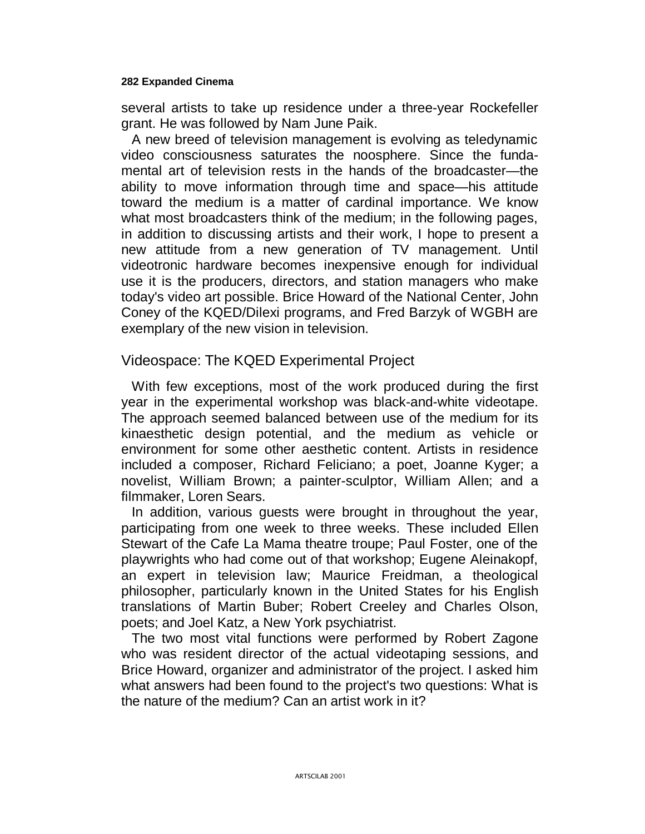several artists to take up residence under a three-year Rockefeller grant. He was followed by Nam June Paik.

A new breed of television management is evolving as teledynamic video consciousness saturates the noosphere. Since the fundamental art of television rests in the hands of the broadcaster— the ability to move information through time and space— his attitude toward the medium is a matter of cardinal importance. We know what most broadcasters think of the medium; in the following pages, in addition to discussing artists and their work, I hope to present a new attitude from a new generation of TV management. Until videotronic hardware becomes inexpensive enough for individual use it is the producers, directors, and station managers who make today's video art possible. Brice Howard of the National Center, John Coney of the KQED/Dilexi programs, and Fred Barzyk of WGBH are exemplary of the new vision in television.

## Videospace: The KQED Experimental Project

With few exceptions, most of the work produced during the first year in the experimental workshop was black-and-white videotape. The approach seemed balanced between use of the medium for its kinaesthetic design potential, and the medium as vehicle or environment for some other aesthetic content. Artists in residence included a composer, Richard Feliciano; a poet, Joanne Kyger; a novelist, William Brown; a painter-sculptor, William Allen; and a filmmaker, Loren Sears.

In addition, various guests were brought in throughout the year, participating from one week to three weeks. These included Ellen Stewart of the Cafe La Mama theatre troupe; Paul Foster, one of the playwrights who had come out of that workshop; Eugene Aleinakopf, an expert in television law; Maurice Freidman, a theological philosopher, particularly known in the United States for his English translations of Martin Buber; Robert Creeley and Charles Olson, poets; and Joel Katz, a New York psychiatrist.

The two most vital functions were performed by Robert Zagone who was resident director of the actual videotaping sessions, and Brice Howard, organizer and administrator of the project. I asked him what answers had been found to the project's two questions: What is the nature of the medium? Can an artist work in it?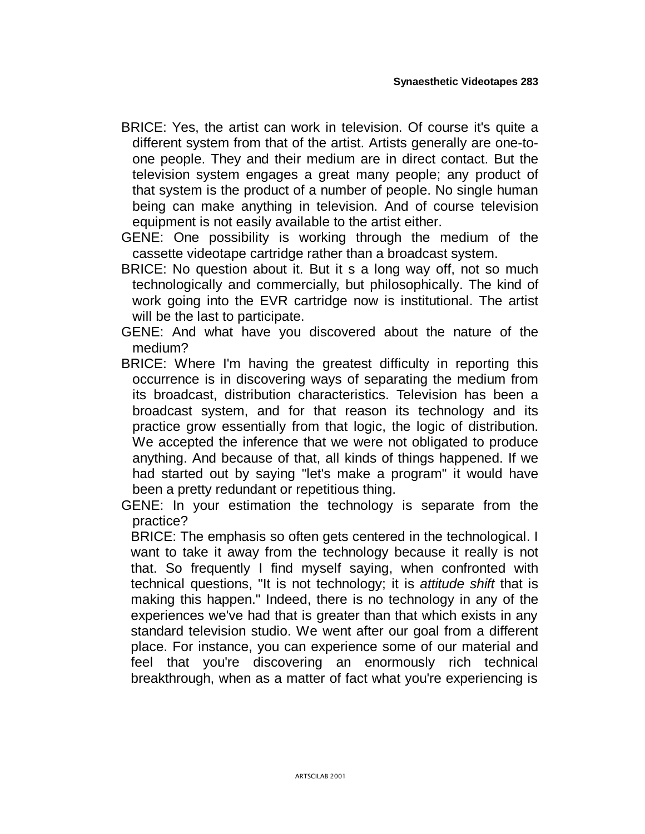- BRICE: Yes, the artist can work in television. Of course it's quite a different system from that of the artist. Artists generally are one-toone people. They and their medium are in direct contact. But the television system engages a great many people; any product of that system is the product of a number of people. No single human being can make anything in television. And of course television equipment is not easily available to the artist either.
- GENE: One possibility is working through the medium of the cassette videotape cartridge rather than a broadcast system.
- BRICE: No question about it. But it s a long way off, not so much technologically and commercially, but philosophically. The kind of work going into the EVR cartridge now is institutional. The artist will be the last to participate.
- GENE: And what have you discovered about the nature of the medium?
- BRICE: Where I'm having the greatest difficulty in reporting this occurrence is in discovering ways of separating the medium from its broadcast, distribution characteristics. Television has been a broadcast system, and for that reason its technology and its practice grow essentially from that logic, the logic of distribution. We accepted the inference that we were not obligated to produce anything. And because of that, all kinds of things happened. If we had started out by saying "let's make a program" it would have been a pretty redundant or repetitious thing.
- GENE: In your estimation the technology is separate from the practice?

BRICE: The emphasis so often gets centered in the technological. I want to take it away from the technology because it really is not that. So frequently I find myself saying, when confronted with technical questions, "It is not technology; it is *attitude shift* that is making this happen." Indeed, there is no technology in any of the experiences we've had that is greater than that which exists in any standard television studio. We went after our goal from a different place. For instance, you can experience some of our material and feel that you're discovering an enormously rich technical breakthrough, when as a matter of fact what you're experiencing is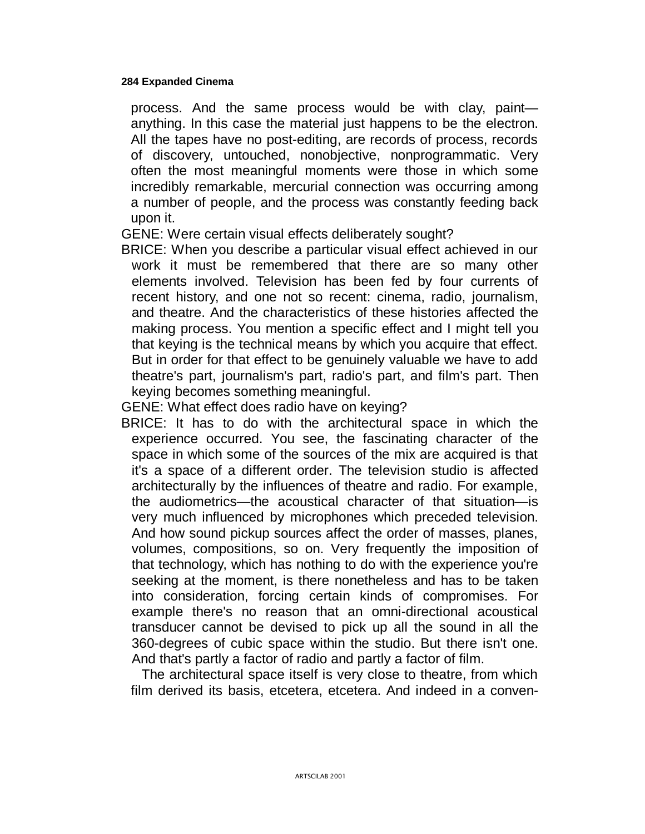process. And the same process would be with clay, paint anything. In this case the material just happens to be the electron. All the tapes have no post-editing, are records of process, records of discovery, untouched, nonobjective, nonprogrammatic. Very often the most meaningful moments were those in which some incredibly remarkable, mercurial connection was occurring among a number of people, and the process was constantly feeding back upon it.

GENE: Were certain visual effects deliberately sought?

- BRICE: When you describe a particular visual effect achieved in our work it must be remembered that there are so many other elements involved. Television has been fed by four currents of recent history, and one not so recent: cinema, radio, journalism, and theatre. And the characteristics of these histories affected the making process. You mention a specific effect and I might tell you that keying is the technical means by which you acquire that effect. But in order for that effect to be genuinely valuable we have to add theatre's part, journalism's part, radio's part, and film's part. Then keying becomes something meaningful.
- GENE: What effect does radio have on keying?
- BRICE: It has to do with the architectural space in which the experience occurred. You see, the fascinating character of the space in which some of the sources of the mix are acquired is that it's a space of a different order. The television studio is affected architecturally by the influences of theatre and radio. For example, the audiometrics— the acoustical character of that situation— is very much influenced by microphones which preceded television. And how sound pickup sources affect the order of masses, planes, volumes, compositions, so on. Very frequently the imposition of that technology, which has nothing to do with the experience you're seeking at the moment, is there nonetheless and has to be taken into consideration, forcing certain kinds of compromises. For example there's no reason that an omni-directional acoustical transducer cannot be devised to pick up all the sound in all the 360-degrees of cubic space within the studio. But there isn't one. And that's partly a factor of radio and partly a factor of film.

The architectural space itself is very close to theatre, from which film derived its basis, etcetera, etcetera. And indeed in a conven-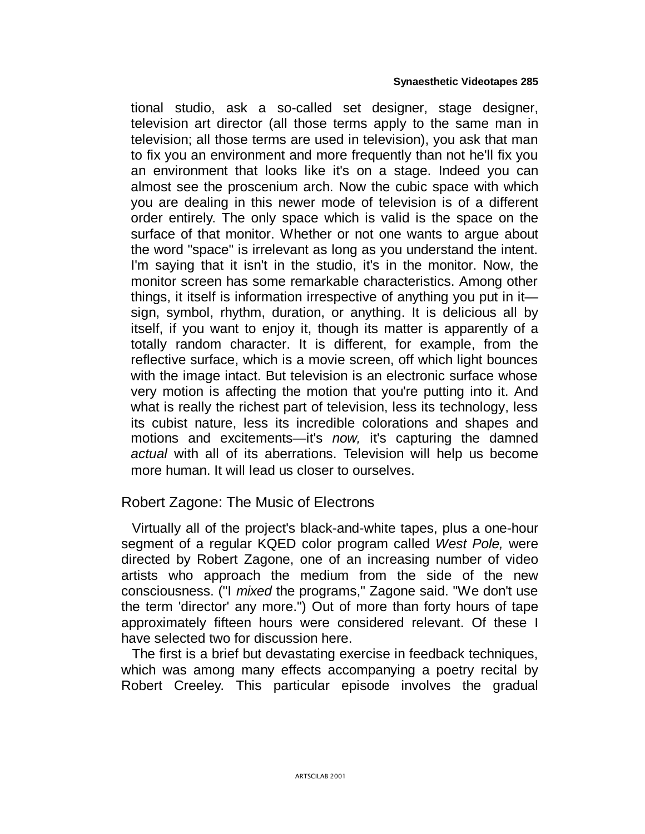tional studio, ask a so-called set designer, stage designer, television art director (all those terms apply to the same man in television; all those terms are used in television), you ask that man to fix you an environment and more frequently than not he'll fix you an environment that looks like it's on a stage. Indeed you can almost see the proscenium arch. Now the cubic space with which you are dealing in this newer mode of television is of a different order entirely. The only space which is valid is the space on the surface of that monitor. Whether or not one wants to argue about the word "space" is irrelevant as long as you understand the intent. I'm saying that it isn't in the studio, it's in the monitor. Now, the monitor screen has some remarkable characteristics. Among other things, it itself is information irrespective of anything you put in it sign, symbol, rhythm, duration, or anything. It is delicious all by itself, if you want to enjoy it, though its matter is apparently of a totally random character. It is different, for example, from the reflective surface, which is a movie screen, off which light bounces with the image intact. But television is an electronic surface whose very motion is affecting the motion that you're putting into it. And what is really the richest part of television, less its technology, less its cubist nature, less its incredible colorations and shapes and motions and excitements— it's *now,* it's capturing the damned *actual* with all of its aberrations. Television will help us become more human. It will lead us closer to ourselves.

# Robert Zagone: The Music of Electrons

Virtually all of the project's black-and-white tapes, plus a one-hour segment of a regular KQED color program called *West Pole,* were directed by Robert Zagone, one of an increasing number of video artists who approach the medium from the side of the new consciousness. ("I *mixed* the programs," Zagone said. "We don't use the term 'director' any more.") Out of more than forty hours of tape approximately fifteen hours were considered relevant. Of these I have selected two for discussion here.

The first is a brief but devastating exercise in feedback techniques, which was among many effects accompanying a poetry recital by Robert Creeley. This particular episode involves the gradual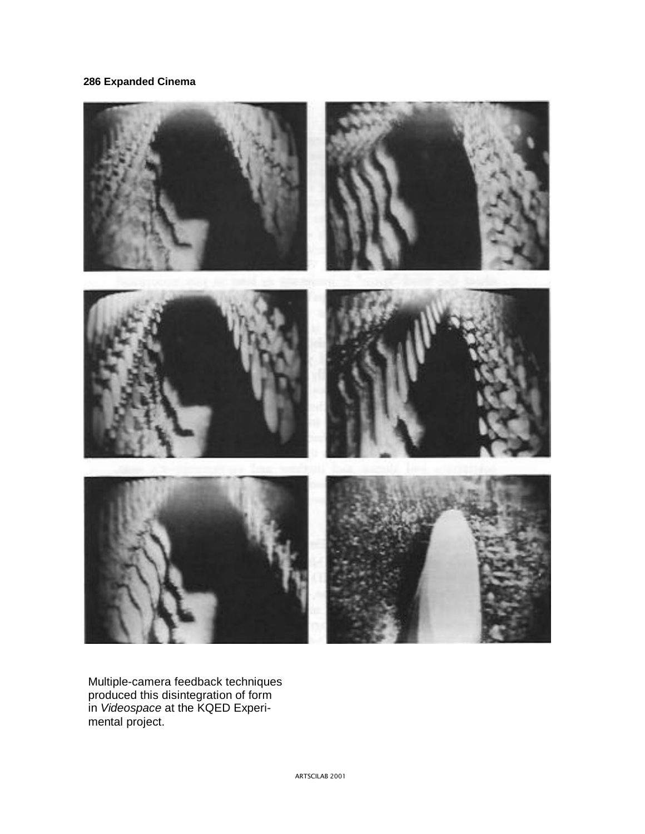

Multiple-camera feedback techniques produced this disintegration of form in *Videospace* at the KQED Experimental project.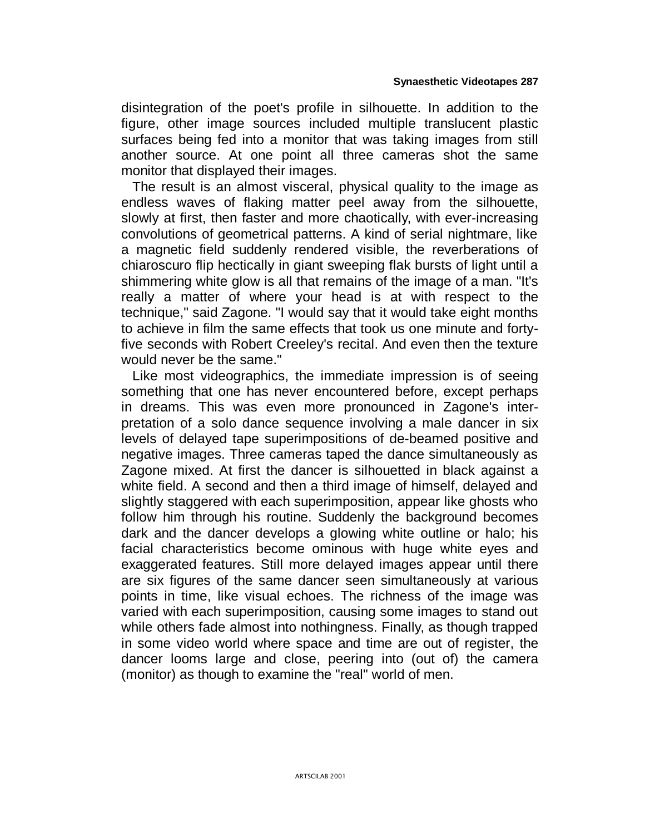disintegration of the poet's profile in silhouette. In addition to the figure, other image sources included multiple translucent plastic surfaces being fed into a monitor that was taking images from still another source. At one point all three cameras shot the same monitor that displayed their images.

The result is an almost visceral, physical quality to the image as endless waves of flaking matter peel away from the silhouette, slowly at first, then faster and more chaotically, with ever-increasing convolutions of geometrical patterns. A kind of serial nightmare, like a magnetic field suddenly rendered visible, the reverberations of chiaroscuro flip hectically in giant sweeping flak bursts of light until a shimmering white glow is all that remains of the image of a man. "It's really a matter of where your head is at with respect to the technique," said Zagone. "I would say that it would take eight months to achieve in film the same effects that took us one minute and fortyfive seconds with Robert Creeley's recital. And even then the texture would never be the same."

Like most videographics, the immediate impression is of seeing something that one has never encountered before, except perhaps in dreams. This was even more pronounced in Zagone's interpretation of a solo dance sequence involving a male dancer in six levels of delayed tape superimpositions of de-beamed positive and negative images. Three cameras taped the dance simultaneously as Zagone mixed. At first the dancer is silhouetted in black against a white field. A second and then a third image of himself, delayed and slightly staggered with each superimposition, appear like ghosts who follow him through his routine. Suddenly the background becomes dark and the dancer develops a glowing white outline or halo; his facial characteristics become ominous with huge white eyes and exaggerated features. Still more delayed images appear until there are six figures of the same dancer seen simultaneously at various points in time, like visual echoes. The richness of the image was varied with each superimposition, causing some images to stand out while others fade almost into nothingness. Finally, as though trapped in some video world where space and time are out of register, the dancer looms large and close, peering into (out of) the camera (monitor) as though to examine the "real" world of men.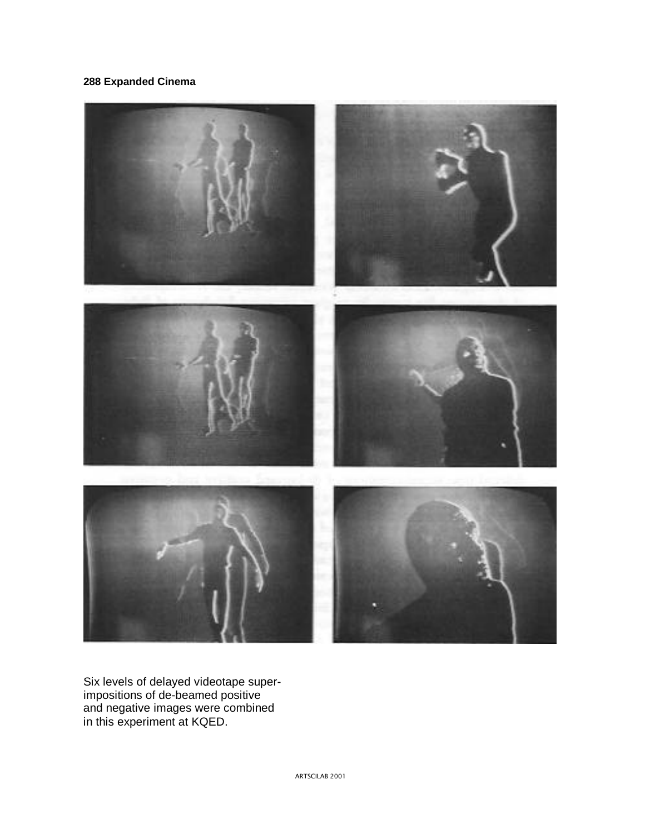

Six levels of delayed videotape superimpositions of de-beamed positive and negative images were combined in this experiment at KQED.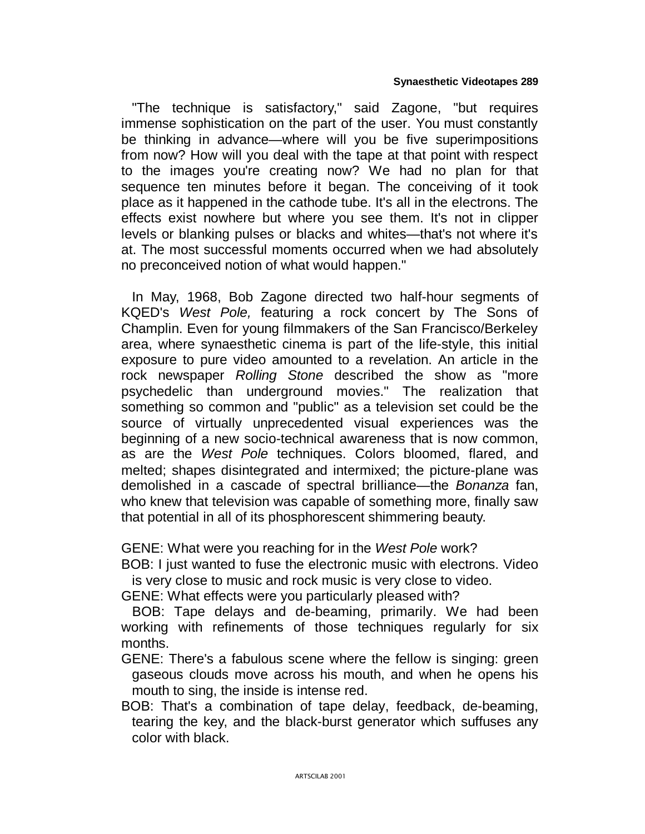### **Synaesthetic Videotapes 289**

"The technique is satisfactory," said Zagone, "but requires immense sophistication on the part of the user. You must constantly be thinking in advance— where will you be five superimpositions from now? How will you deal with the tape at that point with respect to the images you're creating now? We had no plan for that sequence ten minutes before it began. The conceiving of it took place as it happened in the cathode tube. It's all in the electrons. The effects exist nowhere but where you see them. It's not in clipper levels or blanking pulses or blacks and whites— that's not where it's at. The most successful moments occurred when we had absolutely no preconceived notion of what would happen."

In May, 1968, Bob Zagone directed two half-hour segments of KQED's *West Pole,* featuring a rock concert by The Sons of Champlin. Even for young filmmakers of the San Francisco/Berkeley area, where synaesthetic cinema is part of the life-style, this initial exposure to pure video amounted to a revelation. An article in the rock newspaper *Rolling Stone* described the show as "more psychedelic than underground movies." The realization that something so common and "public" as a television set could be the source of virtually unprecedented visual experiences was the beginning of a new socio-technical awareness that is now common, as are the *West Pole* techniques. Colors bloomed, flared, and melted; shapes disintegrated and intermixed; the picture-plane was demolished in a cascade of spectral brilliance— the *Bonanza* fan, who knew that television was capable of something more, finally saw that potential in all of its phosphorescent shimmering beauty.

GENE: What were you reaching for in the *West Pole* work?

BOB: I just wanted to fuse the electronic music with electrons. Video is very close to music and rock music is very close to video.

GENE: What effects were you particularly pleased with?

BOB: Tape delays and de-beaming, primarily. We had been working with refinements of those techniques regularly for six months.

GENE: There's a fabulous scene where the fellow is singing: green gaseous clouds move across his mouth, and when he opens his mouth to sing, the inside is intense red.

BOB: That's a combination of tape delay, feedback, de-beaming, tearing the key, and the black-burst generator which suffuses any color with black.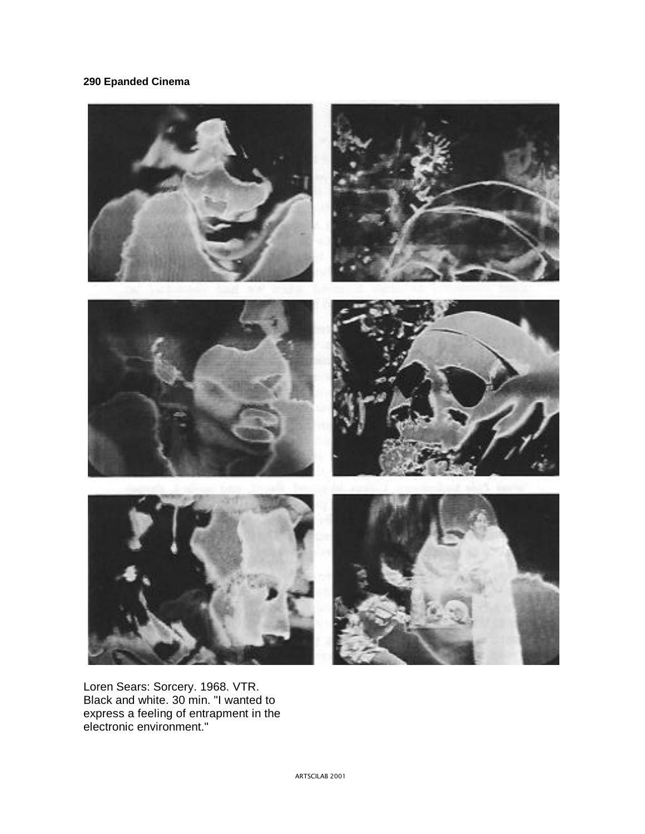

Loren Sears: Sorcery. 1968. VTR. Black and white. 30 min. "I wanted to express a feeling of entrapment in the electronic environment."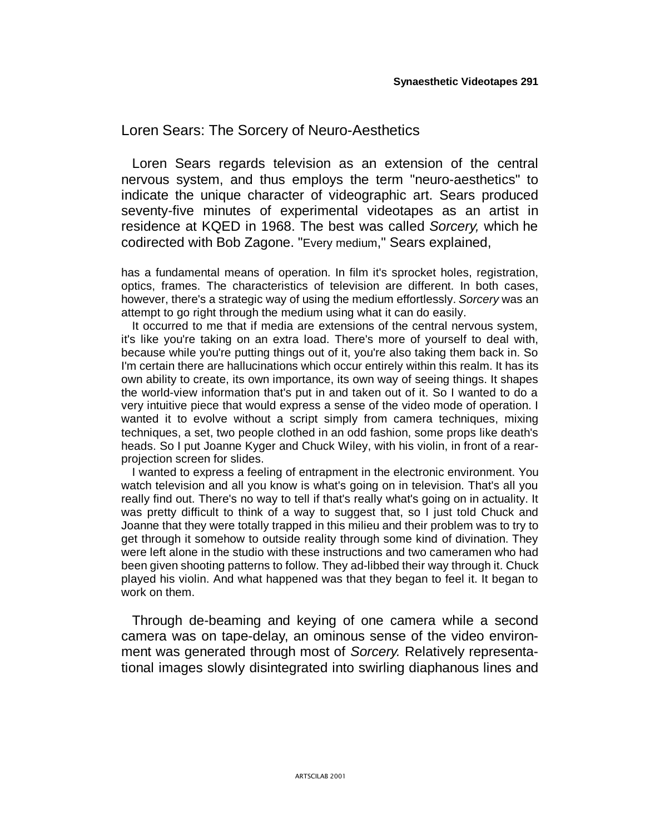### Loren Sears: The Sorcery of Neuro-Aesthetics

Loren Sears regards television as an extension of the central nervous system, and thus employs the term "neuro-aesthetics" to indicate the unique character of videographic art. Sears produced seventy-five minutes of experimental videotapes as an artist in residence at KQED in 1968. The best was called *Sorcery,* which he codirected with Bob Zagone. "Every medium," Sears explained,

has a fundamental means of operation. In film it's sprocket holes, registration, optics, frames. The characteristics of television are different. In both cases, however, there's a strategic way of using the medium effortlessly. *Sorcery* was an attempt to go right through the medium using what it can do easily.

It occurred to me that if media are extensions of the central nervous system, it's like you're taking on an extra load. There's more of yourself to deal with, because while you're putting things out of it, you're also taking them back in. So I'm certain there are hallucinations which occur entirely within this realm. It has its own ability to create, its own importance, its own way of seeing things. It shapes the world-view information that's put in and taken out of it. So I wanted to do a very intuitive piece that would express a sense of the video mode of operation. I wanted it to evolve without a script simply from camera techniques, mixing techniques, a set, two people clothed in an odd fashion, some props like death's heads. So I put Joanne Kyger and Chuck Wiley, with his violin, in front of a rearprojection screen for slides.

I wanted to express a feeling of entrapment in the electronic environment. You watch television and all you know is what's going on in television. That's all you really find out. There's no way to tell if that's really what's going on in actuality. It was pretty difficult to think of a way to suggest that, so I just told Chuck and Joanne that they were totally trapped in this milieu and their problem was to try to get through it somehow to outside reality through some kind of divination. They were left alone in the studio with these instructions and two cameramen who had been given shooting patterns to follow. They ad-libbed their way through it. Chuck played his violin. And what happened was that they began to feel it. It began to work on them.

Through de-beaming and keying of one camera while a second camera was on tape-delay, an ominous sense of the video environment was generated through most of *Sorcery.* Relatively representational images slowly disintegrated into swirling diaphanous lines and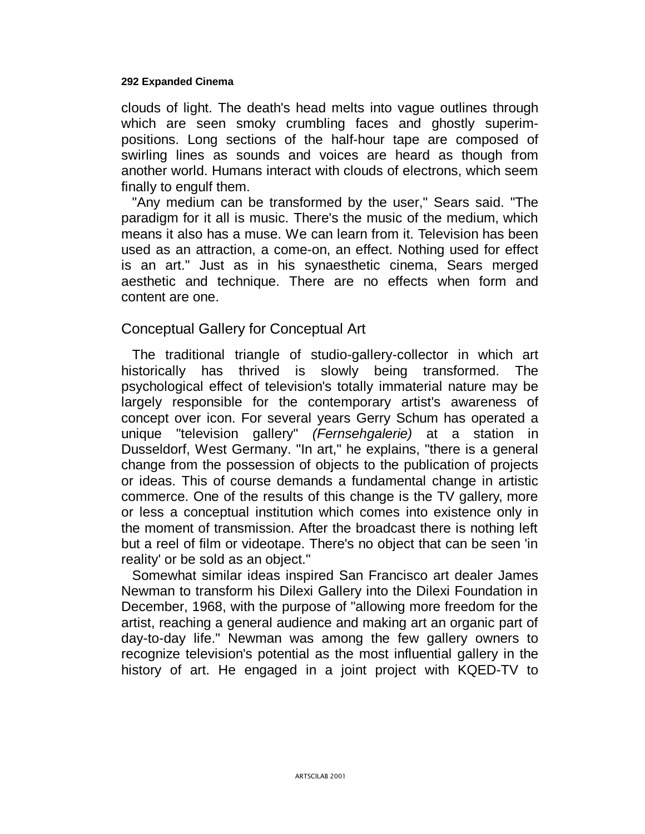clouds of light. The death's head melts into vague outlines through which are seen smoky crumbling faces and ghostly superimpositions. Long sections of the half-hour tape are composed of swirling lines as sounds and voices are heard as though from another world. Humans interact with clouds of electrons, which seem finally to engulf them.

"Any medium can be transformed by the user," Sears said. "The paradigm for it all is music. There's the music of the medium, which means it also has a muse. We can learn from it. Television has been used as an attraction, a come-on, an effect. Nothing used for effect is an art." Just as in his synaesthetic cinema, Sears merged aesthetic and technique. There are no effects when form and content are one.

## Conceptual Gallery for Conceptual Art

The traditional triangle of studio-gallery-collector in which art historically has thrived is slowly being transformed. The psychological effect of television's totally immaterial nature may be largely responsible for the contemporary artist's awareness of concept over icon. For several years Gerry Schum has operated a unique "television gallery" *(Fernsehgalerie)* at a station in Dusseldorf, West Germany. "In art," he explains, "there is a general change from the possession of objects to the publication of projects or ideas. This of course demands a fundamental change in artistic commerce. One of the results of this change is the TV gallery, more or less a conceptual institution which comes into existence only in the moment of transmission. After the broadcast there is nothing left but a reel of film or videotape. There's no object that can be seen 'in reality' or be sold as an object."

Somewhat similar ideas inspired San Francisco art dealer James Newman to transform his Dilexi Gallery into the Dilexi Foundation in December, 1968, with the purpose of "allowing more freedom for the artist, reaching a general audience and making art an organic part of day-to-day life." Newman was among the few gallery owners to recognize television's potential as the most influential gallery in the history of art. He engaged in a joint project with KQED-TV to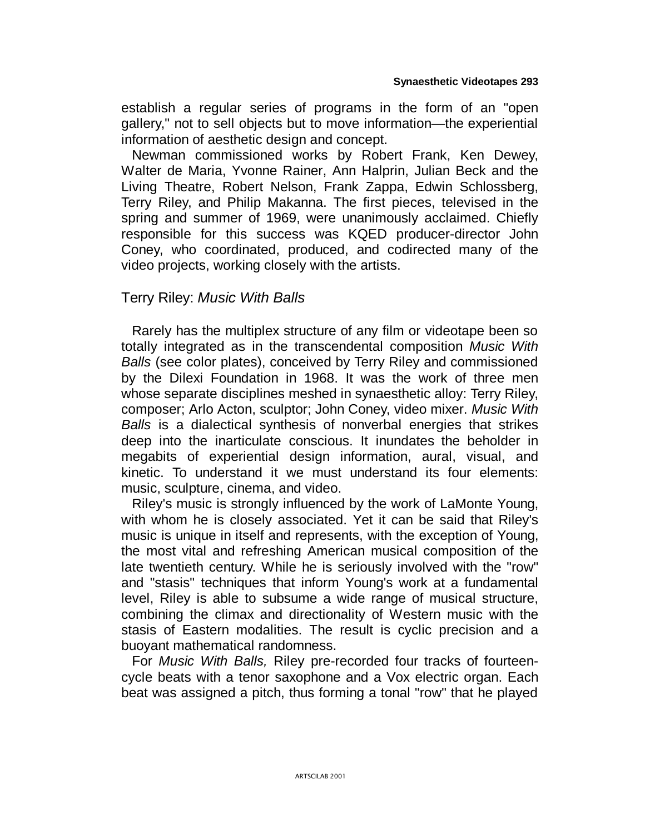establish a regular series of programs in the form of an "open gallery," not to sell objects but to move information— the experiential information of aesthetic design and concept.

Newman commissioned works by Robert Frank, Ken Dewey, Walter de Maria, Yvonne Rainer, Ann Halprin, Julian Beck and the Living Theatre, Robert Nelson, Frank Zappa, Edwin Schlossberg, Terry Riley, and Philip Makanna. The first pieces, televised in the spring and summer of 1969, were unanimously acclaimed. Chiefly responsible for this success was KQED producer-director John Coney, who coordinated, produced, and codirected many of the video projects, working closely with the artists.

## Terry Riley: *Music With Balls*

Rarely has the multiplex structure of any film or videotape been so totally integrated as in the transcendental composition *Music With Balls* (see color plates), conceived by Terry Riley and commissioned by the Dilexi Foundation in 1968. It was the work of three men whose separate disciplines meshed in synaesthetic alloy: Terry Riley, composer; Arlo Acton, sculptor; John Coney, video mixer. *Music With Balls* is a dialectical synthesis of nonverbal energies that strikes deep into the inarticulate conscious. It inundates the beholder in megabits of experiential design information, aural, visual, and kinetic. To understand it we must understand its four elements: music, sculpture, cinema, and video.

Riley's music is strongly influenced by the work of LaMonte Young, with whom he is closely associated. Yet it can be said that Riley's music is unique in itself and represents, with the exception of Young, the most vital and refreshing American musical composition of the late twentieth century. While he is seriously involved with the "row" and "stasis" techniques that inform Young's work at a fundamental level, Riley is able to subsume a wide range of musical structure, combining the climax and directionality of Western music with the stasis of Eastern modalities. The result is cyclic precision and a buoyant mathematical randomness.

For *Music With Balls,* Riley pre-recorded four tracks of fourteencycle beats with a tenor saxophone and a Vox electric organ. Each beat was assigned a pitch, thus forming a tonal "row" that he played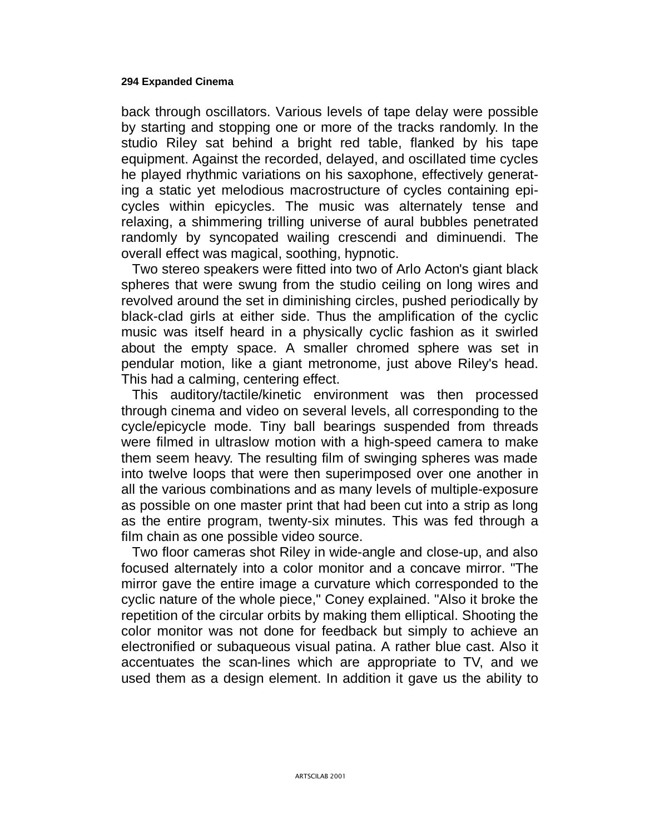back through oscillators. Various levels of tape delay were possible by starting and stopping one or more of the tracks randomly. In the studio Riley sat behind a bright red table, flanked by his tape equipment. Against the recorded, delayed, and oscillated time cycles he played rhythmic variations on his saxophone, effectively generating a static yet melodious macrostructure of cycles containing epicycles within epicycles. The music was alternately tense and relaxing, a shimmering trilling universe of aural bubbles penetrated randomly by syncopated wailing crescendi and diminuendi. The overall effect was magical, soothing, hypnotic.

Two stereo speakers were fitted into two of Arlo Acton's giant black spheres that were swung from the studio ceiling on long wires and revolved around the set in diminishing circles, pushed periodically by black-clad girls at either side. Thus the amplification of the cyclic music was itself heard in a physically cyclic fashion as it swirled about the empty space. A smaller chromed sphere was set in pendular motion, like a giant metronome, just above Riley's head. This had a calming, centering effect.

This auditory/tactile/kinetic environment was then processed through cinema and video on several levels, all corresponding to the cycle/epicycle mode. Tiny ball bearings suspended from threads were filmed in ultraslow motion with a high-speed camera to make them seem heavy. The resulting film of swinging spheres was made into twelve loops that were then superimposed over one another in all the various combinations and as many levels of multiple-exposure as possible on one master print that had been cut into a strip as long as the entire program, twenty-six minutes. This was fed through a film chain as one possible video source.

Two floor cameras shot Riley in wide-angle and close-up, and also focused alternately into a color monitor and a concave mirror. "The mirror gave the entire image a curvature which corresponded to the cyclic nature of the whole piece," Coney explained. "Also it broke the repetition of the circular orbits by making them elliptical. Shooting the color monitor was not done for feedback but simply to achieve an electronified or subaqueous visual patina. A rather blue cast. Also it accentuates the scan-lines which are appropriate to TV, and we used them as a design element. In addition it gave us the ability to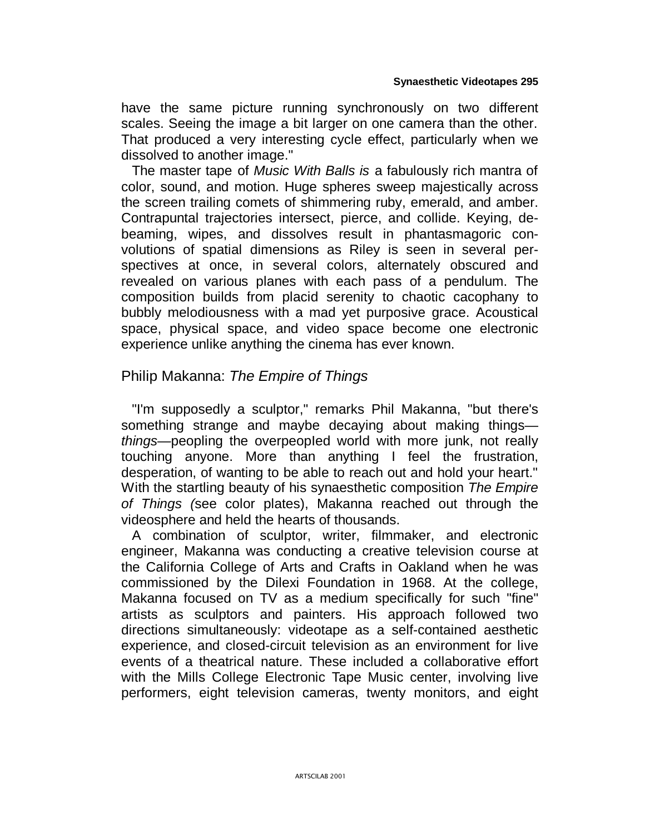have the same picture running synchronously on two different scales. Seeing the image a bit larger on one camera than the other. That produced a very interesting cycle effect, particularly when we dissolved to another image."

The master tape of *Music With Balls is* a fabulously rich mantra of color, sound, and motion. Huge spheres sweep majestically across the screen trailing comets of shimmering ruby, emerald, and amber. Contrapuntal trajectories intersect, pierce, and collide. Keying, debeaming, wipes, and dissolves result in phantasmagoric convolutions of spatial dimensions as Riley is seen in several perspectives at once, in several colors, alternately obscured and revealed on various planes with each pass of a pendulum. The composition builds from placid serenity to chaotic cacophany to bubbly melodiousness with a mad yet purposive grace. Acoustical space, physical space, and video space become one electronic experience unlike anything the cinema has ever known.

# Philip Makanna: *The Empire of Things*

"I'm supposedly a sculptor," remarks Phil Makanna, "but there's something strange and maybe decaying about making things *things—* peopling the overpeopIed world with more junk, not really touching anyone. More than anything I feel the frustration, desperation, of wanting to be able to reach out and hold your heart." With the startling beauty of his synaesthetic composition *The Empire of Things (*see color plates), Makanna reached out through the videosphere and held the hearts of thousands.

A combination of sculptor, writer, filmmaker, and electronic engineer, Makanna was conducting a creative television course at the California College of Arts and Crafts in Oakland when he was commissioned by the Dilexi Foundation in 1968. At the college, Makanna focused on TV as a medium specifically for such "fine" artists as sculptors and painters. His approach followed two directions simultaneously: videotape as a self-contained aesthetic experience, and closed-circuit television as an environment for live events of a theatrical nature. These included a collaborative effort with the Mills College Electronic Tape Music center, involving live performers, eight television cameras, twenty monitors, and eight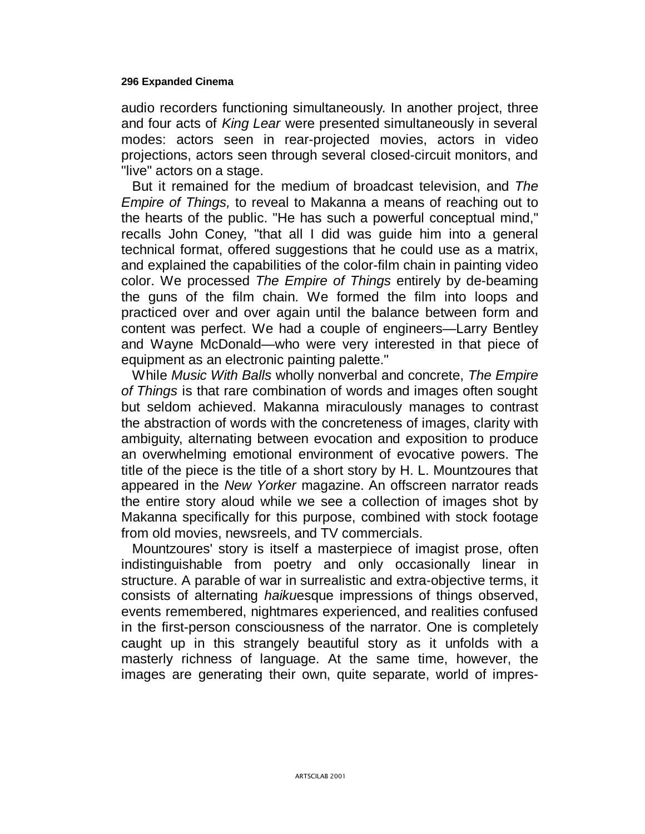audio recorders functioning simultaneously. In another project, three and four acts of *King Lear* were presented simultaneously in several modes: actors seen in rear-projected movies, actors in video projections, actors seen through several closed-circuit monitors, and "live" actors on a stage.

But it remained for the medium of broadcast television, and *The Empire of Things,* to reveal to Makanna a means of reaching out to the hearts of the public. "He has such a powerful conceptual mind," recalls John Coney, "that all I did was guide him into a general technical format, offered suggestions that he could use as a matrix, and explained the capabilities of the color-film chain in painting video color. We processed *The Empire of Things* entirely by de-beaming the guns of the film chain. We formed the film into loops and practiced over and over again until the balance between form and content was perfect. We had a couple of engineers— Larry Bentley and Wayne McDonald— who were very interested in that piece of equipment as an electronic painting palette."

While *Music With Balls* wholly nonverbal and concrete, *The Empire of Things* is that rare combination of words and images often sought but seldom achieved. Makanna miraculously manages to contrast the abstraction of words with the concreteness of images, clarity with ambiguity, alternating between evocation and exposition to produce an overwhelming emotional environment of evocative powers. The title of the piece is the title of a short story by H. L. Mountzoures that appeared in the *New Yorker* magazine. An offscreen narrator reads the entire story aloud while we see a collection of images shot by Makanna specifically for this purpose, combined with stock footage from old movies, newsreels, and TV commercials.

Mountzoures' story is itself a masterpiece of imagist prose, often indistinguishable from poetry and only occasionally linear in structure. A parable of war in surrealistic and extra-objective terms, it consists of alternating *haiku*esque impressions of things observed, events remembered, nightmares experienced, and realities confused in the first-person consciousness of the narrator. One is completely caught up in this strangely beautiful story as it unfolds with a masterly richness of language. At the same time, however, the images are generating their own, quite separate, world of impres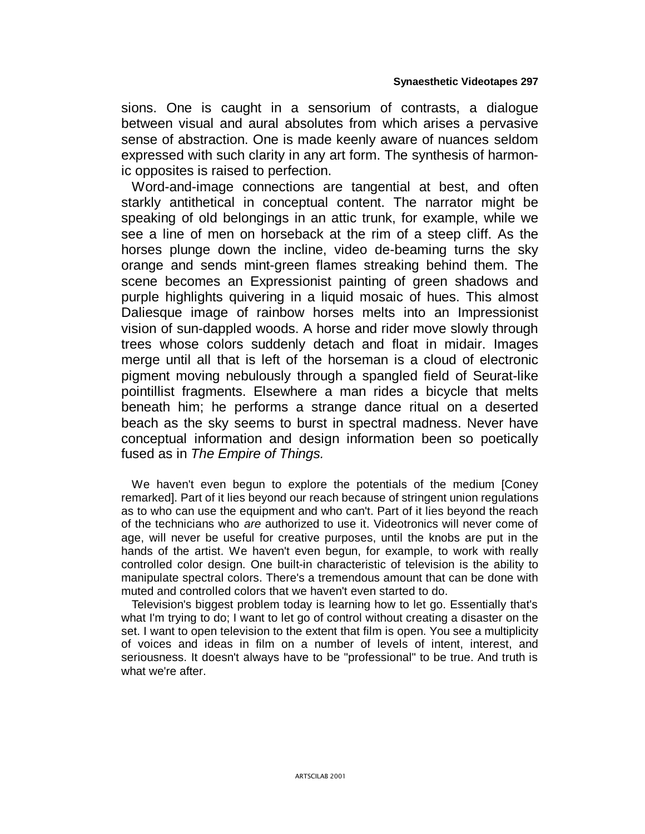sions. One is caught in a sensorium of contrasts, a dialogue between visual and aural absolutes from which arises a pervasive sense of abstraction. One is made keenly aware of nuances seldom expressed with such clarity in any art form. The synthesis of harmonic opposites is raised to perfection.

Word-and-image connections are tangential at best, and often starkly antithetical in conceptual content. The narrator might be speaking of old belongings in an attic trunk, for example, while we see a line of men on horseback at the rim of a steep cliff. As the horses plunge down the incline, video de-beaming turns the sky orange and sends mint-green flames streaking behind them. The scene becomes an Expressionist painting of green shadows and purple highlights quivering in a liquid mosaic of hues. This almost Daliesque image of rainbow horses melts into an Impressionist vision of sun-dappled woods. A horse and rider move slowly through trees whose colors suddenly detach and float in midair. Images merge until all that is left of the horseman is a cloud of electronic pigment moving nebulously through a spangled field of Seurat-like pointillist fragments. Elsewhere a man rides a bicycle that melts beneath him; he performs a strange dance ritual on a deserted beach as the sky seems to burst in spectral madness. Never have conceptual information and design information been so poetically fused as in *The Empire of Things.*

We haven't even begun to explore the potentials of the medium [Coney remarked]. Part of it lies beyond our reach because of stringent union regulations as to who can use the equipment and who can't. Part of it lies beyond the reach of the technicians who *are* authorized to use it. Videotronics will never come of age, will never be useful for creative purposes, until the knobs are put in the hands of the artist. We haven't even begun, for example, to work with really controlled color design. One built-in characteristic of television is the ability to manipulate spectral colors. There's a tremendous amount that can be done with muted and controlled colors that we haven't even started to do.

Television's biggest problem today is learning how to let go. Essentially that's what I'm trying to do; I want to let go of control without creating a disaster on the set. I want to open television to the extent that film is open. You see a multiplicity of voices and ideas in film on a number of levels of intent, interest, and seriousness. It doesn't always have to be "professional" to be true. And truth is what we're after.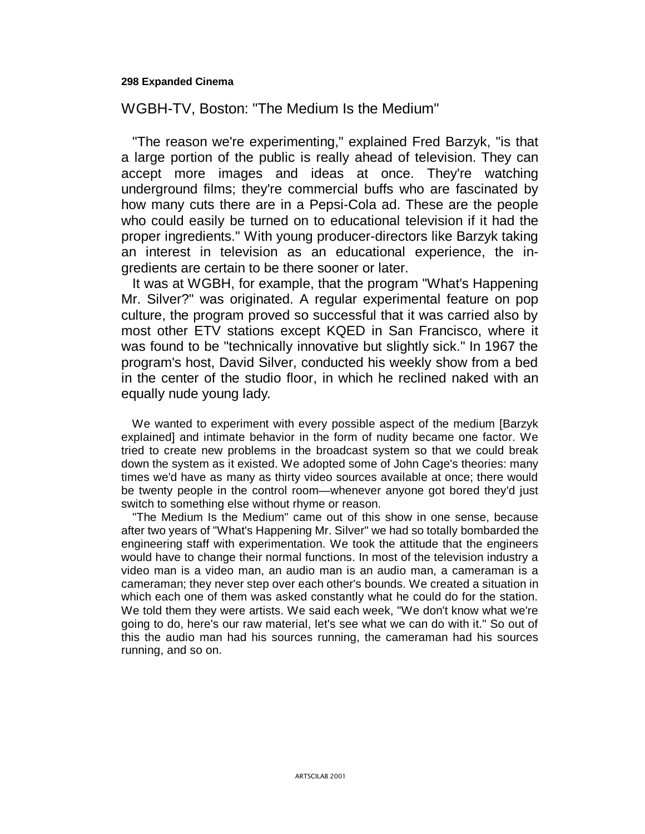WGBH-TV, Boston: "The Medium Is the Medium"

"The reason we're experimenting," explained Fred Barzyk, "is that a large portion of the public is really ahead of television. They can accept more images and ideas at once. They're watching underground films; they're commercial buffs who are fascinated by how many cuts there are in a Pepsi-Cola ad. These are the people who could easily be turned on to educational television if it had the proper ingredients." With young producer-directors like Barzyk taking an interest in television as an educational experience, the ingredients are certain to be there sooner or later.

It was at WGBH, for example, that the program "What's Happening Mr. Silver?" was originated. A regular experimental feature on pop culture, the program proved so successful that it was carried also by most other ETV stations except KQED in San Francisco, where it was found to be "technically innovative but slightly sick." In 1967 the program's host, David Silver, conducted his weekly show from a bed in the center of the studio floor, in which he reclined naked with an equally nude young lady.

We wanted to experiment with every possible aspect of the medium [Barzyk explained] and intimate behavior in the form of nudity became one factor. We tried to create new problems in the broadcast system so that we could break down the system as it existed. We adopted some of John Cage's theories: many times we'd have as many as thirty video sources available at once; there would be twenty people in the control room— whenever anyone got bored they'd just switch to something else without rhyme or reason.

"The Medium Is the Medium" came out of this show in one sense, because after two years of "What's Happening Mr. Silver" we had so totally bombarded the engineering staff with experimentation. We took the attitude that the engineers would have to change their normal functions. In most of the television industry a video man is a video man, an audio man is an audio man, a cameraman is a cameraman; they never step over each other's bounds. We created a situation in which each one of them was asked constantly what he could do for the station. We told them they were artists. We said each week, "We don't know what we're going to do, here's our raw material, let's see what we can do with it." So out of this the audio man had his sources running, the cameraman had his sources running, and so on.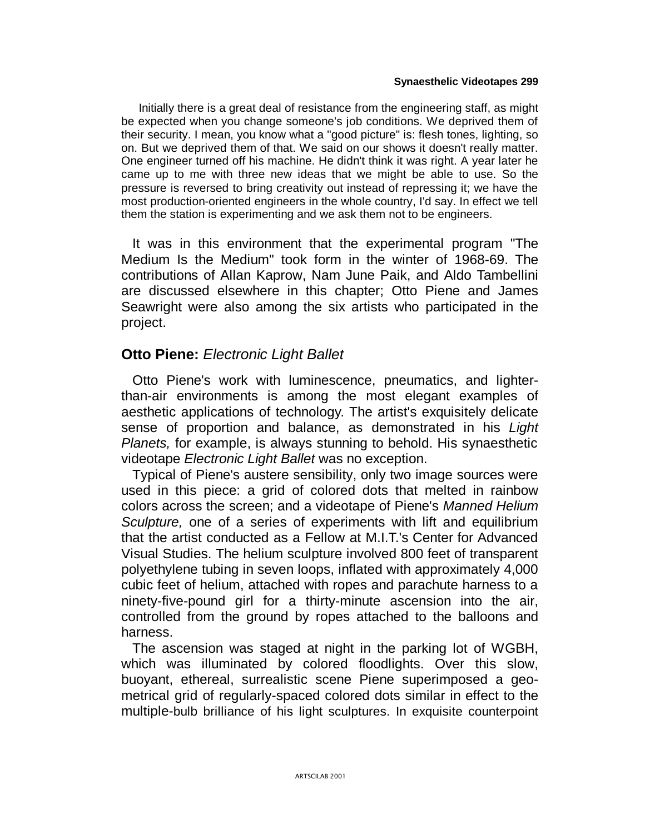#### **Synaesthelic Videotapes 299**

 Initially there is a great deal of resistance from the engineering staff, as might be expected when you change someone's job conditions. We deprived them of their security. I mean, you know what a "good picture" is: flesh tones, lighting, so on. But we deprived them of that. We said on our shows it doesn't really matter. One engineer turned off his machine. He didn't think it was right. A year later he came up to me with three new ideas that we might be able to use. So the pressure is reversed to bring creativity out instead of repressing it; we have the most production-oriented engineers in the whole country, I'd say. In effect we tell them the station is experimenting and we ask them not to be engineers.

It was in this environment that the experimental program "The Medium Is the Medium" took form in the winter of 1968-69. The contributions of Allan Kaprow, Nam June Paik, and Aldo Tambellini are discussed elsewhere in this chapter; Otto Piene and James Seawright were also among the six artists who participated in the project.

# **Otto Piene:** *Electronic Light Ballet*

Otto Piene's work with luminescence, pneumatics, and lighterthan-air environments is among the most elegant examples of aesthetic applications of technology. The artist's exquisitely delicate sense of proportion and balance, as demonstrated in his *Light Planets,* for example, is always stunning to behold. His synaesthetic videotape *Electronic Light Ballet* was no exception.

Typical of Piene's austere sensibility, only two image sources were used in this piece: a grid of colored dots that melted in rainbow colors across the screen; and a videotape of Piene's *Manned Helium Sculpture,* one of a series of experiments with lift and equilibrium that the artist conducted as a Fellow at M.I.T.'s Center for Advanced Visual Studies. The helium sculpture involved 800 feet of transparent polyethylene tubing in seven loops, inflated with approximately 4,000 cubic feet of helium, attached with ropes and parachute harness to a ninety-five-pound girl for a thirty-minute ascension into the air, controlled from the ground by ropes attached to the balloons and harness.

The ascension was staged at night in the parking lot of WGBH, which was illuminated by colored floodlights. Over this slow, buoyant, ethereal, surrealistic scene Piene superimposed a geometrical grid of regularly-spaced colored dots similar in effect to the multiple-bulb brilliance of his light sculptures. In exquisite counterpoint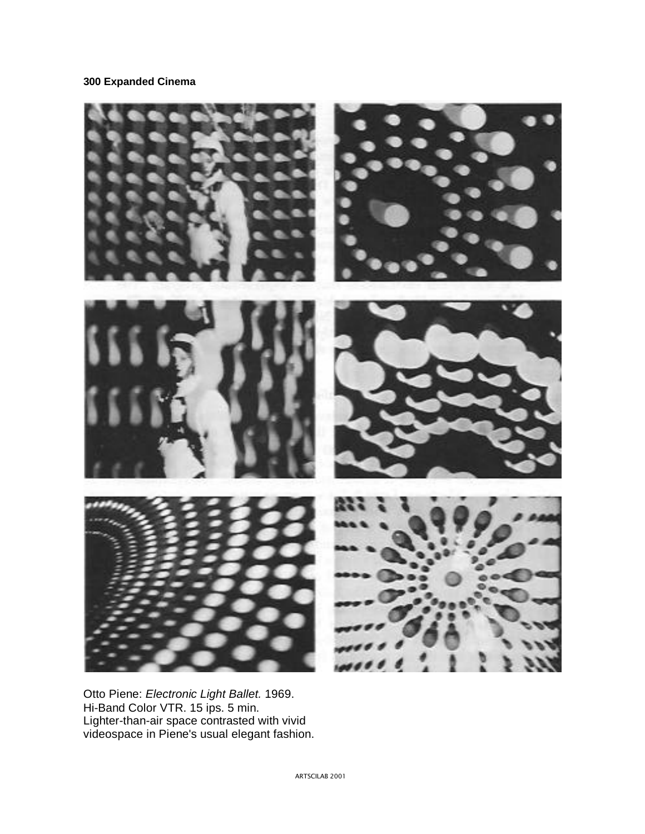

Otto Piene: *Electronic Light Ballet.* 1969. Hi-Band Color VTR. 15 ips. 5 min. Lighter-than-air space contrasted with vivid videospace in Piene's usual elegant fashion.

ARTSCILAB 2001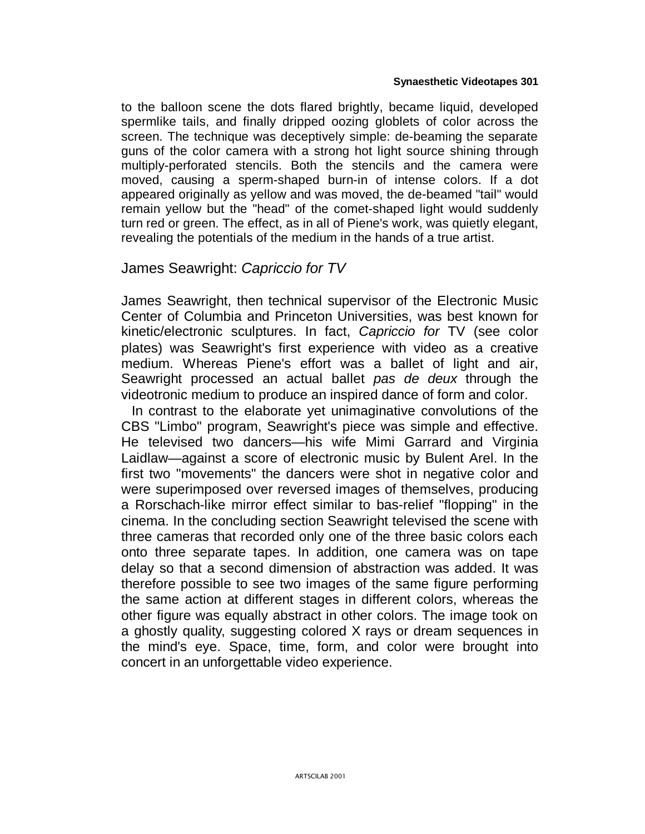#### **Synaesthetic Videotapes 301**

to the balloon scene the dots flared brightly, became liquid, developed spermlike tails, and finally dripped oozing globlets of color across the screen. The technique was deceptively simple: de-beaming the separate guns of the color camera with a strong hot light source shining through multiply-perforated stencils. Both the stencils and the camera were moved, causing a sperm-shaped burn-in of intense colors. If a dot appeared originally as yellow and was moved, the de-beamed "tail" would remain yellow but the "head" of the comet-shaped light would suddenly turn red or green. The effect, as in all of Piene's work, was quietly elegant, revealing the potentials of the medium in the hands of a true artist.

# James Seawright: *Capriccio for TV*

James Seawright, then technical supervisor of the Electronic Music Center of Columbia and Princeton Universities, was best known for kinetic/electronic sculptures. In fact, *Capriccio for* TV (see color plates) was Seawright's first experience with video as a creative medium. Whereas Piene's effort was a ballet of light and air, Seawright processed an actual ballet *pas de deux* through the videotronic medium to produce an inspired dance of form and color.

In contrast to the elaborate yet unimaginative convolutions of the CBS "Limbo" program, Seawright's piece was simple and effective. He televised two dancers— his wife Mimi Garrard and Virginia Laidlaw— against a score of electronic music by Bulent Arel. In the first two "movements" the dancers were shot in negative color and were superimposed over reversed images of themselves, producing a Rorschach-like mirror effect similar to bas-relief "flopping" in the cinema. In the concluding section Seawright televised the scene with three cameras that recorded only one of the three basic colors each onto three separate tapes. In addition, one camera was on tape delay so that a second dimension of abstraction was added. It was therefore possible to see two images of the same figure performing the same action at different stages in different colors, whereas the other figure was equally abstract in other colors. The image took on a ghostly quality, suggesting colored X rays or dream sequences in the mind's eye. Space, time, form, and color were brought into concert in an unforgettable video experience.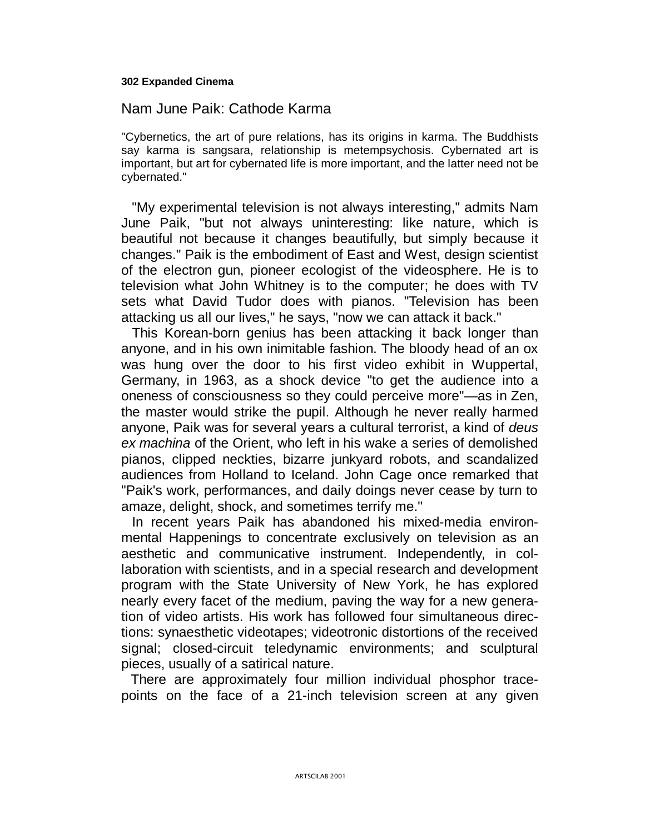## Nam June Paik: Cathode Karma

"Cybernetics, the art of pure relations, has its origins in karma. The Buddhists say karma is sangsara, relationship is metempsychosis. Cybernated art is important, but art for cybernated life is more important, and the latter need not be cybernated."

"My experimental television is not always interesting," admits Nam June Paik, "but not always uninteresting: like nature, which is beautiful not because it changes beautifully, but simply because it changes." Paik is the embodiment of East and West, design scientist of the electron gun, pioneer ecologist of the videosphere. He is to television what John Whitney is to the computer; he does with TV sets what David Tudor does with pianos. "Television has been attacking us all our lives," he says, "now we can attack it back."

This Korean-born genius has been attacking it back longer than anyone, and in his own inimitable fashion. The bloody head of an ox was hung over the door to his first video exhibit in Wuppertal, Germany, in 1963, as a shock device "to get the audience into a oneness of consciousness so they could perceive more"— as in Zen, the master would strike the pupil. Although he never really harmed anyone, Paik was for several years a cultural terrorist, a kind of *deus ex machina* of the Orient, who left in his wake a series of demolished pianos, clipped neckties, bizarre junkyard robots, and scandalized audiences from Holland to Iceland. John Cage once remarked that "Paik's work, performances, and daily doings never cease by turn to amaze, delight, shock, and sometimes terrify me."

In recent years Paik has abandoned his mixed-media environmental Happenings to concentrate exclusively on television as an aesthetic and communicative instrument. Independently, in collaboration with scientists, and in a special research and development program with the State University of New York, he has explored nearly every facet of the medium, paving the way for a new generation of video artists. His work has followed four simultaneous directions: synaesthetic videotapes; videotronic distortions of the received signal; closed-circuit teledynamic environments; and sculptural pieces, usually of a satirical nature.

There are approximately four million individual phosphor tracepoints on the face of a 21-inch television screen at any given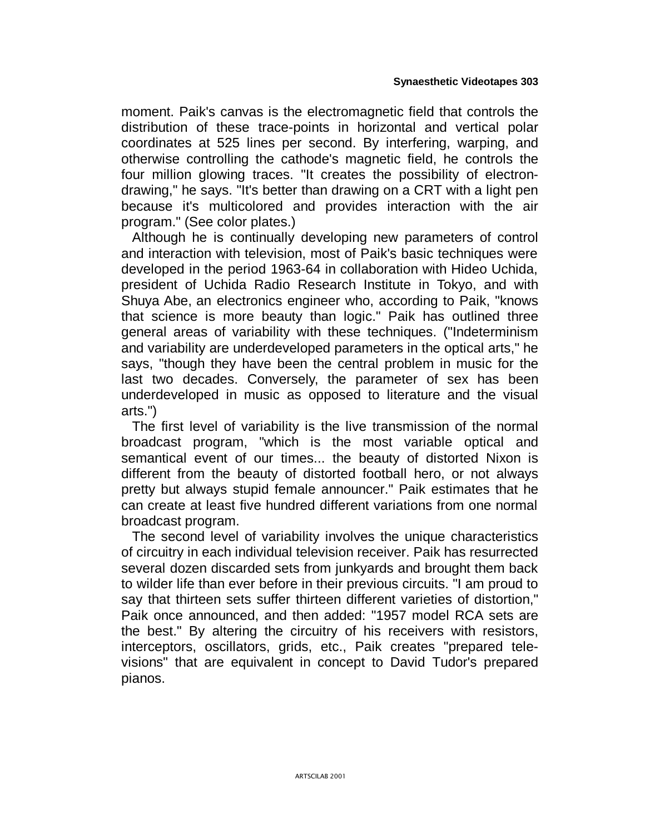moment. Paik's canvas is the electromagnetic field that controls the distribution of these trace-points in horizontal and vertical polar coordinates at 525 lines per second. By interfering, warping, and otherwise controlling the cathode's magnetic field, he controls the four million glowing traces. "It creates the possibility of electrondrawing," he says. "It's better than drawing on a CRT with a light pen because it's multicolored and provides interaction with the air program." (See color plates.)

Although he is continually developing new parameters of control and interaction with television, most of Paik's basic techniques were developed in the period 1963-64 in collaboration with Hideo Uchida, president of Uchida Radio Research Institute in Tokyo, and with Shuya Abe, an electronics engineer who, according to Paik, "knows that science is more beauty than logic." Paik has outlined three general areas of variability with these techniques. ("Indeterminism and variability are underdeveloped parameters in the optical arts," he says, "though they have been the central problem in music for the last two decades. Conversely, the parameter of sex has been underdeveloped in music as opposed to literature and the visual arts.")

The first level of variability is the live transmission of the normal broadcast program, "which is the most variable optical and semantical event of our times... the beauty of distorted Nixon is different from the beauty of distorted football hero, or not always pretty but always stupid female announcer." Paik estimates that he can create at least five hundred different variations from one normal broadcast program.

The second level of variability involves the unique characteristics of circuitry in each individual television receiver. Paik has resurrected several dozen discarded sets from junkyards and brought them back to wilder life than ever before in their previous circuits. "I am proud to say that thirteen sets suffer thirteen different varieties of distortion," Paik once announced, and then added: "1957 model RCA sets are the best." By altering the circuitry of his receivers with resistors, interceptors, oscillators, grids, etc., Paik creates "prepared televisions" that are equivalent in concept to David Tudor's prepared pianos.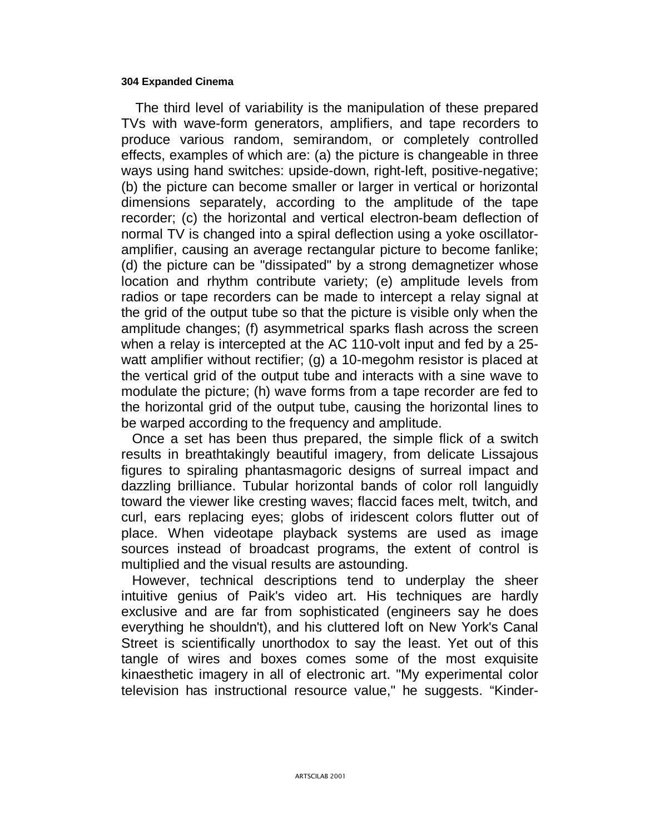The third level of variability is the manipulation of these prepared TVs with wave-form generators, amplifiers, and tape recorders to produce various random, semirandom, or completely controlled effects, examples of which are: (a) the picture is changeable in three ways using hand switches: upside-down, right-left, positive-negative; (b) the picture can become smaller or larger in vertical or horizontal dimensions separately, according to the amplitude of the tape recorder; (c) the horizontal and vertical electron-beam deflection of normal TV is changed into a spiral deflection using a yoke oscillatoramplifier, causing an average rectangular picture to become fanlike; (d) the picture can be "dissipated" by a strong demagnetizer whose location and rhythm contribute variety; (e) amplitude levels from radios or tape recorders can be made to intercept a relay signal at the grid of the output tube so that the picture is visible only when the amplitude changes; (f) asymmetrical sparks flash across the screen when a relay is intercepted at the AC 110-volt input and fed by a 25 watt amplifier without rectifier: (g) a 10-megohm resistor is placed at the vertical grid of the output tube and interacts with a sine wave to modulate the picture; (h) wave forms from a tape recorder are fed to the horizontal grid of the output tube, causing the horizontal lines to be warped according to the frequency and amplitude.

Once a set has been thus prepared, the simple flick of a switch results in breathtakingly beautiful imagery, from delicate Lissajous figures to spiraling phantasmagoric designs of surreal impact and dazzling brilliance. Tubular horizontal bands of color roll languidly toward the viewer like cresting waves; flaccid faces melt, twitch, and curl, ears replacing eyes; globs of iridescent colors flutter out of place. When videotape playback systems are used as image sources instead of broadcast programs, the extent of control is multiplied and the visual results are astounding.

However, technical descriptions tend to underplay the sheer intuitive genius of Paik's video art. His techniques are hardly exclusive and are far from sophisticated (engineers say he does everything he shouldn't), and his cluttered loft on New York's Canal Street is scientifically unorthodox to say the least. Yet out of this tangle of wires and boxes comes some of the most exquisite kinaesthetic imagery in all of electronic art. "My experimental color television has instructional resource value," he suggests. "Kinder-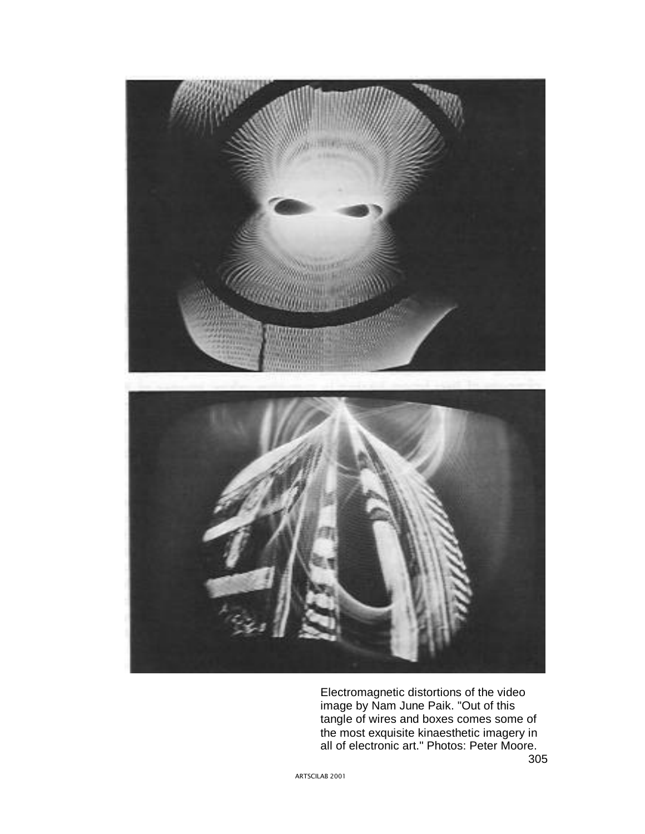

Electromagnetic distortions of the video image by Nam June Paik. "Out of this tangle of wires and boxes comes some of the most exquisite kinaesthetic imagery in all of electronic art." Photos: Peter Moore.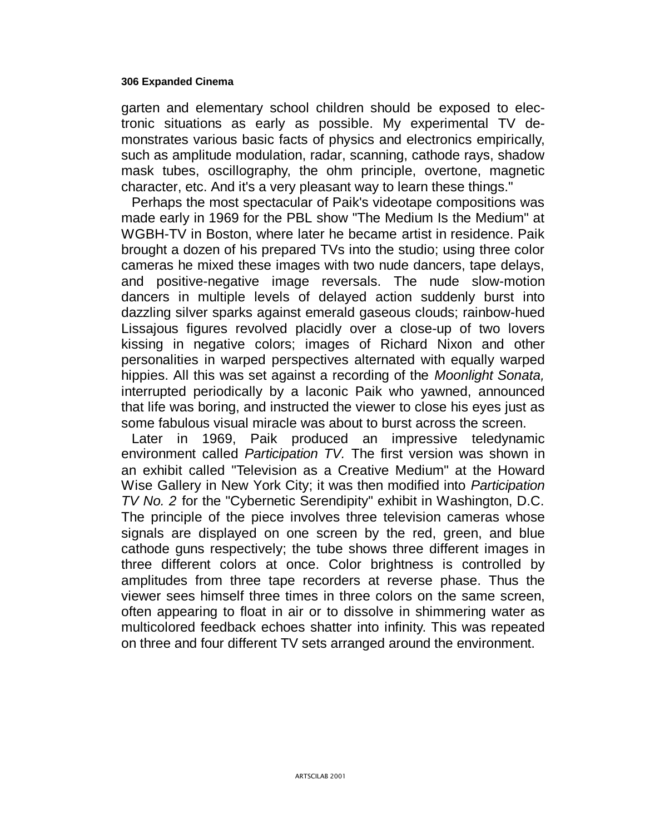garten and elementary school children should be exposed to electronic situations as early as possible. My experimental TV demonstrates various basic facts of physics and electronics empirically, such as amplitude modulation, radar, scanning, cathode rays, shadow mask tubes, oscillography, the ohm principle, overtone, magnetic character, etc. And it's a very pleasant way to learn these things."

Perhaps the most spectacular of Paik's videotape compositions was made early in 1969 for the PBL show "The Medium Is the Medium" at WGBH-TV in Boston, where later he became artist in residence. Paik brought a dozen of his prepared TVs into the studio; using three color cameras he mixed these images with two nude dancers, tape delays, and positive-negative image reversals. The nude slow-motion dancers in multiple levels of delayed action suddenly burst into dazzling silver sparks against emerald gaseous clouds; rainbow-hued Lissajous figures revolved placidly over a close-up of two lovers kissing in negative colors; images of Richard Nixon and other personalities in warped perspectives alternated with equally warped hippies. All this was set against a recording of the *Moonlight Sonata,*  interrupted periodically by a laconic Paik who yawned, announced that life was boring, and instructed the viewer to close his eyes just as some fabulous visual miracle was about to burst across the screen.

Later in 1969, Paik produced an impressive teledynamic environment called *Participation TV.* The first version was shown in an exhibit called "Television as a Creative Medium" at the Howard Wise Gallery in New York City; it was then modified into *Participation TV No. 2* for the "Cybernetic Serendipity" exhibit in Washington, D.C. The principle of the piece involves three television cameras whose signals are displayed on one screen by the red, green, and blue cathode guns respectively; the tube shows three different images in three different colors at once. Color brightness is controlled by amplitudes from three tape recorders at reverse phase. Thus the viewer sees himself three times in three colors on the same screen, often appearing to float in air or to dissolve in shimmering water as multicolored feedback echoes shatter into infinity. This was repeated on three and four different TV sets arranged around the environment.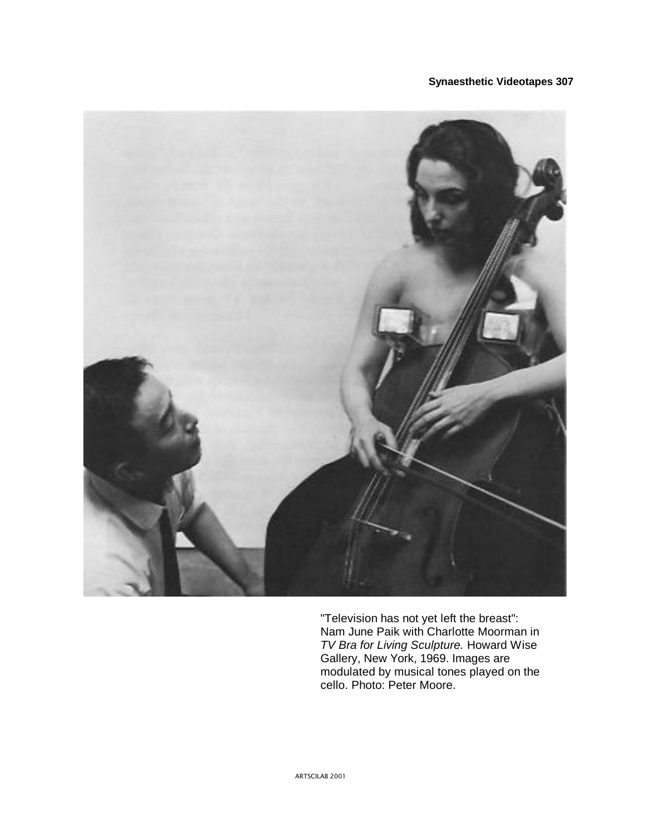#### **Synaesthetic Videotapes 307**



"Television has not yet left the breast": Nam June Paik with Charlotte Moorman in *TV Bra for Living Sculpture.* Howard Wise Gallery, New York, 1969. Images are modulated by musical tones played on the cello. Photo: Peter Moore.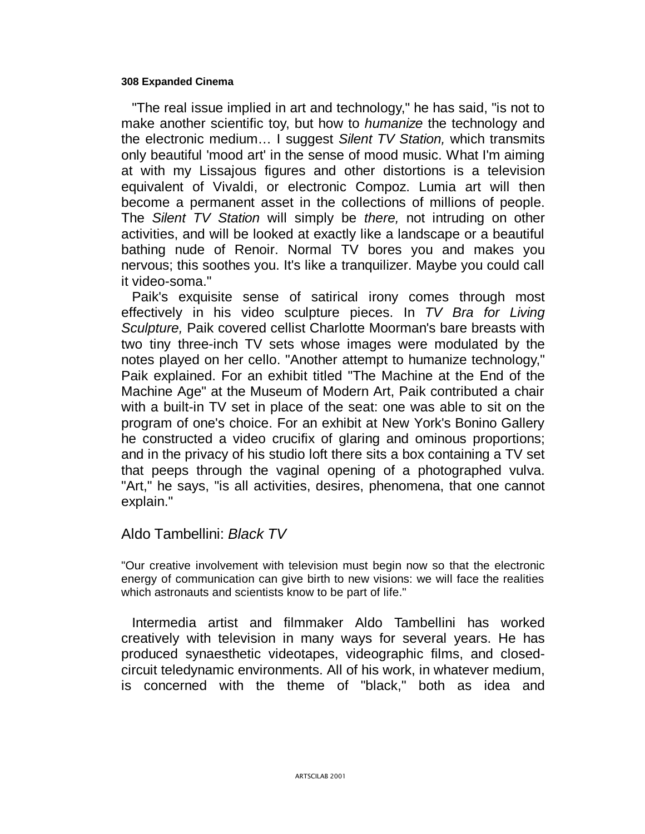"The real issue implied in art and technology," he has said, "is not to make another scientific toy, but how to *humanize* the technology and the electronic medium… I suggest *Silent TV Station,* which transmits only beautiful 'mood art' in the sense of mood music. What I'm aiming at with my Lissajous figures and other distortions is a television equivalent of Vivaldi, or electronic Compoz. Lumia art will then become a permanent asset in the collections of millions of people. The *Silent TV Station* will simply be *there,* not intruding on other activities, and will be looked at exactly like a landscape or a beautiful bathing nude of Renoir. Normal TV bores you and makes you nervous; this soothes you. It's like a tranquilizer. Maybe you could call it video-soma."

Paik's exquisite sense of satirical irony comes through most effectively in his video sculpture pieces. In *TV Bra for Living Sculpture,* Paik covered cellist Charlotte Moorman's bare breasts with two tiny three-inch TV sets whose images were modulated by the notes played on her cello. "Another attempt to humanize technology," Paik explained. For an exhibit titled "The Machine at the End of the Machine Age" at the Museum of Modern Art, Paik contributed a chair with a built-in TV set in place of the seat: one was able to sit on the program of one's choice. For an exhibit at New York's Bonino Gallery he constructed a video crucifix of glaring and ominous proportions; and in the privacy of his studio loft there sits a box containing a TV set that peeps through the vaginal opening of a photographed vulva. "Art," he says, "is all activities, desires, phenomena, that one cannot explain."

## Aldo Tambellini: *Black TV*

"Our creative involvement with television must begin now so that the electronic energy of communication can give birth to new visions: we will face the realities which astronauts and scientists know to be part of life."

Intermedia artist and filmmaker Aldo Tambellini has worked creatively with television in many ways for several years. He has produced synaesthetic videotapes, videographic films, and closedcircuit teledynamic environments. All of his work, in whatever medium, is concerned with the theme of "black," both as idea and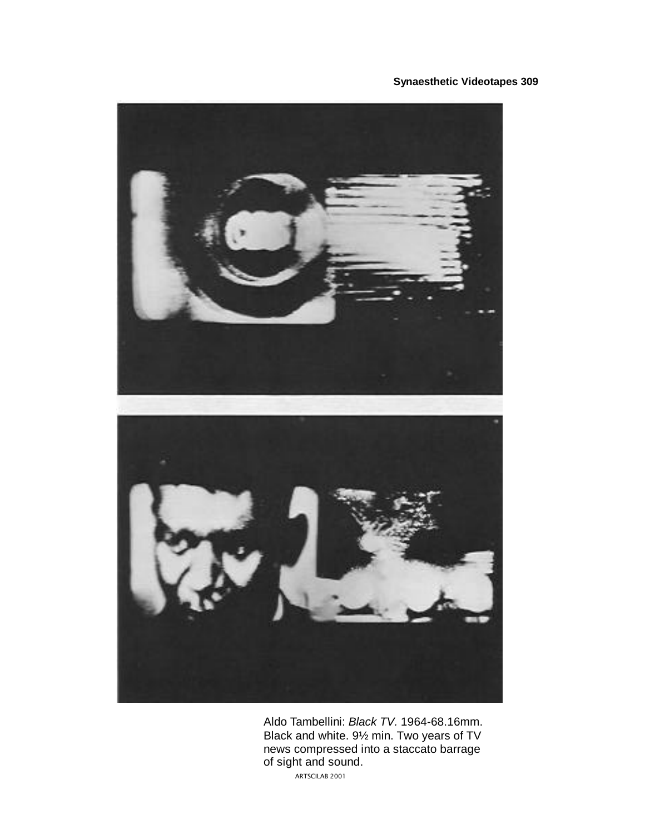### **Synaesthetic Videotapes 309**



 ARTSCILAB 2001 Aldo Tambellini: *Black TV.* 1964-68.16mm. Black and white. 9½ min. Two years of TV news compressed into a staccato barrage of sight and sound.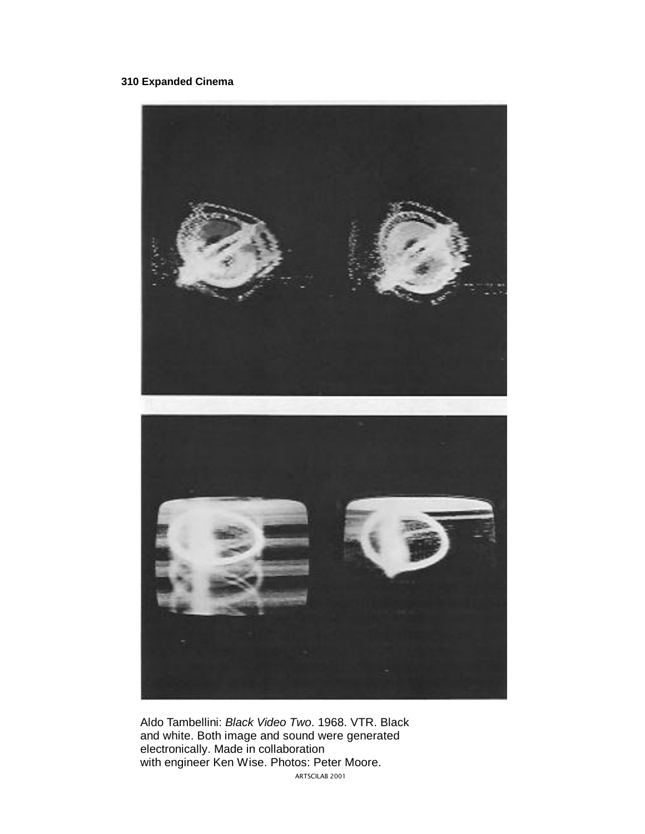

Aldo Tambellini: *Black Video Two*. 1968. VTR. Black and white. Both image and sound were generated electronically. Made in collaboration with engineer Ken Wise. Photos: Peter Moore.

ARTSCILAB 2001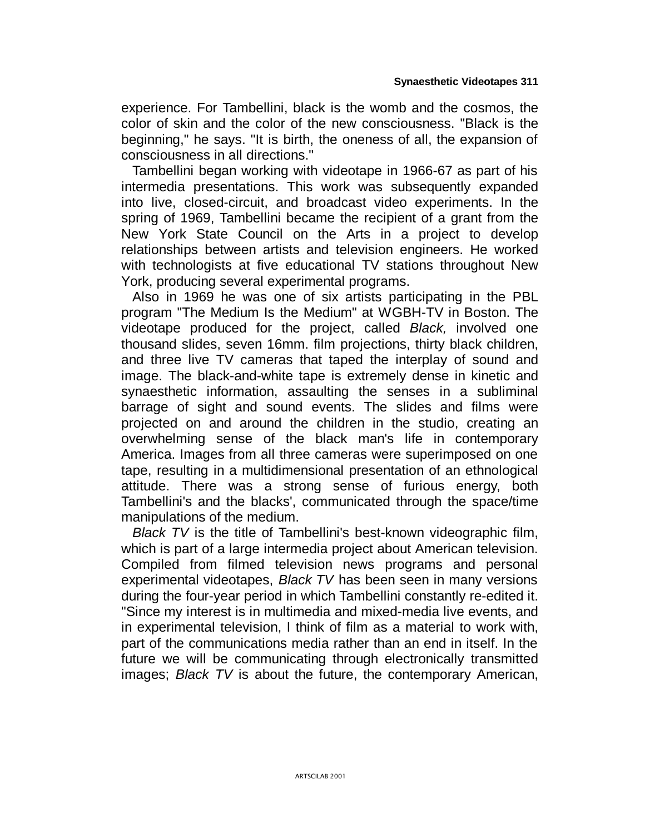experience. For Tambellini, black is the womb and the cosmos, the color of skin and the color of the new consciousness. "Black is the beginning," he says. "It is birth, the oneness of all, the expansion of consciousness in all directions."

Tambellini began working with videotape in 1966-67 as part of his intermedia presentations. This work was subsequently expanded into live, closed-circuit, and broadcast video experiments. In the spring of 1969, Tambellini became the recipient of a grant from the New York State Council on the Arts in a project to develop relationships between artists and television engineers. He worked with technologists at five educational TV stations throughout New York, producing several experimental programs.

Also in 1969 he was one of six artists participating in the PBL program "The Medium Is the Medium" at WGBH-TV in Boston. The videotape produced for the project, called *Black,* involved one thousand slides, seven 16mm. film projections, thirty black children, and three live TV cameras that taped the interplay of sound and image. The black-and-white tape is extremely dense in kinetic and synaesthetic information, assaulting the senses in a subliminal barrage of sight and sound events. The slides and films were projected on and around the children in the studio, creating an overwhelming sense of the black man's life in contemporary America. Images from all three cameras were superimposed on one tape, resulting in a multidimensional presentation of an ethnological attitude. There was a strong sense of furious energy, both Tambellini's and the blacks', communicated through the space/time manipulations of the medium.

*Black TV* is the title of Tambellini's best-known videographic film, which is part of a large intermedia project about American television. Compiled from filmed television news programs and personal experimental videotapes, *Black TV* has been seen in many versions during the four-year period in which Tambellini constantly re-edited it. "Since my interest is in multimedia and mixed-media live events, and in experimental television, I think of film as a material to work with, part of the communications media rather than an end in itself. In the future we will be communicating through electronically transmitted images; *Black TV* is about the future, the contemporary American,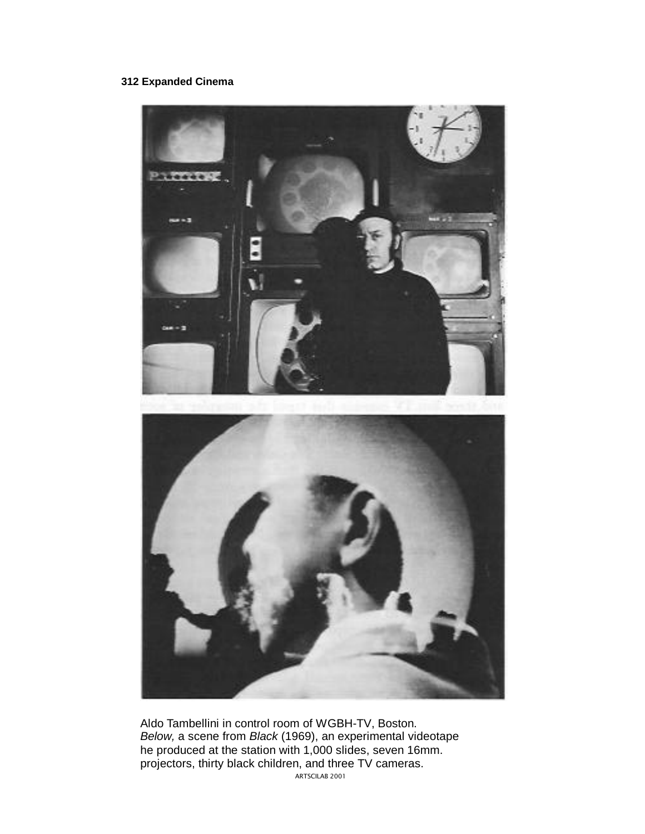

 ARTSCILAB 2001 Aldo Tambellini in control room of WGBH-TV, Boston. *Below,* a scene from *Black* (1969), an experimental videotape he produced at the station with 1,000 slides, seven 16mm. projectors, thirty black children, and three TV cameras.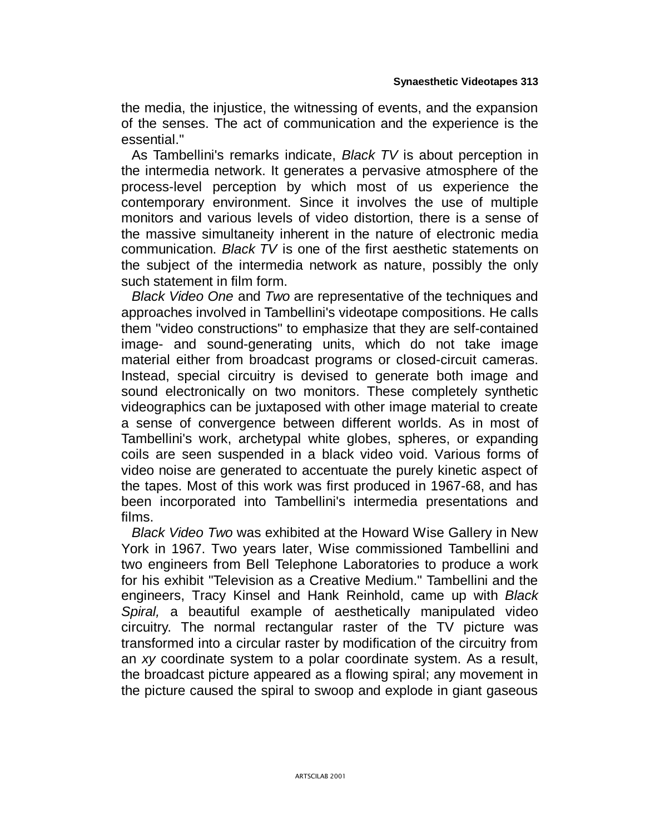the media, the injustice, the witnessing of events, and the expansion of the senses. The act of communication and the experience is the essential."

As Tambellini's remarks indicate, *Black TV* is about perception in the intermedia network. It generates a pervasive atmosphere of the process-level perception by which most of us experience the contemporary environment. Since it involves the use of multiple monitors and various levels of video distortion, there is a sense of the massive simultaneity inherent in the nature of electronic media communication. *Black TV* is one of the first aesthetic statements on the subject of the intermedia network as nature, possibly the only such statement in film form.

*Black Video One* and *Two* are representative of the techniques and approaches involved in Tambellini's videotape compositions. He calls them "video constructions" to emphasize that they are self-contained image- and sound-generating units, which do not take image material either from broadcast programs or closed-circuit cameras. Instead, special circuitry is devised to generate both image and sound electronically on two monitors. These completely synthetic videographics can be juxtaposed with other image material to create a sense of convergence between different worlds. As in most of Tambellini's work, archetypal white globes, spheres, or expanding coils are seen suspended in a black video void. Various forms of video noise are generated to accentuate the purely kinetic aspect of the tapes. Most of this work was first produced in 1967-68, and has been incorporated into Tambellini's intermedia presentations and films.

*Black Video Two* was exhibited at the Howard Wise Gallery in New York in 1967. Two years later, Wise commissioned Tambellini and two engineers from Bell Telephone Laboratories to produce a work for his exhibit "Television as a Creative Medium." Tambellini and the engineers, Tracy Kinsel and Hank Reinhold, came up with *Black Spiral,* a beautiful example of aesthetically manipulated video circuitry. The normal rectangular raster of the TV picture was transformed into a circular raster by modification of the circuitry from an *xy* coordinate system to a polar coordinate system. As a result, the broadcast picture appeared as a flowing spiral; any movement in the picture caused the spiral to swoop and explode in giant gaseous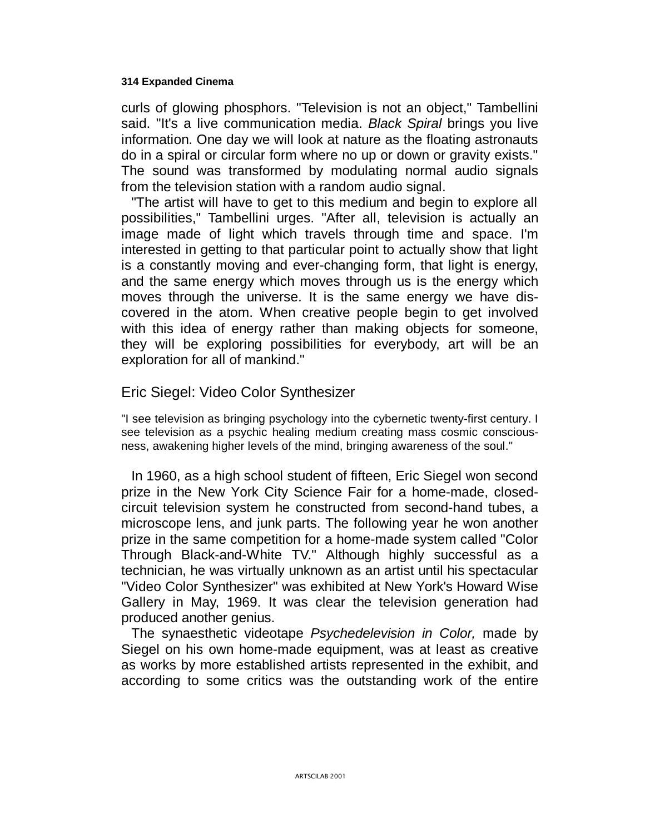curls of glowing phosphors. "Television is not an object," Tambellini said. "It's a live communication media. *Black Spiral* brings you live information. One day we will look at nature as the floating astronauts do in a spiral or circular form where no up or down or gravity exists." The sound was transformed by modulating normal audio signals from the television station with a random audio signal.

"The artist will have to get to this medium and begin to explore all possibilities," Tambellini urges. "After all, television is actually an image made of light which travels through time and space. I'm interested in getting to that particular point to actually show that light is a constantly moving and ever-changing form, that light is energy, and the same energy which moves through us is the energy which moves through the universe. It is the same energy we have discovered in the atom. When creative people begin to get involved with this idea of energy rather than making objects for someone, they will be exploring possibilities for everybody, art will be an exploration for all of mankind."

# Eric Siegel: Video Color Synthesizer

"I see television as bringing psychology into the cybernetic twenty-first century. I see television as a psychic healing medium creating mass cosmic consciousness, awakening higher levels of the mind, bringing awareness of the soul."

In 1960, as a high school student of fifteen, Eric Siegel won second prize in the New York City Science Fair for a home-made, closedcircuit television system he constructed from second-hand tubes, a microscope lens, and junk parts. The following year he won another prize in the same competition for a home-made system called "Color Through Black-and-White TV." Although highly successful as a technician, he was virtually unknown as an artist until his spectacular "Video Color Synthesizer" was exhibited at New York's Howard Wise Gallery in May, 1969. It was clear the television generation had produced another genius.

The synaesthetic videotape *Psychedelevision in Color,* made by Siegel on his own home-made equipment, was at least as creative as works by more established artists represented in the exhibit, and according to some critics was the outstanding work of the entire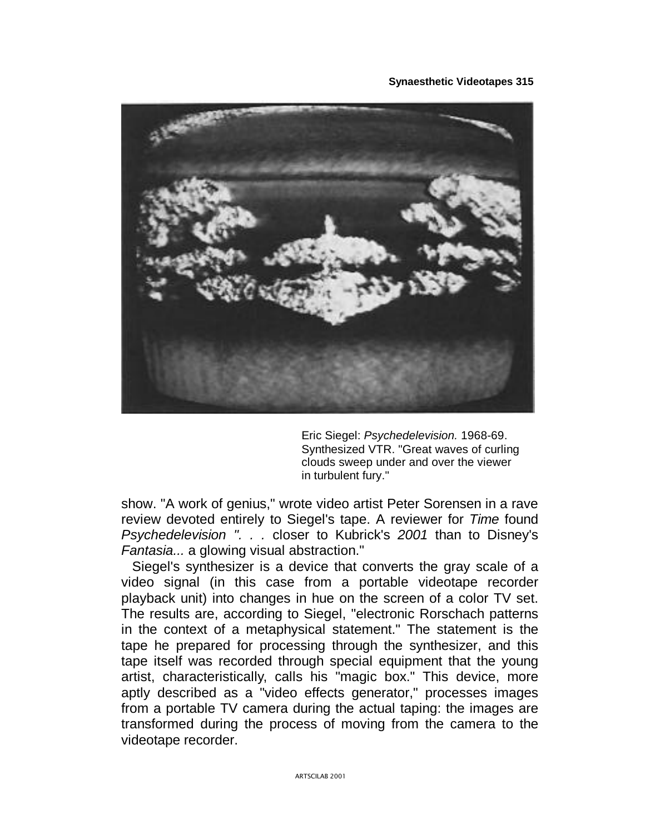#### **Synaesthetic Videotapes 315**



Eric Siegel: *Psychedelevision.* 1968-69. Synthesized VTR. "Great waves of curling clouds sweep under and over the viewer in turbulent fury."

show. "A work of genius," wrote video artist Peter Sorensen in a rave review devoted entirely to Siegel's tape. A reviewer for *Time* found *Psychedelevision ". . .* closer to Kubrick's *2001* than to Disney's *Fantasia...* a glowing visual abstraction."

Siegel's synthesizer is a device that converts the gray scale of a video signal (in this case from a portable videotape recorder playback unit) into changes in hue on the screen of a color TV set. The results are, according to Siegel, "electronic Rorschach patterns in the context of a metaphysical statement." The statement is the tape he prepared for processing through the synthesizer, and this tape itself was recorded through special equipment that the young artist, characteristically, calls his "magic box." This device, more aptly described as a "video effects generator," processes images from a portable TV camera during the actual taping: the images are transformed during the process of moving from the camera to the videotape recorder.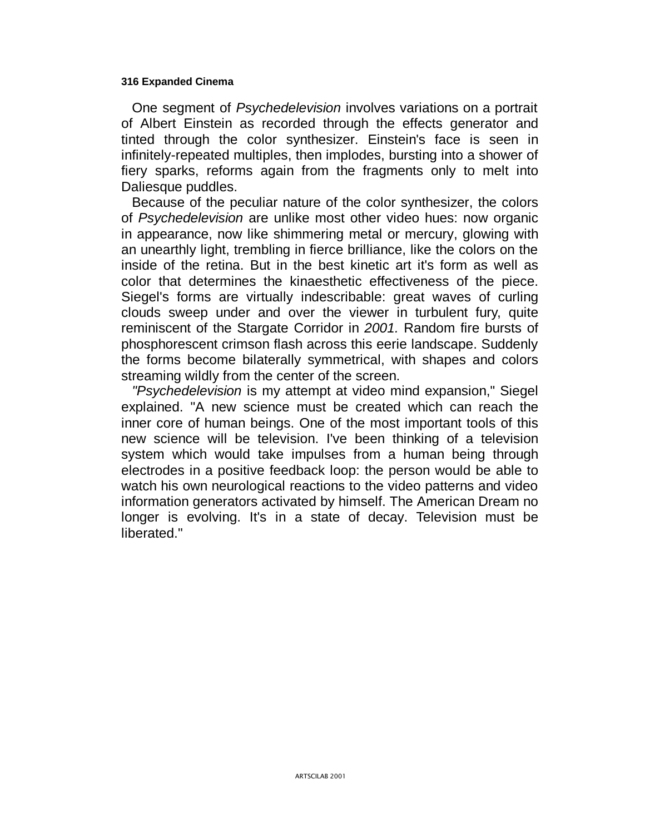One segment of *Psychedelevision* involves variations on a portrait of Albert Einstein as recorded through the effects generator and tinted through the color synthesizer. Einstein's face is seen in infinitely-repeated multiples, then implodes, bursting into a shower of fiery sparks, reforms again from the fragments only to melt into Daliesque puddles.

Because of the peculiar nature of the color synthesizer, the colors of *Psychedelevision* are unlike most other video hues: now organic in appearance, now like shimmering metal or mercury, glowing with an unearthly light, trembling in fierce brilliance, like the colors on the inside of the retina. But in the best kinetic art it's form as well as color that determines the kinaesthetic effectiveness of the piece. Siegel's forms are virtually indescribable: great waves of curling clouds sweep under and over the viewer in turbulent fury, quite reminiscent of the Stargate Corridor in *2001.* Random fire bursts of phosphorescent crimson flash across this eerie landscape. Suddenly the forms become bilaterally symmetrical, with shapes and colors streaming wildly from the center of the screen.

*"Psychedelevision* is my attempt at video mind expansion," Siegel explained. "A new science must be created which can reach the inner core of human beings. One of the most important tools of this new science will be television. I've been thinking of a television system which would take impulses from a human being through electrodes in a positive feedback loop: the person would be able to watch his own neurological reactions to the video patterns and video information generators activated by himself. The American Dream no longer is evolving. It's in a state of decay. Television must be liberated."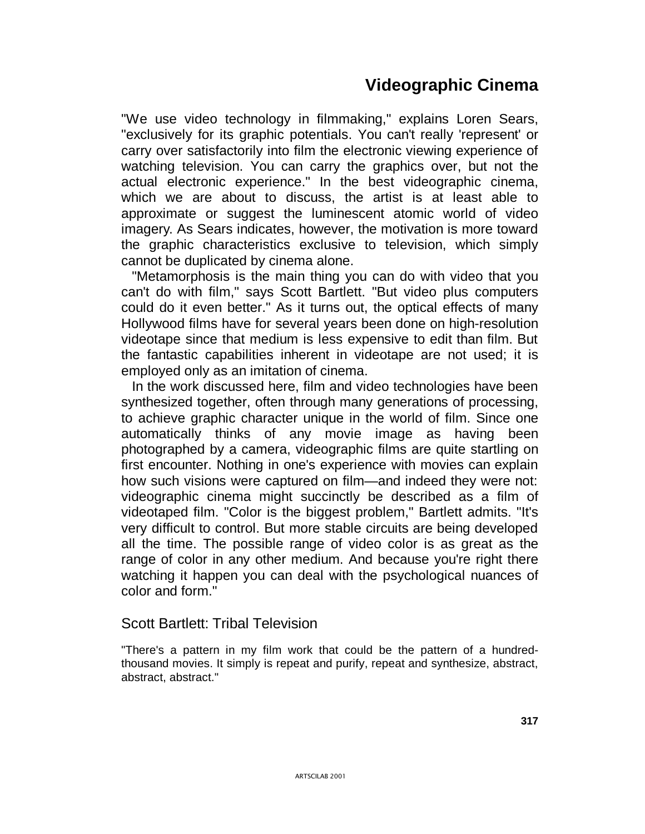# **Videographic Cinema**

"We use video technology in filmmaking," explains Loren Sears, "exclusively for its graphic potentials. You can't really 'represent' or carry over satisfactorily into film the electronic viewing experience of watching television. You can carry the graphics over, but not the actual electronic experience." In the best videographic cinema, which we are about to discuss, the artist is at least able to approximate or suggest the luminescent atomic world of video imagery. As Sears indicates, however, the motivation is more toward the graphic characteristics exclusive to television, which simply cannot be duplicated by cinema alone.

"Metamorphosis is the main thing you can do with video that you can't do with film," says Scott Bartlett. "But video plus computers could do it even better." As it turns out, the optical effects of many Hollywood films have for several years been done on high-resolution videotape since that medium is less expensive to edit than film. But the fantastic capabilities inherent in videotape are not used; it is employed only as an imitation of cinema.

In the work discussed here, film and video technologies have been synthesized together, often through many generations of processing, to achieve graphic character unique in the world of film. Since one automatically thinks of any movie image as having been photographed by a camera, videographic films are quite startling on first encounter. Nothing in one's experience with movies can explain how such visions were captured on film— and indeed they were not: videographic cinema might succinctly be described as a film of videotaped film. "Color is the biggest problem," Bartlett admits. "It's very difficult to control. But more stable circuits are being developed all the time. The possible range of video color is as great as the range of color in any other medium. And because you're right there watching it happen you can deal with the psychological nuances of color and form."

## Scott Bartlett: Tribal Television

"There's a pattern in my film work that could be the pattern of a hundredthousand movies. It simply is repeat and purify, repeat and synthesize, abstract, abstract, abstract."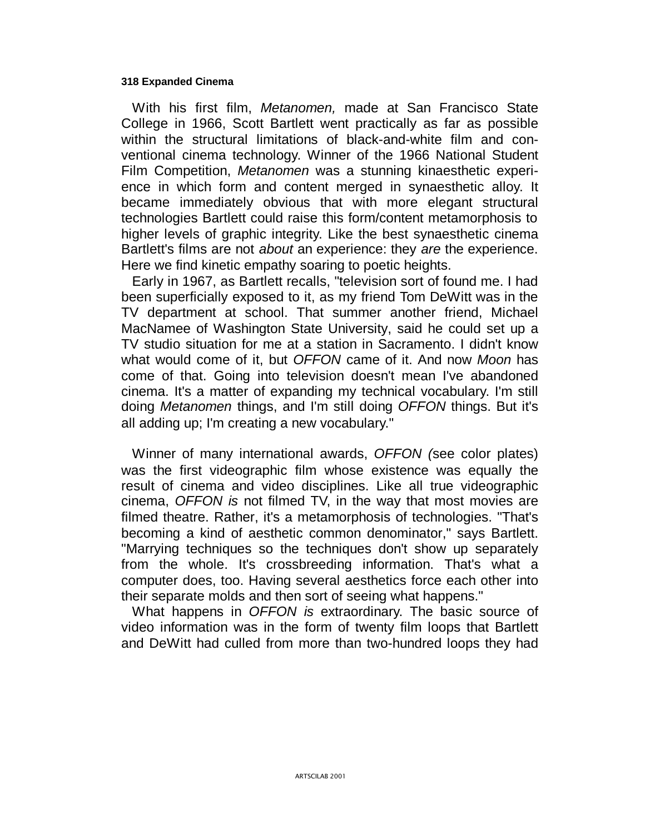With his first film, *Metanomen,* made at San Francisco State College in 1966, Scott Bartlett went practically as far as possible within the structural limitations of black-and-white film and conventional cinema technology. Winner of the 1966 National Student Film Competition, *Metanomen* was a stunning kinaesthetic experience in which form and content merged in synaesthetic alloy. It became immediately obvious that with more elegant structural technologies Bartlett could raise this form/content metamorphosis to higher levels of graphic integrity. Like the best synaesthetic cinema Bartlett's films are not *about* an experience: they *are* the experience. Here we find kinetic empathy soaring to poetic heights.

Early in 1967, as Bartlett recalls, "television sort of found me. I had been superficially exposed to it, as my friend Tom DeWitt was in the TV department at school. That summer another friend, Michael MacNamee of Washington State University, said he could set up a TV studio situation for me at a station in Sacramento. I didn't know what would come of it, but *OFFON* came of it. And now *Moon* has come of that. Going into television doesn't mean I've abandoned cinema. It's a matter of expanding my technical vocabulary. I'm still doing *Metanomen* things, and I'm still doing *OFFON* things. But it's all adding up; I'm creating a new vocabulary."

Winner of many international awards, *OFFON (*see color plates) was the first videographic film whose existence was equally the result of cinema and video disciplines. Like all true videographic cinema, *OFFON is* not filmed TV, in the way that most movies are filmed theatre. Rather, it's a metamorphosis of technologies. "That's becoming a kind of aesthetic common denominator," says Bartlett. "Marrying techniques so the techniques don't show up separately from the whole. It's crossbreeding information. That's what a computer does, too. Having several aesthetics force each other into their separate molds and then sort of seeing what happens."

What happens in *OFFON is* extraordinary. The basic source of video information was in the form of twenty film loops that Bartlett and DeWitt had culled from more than two-hundred loops they had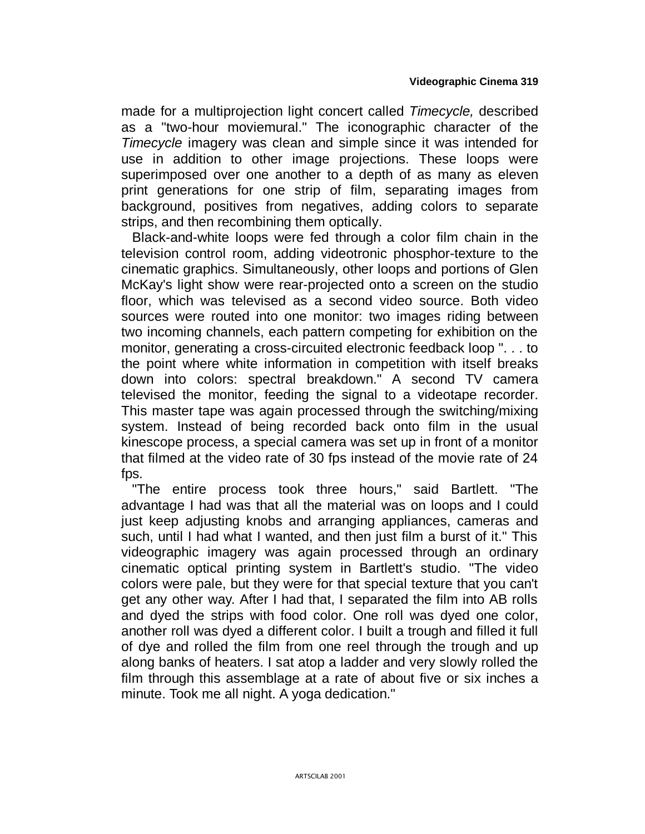made for a multiprojection light concert called *Timecycle,* described as a "two-hour moviemural." The iconographic character of the *Timecycle* imagery was clean and simple since it was intended for use in addition to other image projections. These loops were superimposed over one another to a depth of as many as eleven print generations for one strip of film, separating images from background, positives from negatives, adding colors to separate strips, and then recombining them optically.

Black-and-white loops were fed through a color film chain in the television control room, adding videotronic phosphor-texture to the cinematic graphics. Simultaneously, other loops and portions of Glen McKay's light show were rear-projected onto a screen on the studio floor, which was televised as a second video source. Both video sources were routed into one monitor: two images riding between two incoming channels, each pattern competing for exhibition on the monitor, generating a cross-circuited electronic feedback loop ". . . to the point where white information in competition with itself breaks down into colors: spectral breakdown." A second TV camera televised the monitor, feeding the signal to a videotape recorder. This master tape was again processed through the switching/mixing system. Instead of being recorded back onto film in the usual kinescope process, a special camera was set up in front of a monitor that filmed at the video rate of 30 fps instead of the movie rate of 24 fps.

"The entire process took three hours," said Bartlett. "The advantage I had was that all the material was on loops and I could just keep adjusting knobs and arranging appliances, cameras and such, until I had what I wanted, and then just film a burst of it." This videographic imagery was again processed through an ordinary cinematic optical printing system in Bartlett's studio. "The video colors were pale, but they were for that special texture that you can't get any other way. After I had that, I separated the film into AB rolls and dyed the strips with food color. One roll was dyed one color, another roll was dyed a different color. I built a trough and filled it full of dye and rolled the film from one reel through the trough and up along banks of heaters. I sat atop a ladder and very slowly rolled the film through this assemblage at a rate of about five or six inches a minute. Took me all night. A yoga dedication."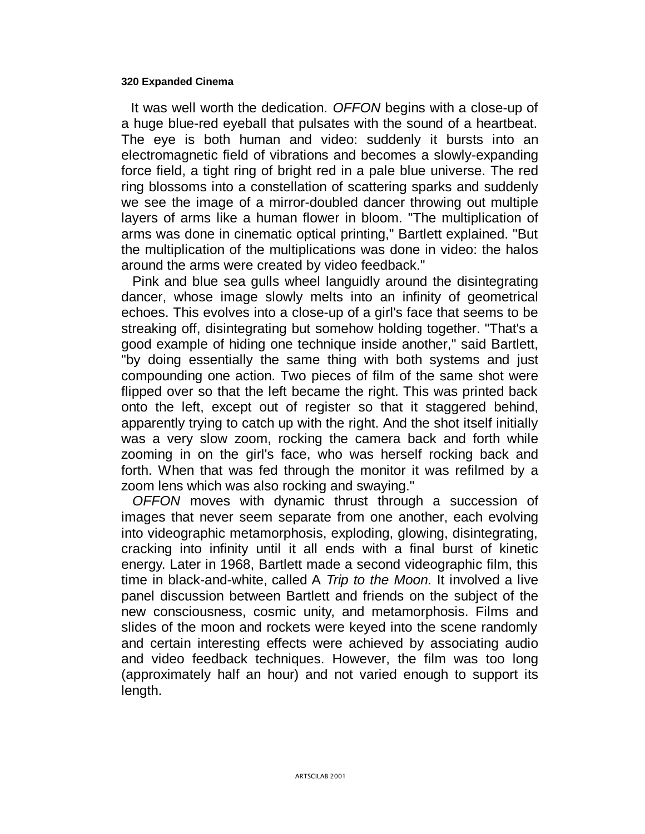It was well worth the dedication. *OFFON* begins with a close-up of a huge blue-red eyeball that pulsates with the sound of a heartbeat. The eye is both human and video: suddenly it bursts into an electromagnetic field of vibrations and becomes a slowly-expanding force field, a tight ring of bright red in a pale blue universe. The red ring blossoms into a constellation of scattering sparks and suddenly we see the image of a mirror-doubled dancer throwing out multiple layers of arms like a human flower in bloom. "The multiplication of arms was done in cinematic optical printing," Bartlett explained. "But the multiplication of the multiplications was done in video: the halos around the arms were created by video feedback."

Pink and blue sea gulls wheel languidly around the disintegrating dancer, whose image slowly melts into an infinity of geometrical echoes. This evolves into a close-up of a girl's face that seems to be streaking off, disintegrating but somehow holding together. "That's a good example of hiding one technique inside another," said Bartlett, "by doing essentially the same thing with both systems and just compounding one action. Two pieces of film of the same shot were flipped over so that the left became the right. This was printed back onto the left, except out of register so that it staggered behind, apparently trying to catch up with the right. And the shot itself initially was a very slow zoom, rocking the camera back and forth while zooming in on the girl's face, who was herself rocking back and forth. When that was fed through the monitor it was refilmed by a zoom lens which was also rocking and swaying."

*OFFON* moves with dynamic thrust through a succession of images that never seem separate from one another, each evolving into videographic metamorphosis, exploding, glowing, disintegrating, cracking into infinity until it all ends with a final burst of kinetic energy. Later in 1968, Bartlett made a second videographic film, this time in black-and-white, called A *Trip to the Moon.* It involved a live panel discussion between Bartlett and friends on the subject of the new consciousness, cosmic unity, and metamorphosis. Films and slides of the moon and rockets were keyed into the scene randomly and certain interesting effects were achieved by associating audio and video feedback techniques. However, the film was too long (approximately half an hour) and not varied enough to support its length.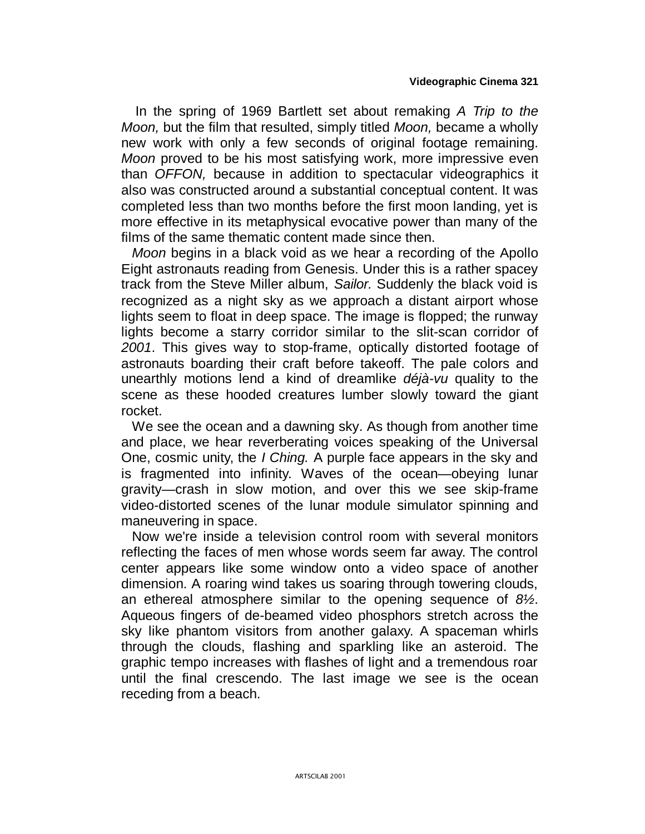In the spring of 1969 Bartlett set about remaking *A Trip to the Moon,* but the film that resulted, simply titled *Moon,* became a wholly new work with only a few seconds of original footage remaining. *Moon* proved to be his most satisfying work, more impressive even than *OFFON,* because in addition to spectacular videographics it also was constructed around a substantial conceptual content. It was completed less than two months before the first moon landing, yet is more effective in its metaphysical evocative power than many of the films of the same thematic content made since then.

*Moon* begins in a black void as we hear a recording of the Apollo Eight astronauts reading from Genesis. Under this is a rather spacey track from the Steve Miller album, *Sailor.* Suddenly the black void is recognized as a night sky as we approach a distant airport whose lights seem to float in deep space. The image is flopped; the runway lights become a starry corridor similar to the slit-scan corridor of *2001*. This gives way to stop-frame, optically distorted footage of astronauts boarding their craft before takeoff. The pale colors and unearthly motions lend a kind of dreamlike *déjà-vu* quality to the scene as these hooded creatures lumber slowly toward the giant rocket.

We see the ocean and a dawning sky. As though from another time and place, we hear reverberating voices speaking of the Universal One, cosmic unity, the *I Ching.* A purple face appears in the sky and is fragmented into infinity. Waves of the ocean— obeying lunar gravity— crash in slow motion, and over this we see skip-frame video-distorted scenes of the lunar module simulator spinning and maneuvering in space.

Now we're inside a television control room with several monitors reflecting the faces of men whose words seem far away. The control center appears like some window onto a video space of another dimension. A roaring wind takes us soaring through towering clouds, an ethereal atmosphere similar to the opening sequence of *8½*. Aqueous fingers of de-beamed video phosphors stretch across the sky like phantom visitors from another galaxy. A spaceman whirls through the clouds, flashing and sparkling like an asteroid. The graphic tempo increases with flashes of light and a tremendous roar until the final crescendo. The last image we see is the ocean receding from a beach.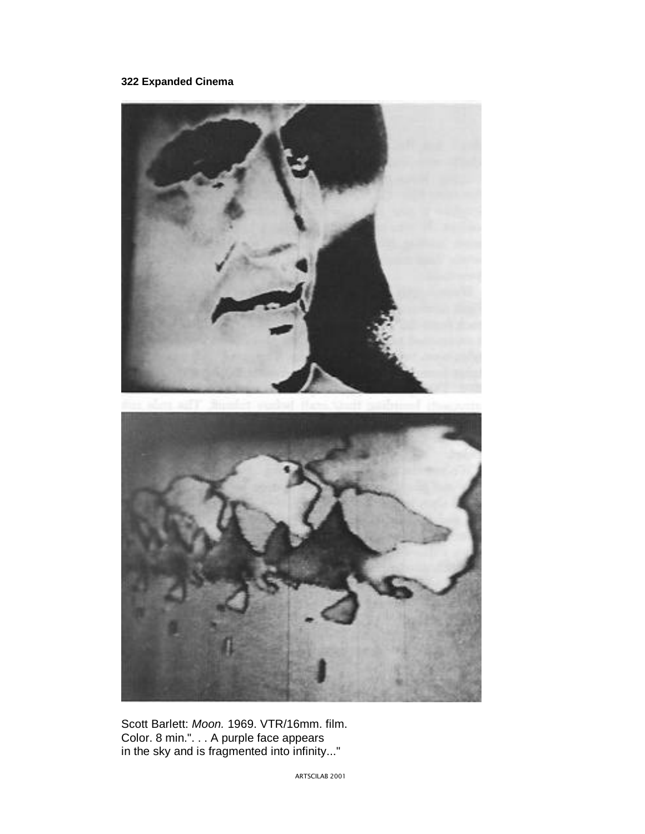

Scott Barlett: *Moon.* 1969. VTR/16mm. film. Color. 8 min.". . . A purple face appears in the sky and is fragmented into infinity..."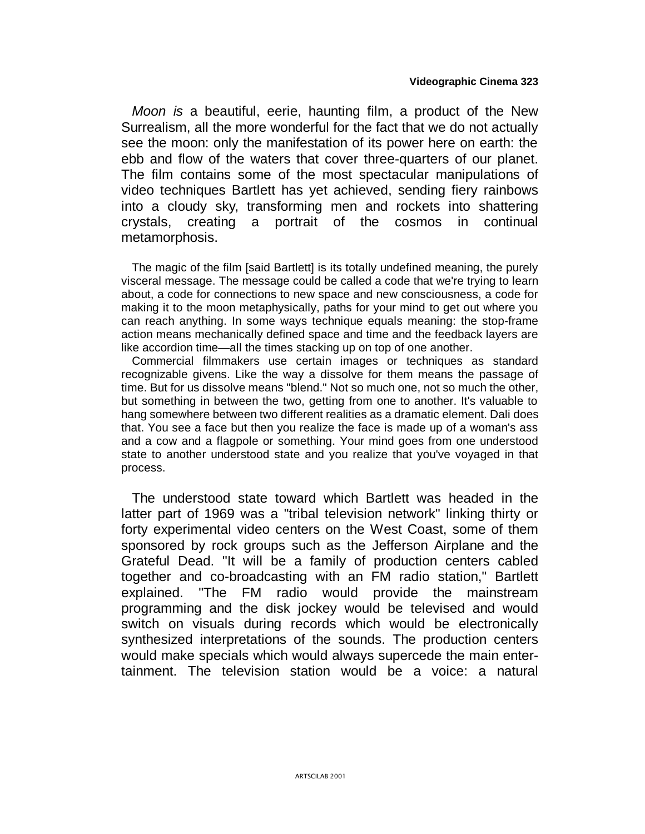*Moon is* a beautiful, eerie, haunting film, a product of the New Surrealism, all the more wonderful for the fact that we do not actually see the moon: only the manifestation of its power here on earth: the ebb and flow of the waters that cover three-quarters of our planet. The film contains some of the most spectacular manipulations of video techniques Bartlett has yet achieved, sending fiery rainbows into a cloudy sky, transforming men and rockets into shattering crystals, creating a portrait of the cosmos in continual metamorphosis.

The magic of the film [said Bartlett] is its totally undefined meaning, the purely visceral message. The message could be called a code that we're trying to learn about, a code for connections to new space and new consciousness, a code for making it to the moon metaphysically, paths for your mind to get out where you can reach anything. In some ways technique equals meaning: the stop-frame action means mechanically defined space and time and the feedback layers are like accordion time— all the times stacking up on top of one another.

Commercial filmmakers use certain images or techniques as standard recognizable givens. Like the way a dissolve for them means the passage of time. But for us dissolve means "blend." Not so much one, not so much the other, but something in between the two, getting from one to another. It's valuable to hang somewhere between two different realities as a dramatic element. Dali does that. You see a face but then you realize the face is made up of a woman's ass and a cow and a flagpole or something. Your mind goes from one understood state to another understood state and you realize that you've voyaged in that process.

The understood state toward which Bartlett was headed in the latter part of 1969 was a "tribal television network" linking thirty or forty experimental video centers on the West Coast, some of them sponsored by rock groups such as the Jefferson Airplane and the Grateful Dead. "It will be a family of production centers cabled together and co-broadcasting with an FM radio station," Bartlett explained. "The FM radio would provide the mainstream programming and the disk jockey would be televised and would switch on visuals during records which would be electronically synthesized interpretations of the sounds. The production centers would make specials which would always supercede the main entertainment. The television station would be a voice: a natural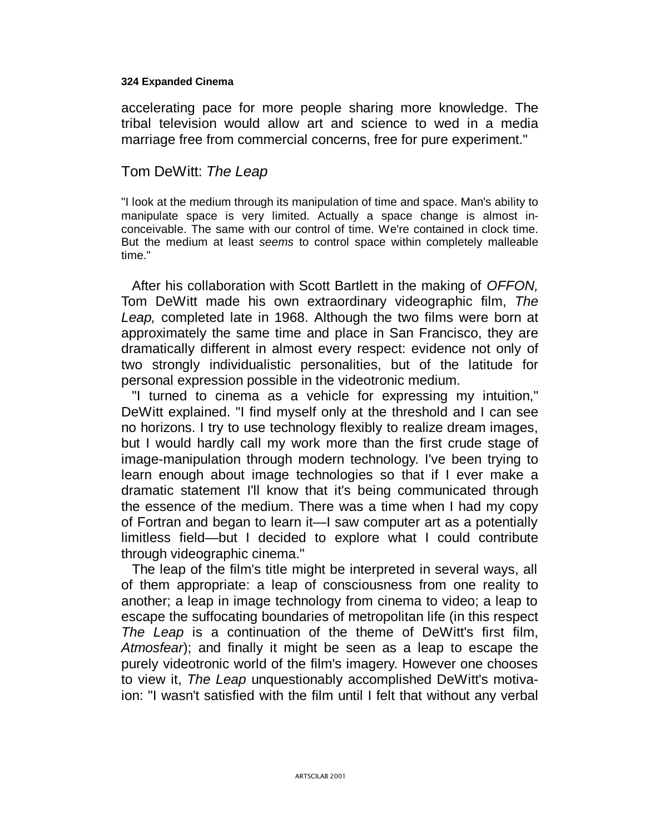accelerating pace for more people sharing more knowledge. The tribal television would allow art and science to wed in a media marriage free from commercial concerns, free for pure experiment."

# Tom DeWitt: *The Leap*

"I look at the medium through its manipulation of time and space. Man's ability to manipulate space is very limited. Actually a space change is almost inconceivable. The same with our control of time. We're contained in clock time. But the medium at least *seems* to control space within completely malleable time."

After his collaboration with Scott Bartlett in the making of *OFFON,*  Tom DeWitt made his own extraordinary videographic film, *The Leap,* completed late in 1968. Although the two films were born at approximately the same time and place in San Francisco, they are dramatically different in almost every respect: evidence not only of two strongly individualistic personalities, but of the latitude for personal expression possible in the videotronic medium.

"I turned to cinema as a vehicle for expressing my intuition," DeWitt explained. "I find myself only at the threshold and I can see no horizons. I try to use technology flexibly to realize dream images, but I would hardly call my work more than the first crude stage of image-manipulation through modern technology. I've been trying to learn enough about image technologies so that if I ever make a dramatic statement I'll know that it's being communicated through the essence of the medium. There was a time when I had my copy of Fortran and began to learn it—I saw computer art as a potentially limitless field— but I decided to explore what I could contribute through videographic cinema."

The leap of the film's title might be interpreted in several ways, all of them appropriate: a leap of consciousness from one reality to another; a leap in image technology from cinema to video; a leap to escape the suffocating boundaries of metropolitan life (in this respect *The Leap* is a continuation of the theme of DeWitt's first film, *Atmosfear*); and finally it might be seen as a leap to escape the purely videotronic world of the film's imagery. However one chooses to view it, *The Leap* unquestionably accomplished DeWitt's motivaion: "I wasn't satisfied with the film until I felt that without any verbal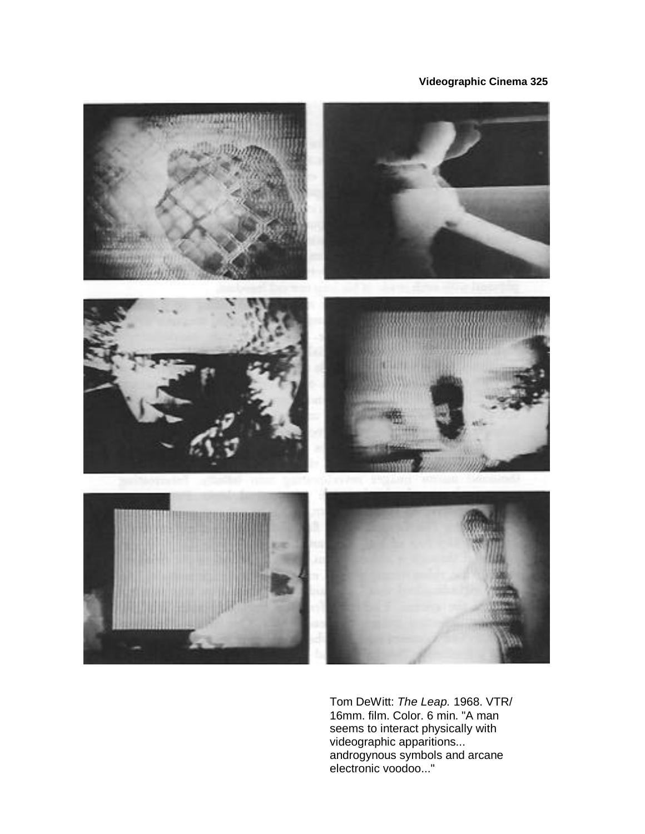## **Videographic Cinema 325**



Tom DeWitt: *The Leap.* 1968. VTR/ 16mm. film. Color. 6 min. "A man seems to interact physically with videographic apparitions... androgynous symbols and arcane electronic voodoo..."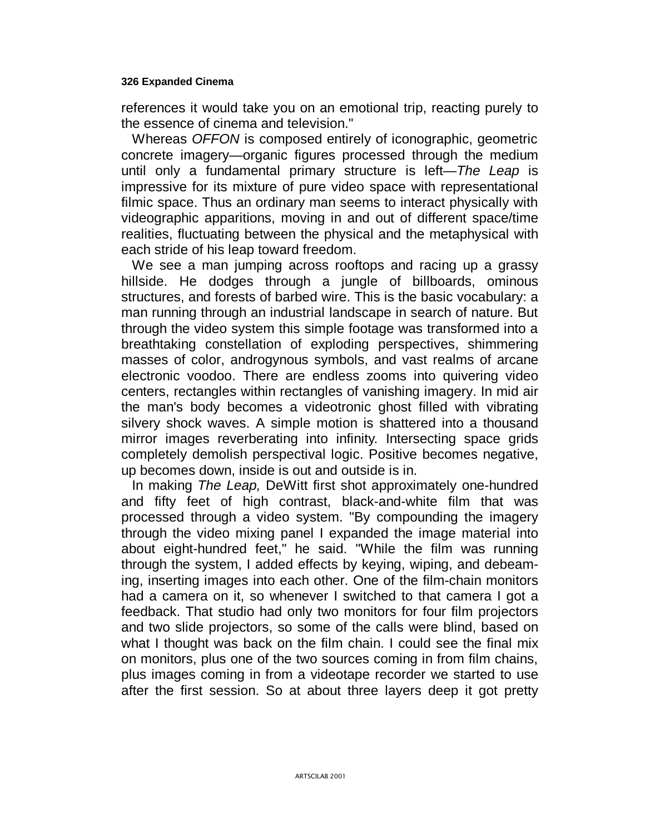references it would take you on an emotional trip, reacting purely to the essence of cinema and television."

Whereas *OFFON* is composed entirely of iconographic, geometric concrete imagery— organic figures processed through the medium until only a fundamental primary structure is left— *The Leap* is impressive for its mixture of pure video space with representational filmic space. Thus an ordinary man seems to interact physically with videographic apparitions, moving in and out of different space/time realities, fluctuating between the physical and the metaphysical with each stride of his leap toward freedom.

We see a man jumping across rooftops and racing up a grassy hillside. He dodges through a jungle of billboards, ominous structures, and forests of barbed wire. This is the basic vocabulary: a man running through an industrial landscape in search of nature. But through the video system this simple footage was transformed into a breathtaking constellation of exploding perspectives, shimmering masses of color, androgynous symbols, and vast realms of arcane electronic voodoo. There are endless zooms into quivering video centers, rectangles within rectangles of vanishing imagery. In mid air the man's body becomes a videotronic ghost filled with vibrating silvery shock waves. A simple motion is shattered into a thousand mirror images reverberating into infinity. Intersecting space grids completely demolish perspectival logic. Positive becomes negative, up becomes down, inside is out and outside is in.

In making *The Leap,* DeWitt first shot approximately one-hundred and fifty feet of high contrast, black-and-white film that was processed through a video system. "By compounding the imagery through the video mixing panel I expanded the image material into about eight-hundred feet," he said. "While the film was running through the system, I added effects by keying, wiping, and debeaming, inserting images into each other. One of the film-chain monitors had a camera on it, so whenever I switched to that camera I got a feedback. That studio had only two monitors for four film projectors and two slide projectors, so some of the calls were blind, based on what I thought was back on the film chain. I could see the final mix on monitors, plus one of the two sources coming in from film chains, plus images coming in from a videotape recorder we started to use after the first session. So at about three layers deep it got pretty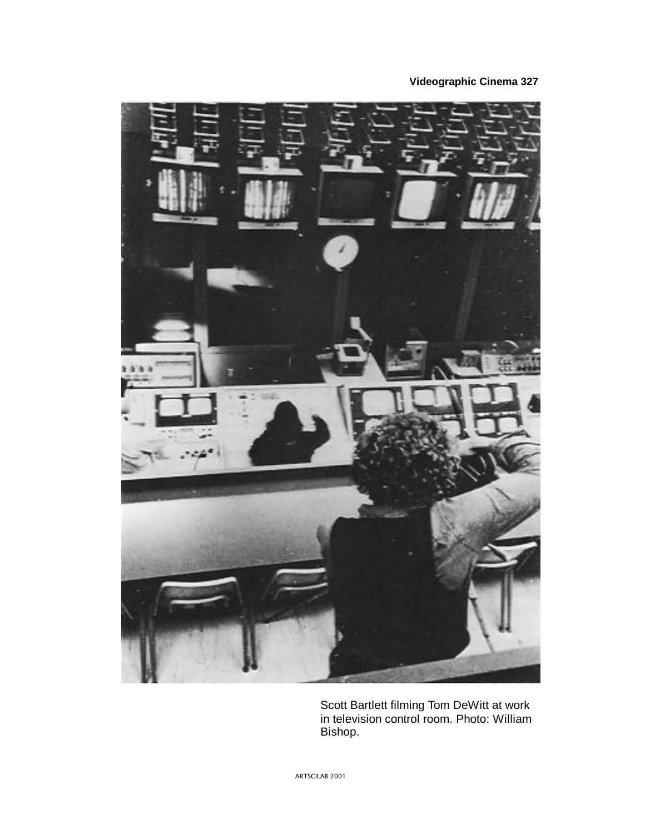**Videographic Cinema 327**



Scott Bartlett filming Tom DeWitt at work in television control room. Photo: William Bishop.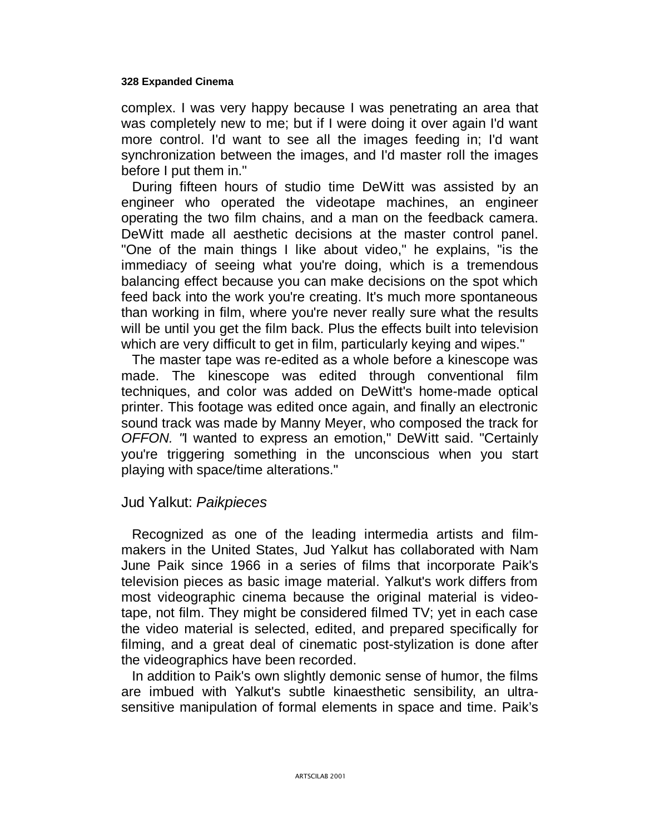complex. I was very happy because I was penetrating an area that was completely new to me; but if I were doing it over again I'd want more control. I'd want to see all the images feeding in; I'd want synchronization between the images, and I'd master roll the images before I put them in."

During fifteen hours of studio time DeWitt was assisted by an engineer who operated the videotape machines, an engineer operating the two film chains, and a man on the feedback camera. DeWitt made all aesthetic decisions at the master control panel. "One of the main things I like about video," he explains, "is the immediacy of seeing what you're doing, which is a tremendous balancing effect because you can make decisions on the spot which feed back into the work you're creating. It's much more spontaneous than working in film, where you're never really sure what the results will be until you get the film back. Plus the effects built into television which are very difficult to get in film, particularly keying and wipes."

The master tape was re-edited as a whole before a kinescope was made. The kinescope was edited through conventional film techniques, and color was added on DeWitt's home-made optical printer. This footage was edited once again, and finally an electronic sound track was made by Manny Meyer, who composed the track for *OFFON. "*I wanted to express an emotion," DeWitt said. "Certainly you're triggering something in the unconscious when you start playing with space/time alterations."

## Jud Yalkut: *Paikpieces*

Recognized as one of the leading intermedia artists and filmmakers in the United States, Jud Yalkut has collaborated with Nam June Paik since 1966 in a series of films that incorporate Paik's television pieces as basic image material. Yalkut's work differs from most videographic cinema because the original material is videotape, not film. They might be considered filmed TV; yet in each case the video material is selected, edited, and prepared specifically for filming, and a great deal of cinematic post-stylization is done after the videographics have been recorded.

In addition to Paik's own slightly demonic sense of humor, the films are imbued with Yalkut's subtle kinaesthetic sensibility, an ultrasensitive manipulation of formal elements in space and time. Paik's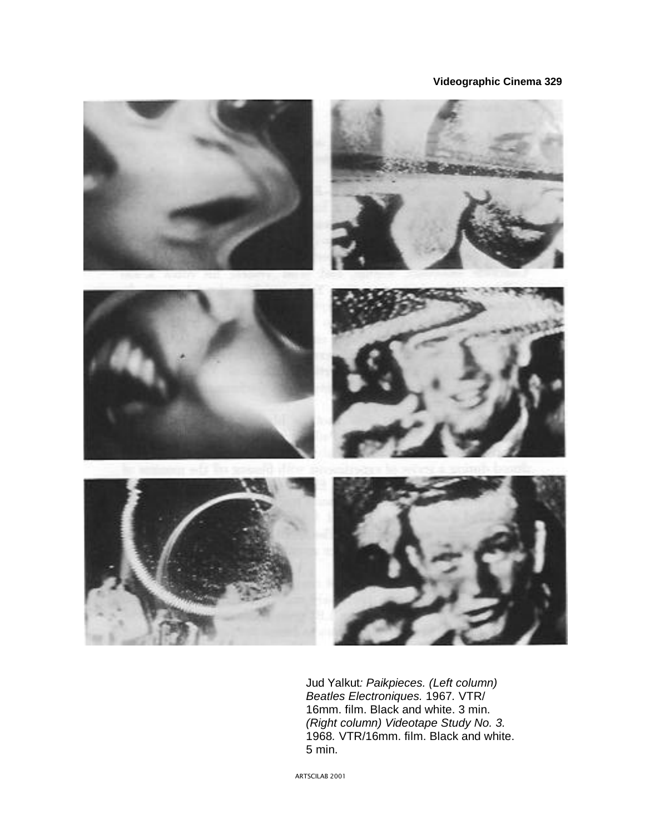#### **Videographic Cinema 329**



Jud Yalkut*: Paikpieces. (Left column) Beatles Electroniques.* 1967*.* VTR/ 16mm. film. Black and white. 3 min. *(Right column) Videotape Study No. 3.* 1968*.* VTR/16mm. film. Black and white. 5 min.

ARTSCILAB 2001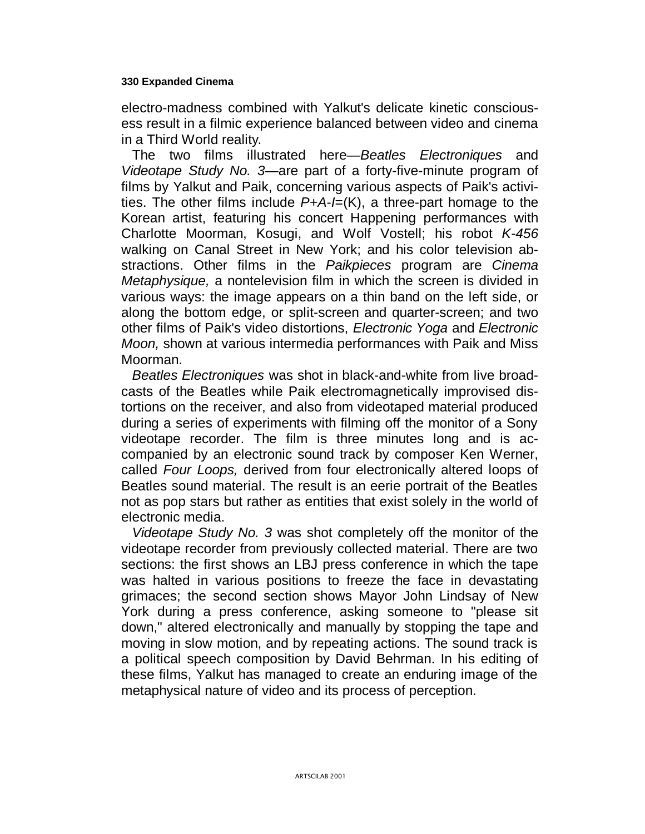electro-madness combined with Yalkut's delicate kinetic consciousess result in a filmic experience balanced between video and cinema in a Third World reality.

The two films illustrated here— *Beatles Electroniques* and *Videotape Study No. 3—* are part of a forty-five-minute program of films by Yalkut and Paik, concerning various aspects of Paik's activities. The other films include *P+A*-*I*=(K), a three-part homage to the Korean artist, featuring his concert Happening performances with Charlotte Moorman, Kosugi, and Wolf Vostell; his robot *K-456*  walking on Canal Street in New York; and his color television abstractions. Other films in the *Paikpieces* program are *Cinema Metaphysique,* a nontelevision film in which the screen is divided in various ways: the image appears on a thin band on the left side, or along the bottom edge, or split-screen and quarter-screen; and two other films of Paik's video distortions, *Electronic Yoga* and *Electronic Moon,* shown at various intermedia performances with Paik and Miss Moorman.

*Beatles Electroniques* was shot in black-and-white from live broadcasts of the Beatles while Paik electromagnetically improvised distortions on the receiver, and also from videotaped material produced during a series of experiments with filming off the monitor of a Sony videotape recorder. The film is three minutes long and is accompanied by an electronic sound track by composer Ken Werner, called *Four Loops,* derived from four electronically altered loops of Beatles sound material. The result is an eerie portrait of the Beatles not as pop stars but rather as entities that exist solely in the world of electronic media.

*Videotape Study No. 3* was shot completely off the monitor of the videotape recorder from previously collected material. There are two sections: the first shows an LBJ press conference in which the tape was halted in various positions to freeze the face in devastating grimaces; the second section shows Mayor John Lindsay of New York during a press conference, asking someone to "please sit down," altered electronically and manually by stopping the tape and moving in slow motion, and by repeating actions. The sound track is a political speech composition by David Behrman. In his editing of these films, Yalkut has managed to create an enduring image of the metaphysical nature of video and its process of perception.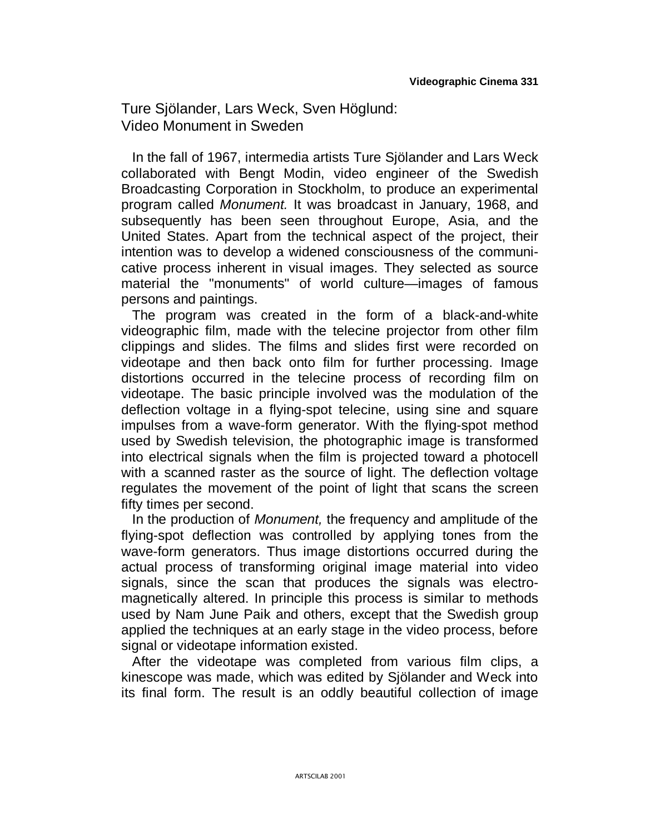Ture Sjölander, Lars Weck, Sven Höglund: Video Monument in Sweden

In the fall of 1967, intermedia artists Ture Sjölander and Lars Weck collaborated with Bengt Modin, video engineer of the Swedish Broadcasting Corporation in Stockholm, to produce an experimental program called *Monument.* It was broadcast in January, 1968, and subsequently has been seen throughout Europe, Asia, and the United States. Apart from the technical aspect of the project, their intention was to develop a widened consciousness of the communicative process inherent in visual images. They selected as source material the "monuments" of world culture—images of famous persons and paintings.

The program was created in the form of a black-and-white videographic film, made with the telecine projector from other film clippings and slides. The films and slides first were recorded on videotape and then back onto film for further processing. Image distortions occurred in the telecine process of recording film on videotape. The basic principle involved was the modulation of the deflection voltage in a flying-spot telecine, using sine and square impulses from a wave-form generator. With the flying-spot method used by Swedish television, the photographic image is transformed into electrical signals when the film is projected toward a photocell with a scanned raster as the source of light. The deflection voltage regulates the movement of the point of light that scans the screen fifty times per second.

In the production of *Monument,* the frequency and amplitude of the flying-spot deflection was controlled by applying tones from the wave-form generators. Thus image distortions occurred during the actual process of transforming original image material into video signals, since the scan that produces the signals was electromagnetically altered. In principle this process is similar to methods used by Nam June Paik and others, except that the Swedish group applied the techniques at an early stage in the video process, before signal or videotape information existed.

After the videotape was completed from various film clips, a kinescope was made, which was edited by Sjölander and Weck into its final form. The result is an oddly beautiful collection of image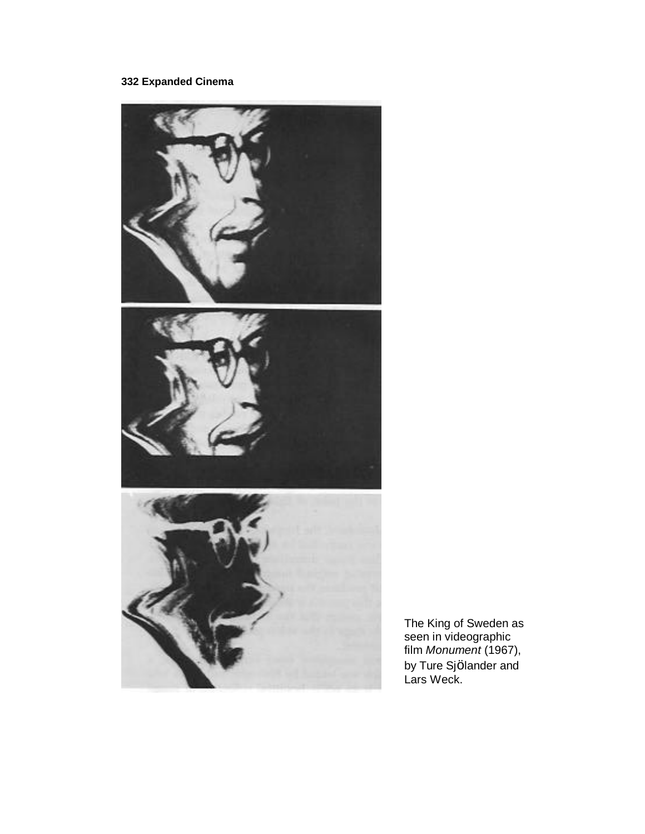

The King of Sweden as seen in videographic film *Monument* (1967), by Ture Sjölander and Lars Weck.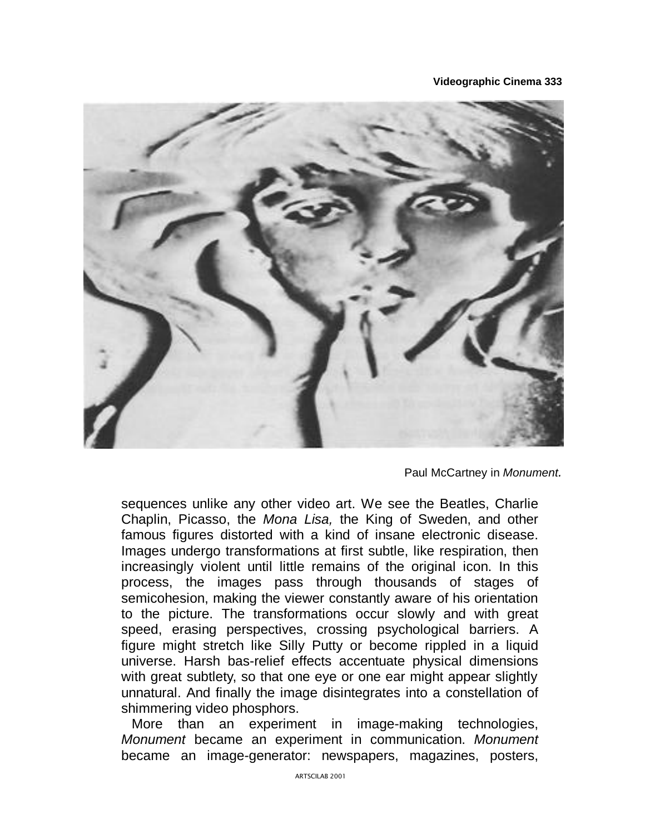#### **Videographic Cinema 333**



Paul McCartney in *Monument.*

sequences unlike any other video art. We see the Beatles, Charlie Chaplin, Picasso, the *Mona Lisa,* the King of Sweden, and other famous figures distorted with a kind of insane electronic disease. Images undergo transformations at first subtle, like respiration, then increasingly violent until little remains of the original icon. In this process, the images pass through thousands of stages of semicohesion, making the viewer constantly aware of his orientation to the picture. The transformations occur slowly and with great speed, erasing perspectives, crossing psychological barriers. A figure might stretch like Silly Putty or become rippled in a liquid universe. Harsh bas-relief effects accentuate physical dimensions with great subtlety, so that one eye or one ear might appear slightly unnatural. And finally the image disintegrates into a constellation of shimmering video phosphors.

More than an experiment in image-making technologies, *Monument* became an experiment in communication. *Monument*  became an image-generator: newspapers, magazines, posters,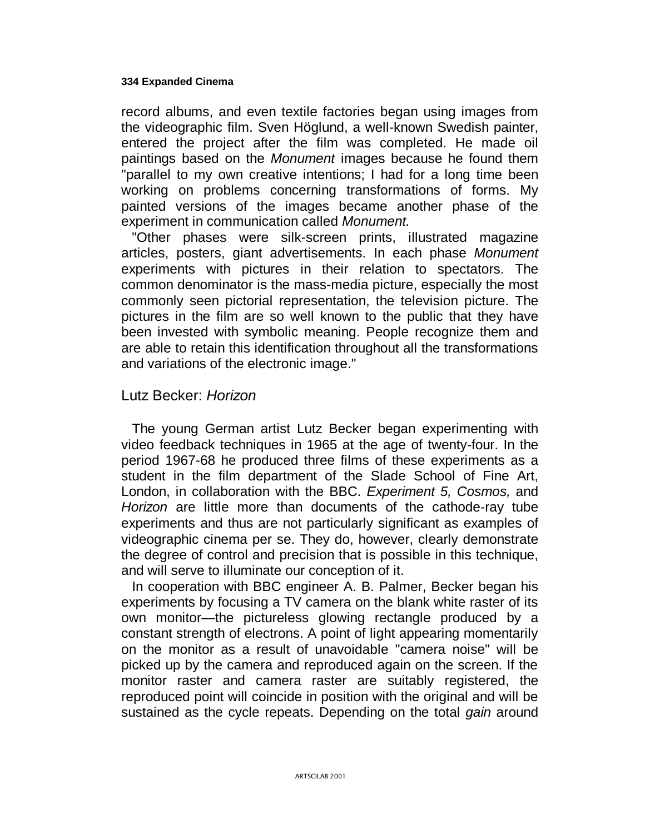record albums, and even textile factories began using images from the videographic film. Sven Höglund, a well-known Swedish painter, entered the project after the film was completed. He made oil paintings based on the *Monument* images because he found them "parallel to my own creative intentions; I had for a long time been working on problems concerning transformations of forms. My painted versions of the images became another phase of the experiment in communication called *Monument.*

"Other phases were silk-screen prints, illustrated magazine articles, posters, giant advertisements. In each phase *Monument*  experiments with pictures in their relation to spectators. The common denominator is the mass-media picture, especially the most commonly seen pictorial representation, the television picture. The pictures in the film are so well known to the public that they have been invested with symbolic meaning. People recognize them and are able to retain this identification throughout all the transformations and variations of the electronic image."

# Lutz Becker: *Horizon*

The young German artist Lutz Becker began experimenting with video feedback techniques in 1965 at the age of twenty-four. In the period 1967-68 he produced three films of these experiments as a student in the film department of the Slade School of Fine Art, London, in collaboration with the BBC. *Experiment 5, Cosmos,* and *Horizon* are little more than documents of the cathode-ray tube experiments and thus are not particularly significant as examples of videographic cinema per se. They do, however, clearly demonstrate the degree of control and precision that is possible in this technique, and will serve to illuminate our conception of it.

In cooperation with BBC engineer A. B. Palmer, Becker began his experiments by focusing a TV camera on the blank white raster of its own monitor— the pictureless glowing rectangle produced by a constant strength of electrons. A point of light appearing momentarily on the monitor as a result of unavoidable "camera noise" will be picked up by the camera and reproduced again on the screen. If the monitor raster and camera raster are suitably registered, the reproduced point will coincide in position with the original and will be sustained as the cycle repeats. Depending on the total *gain* around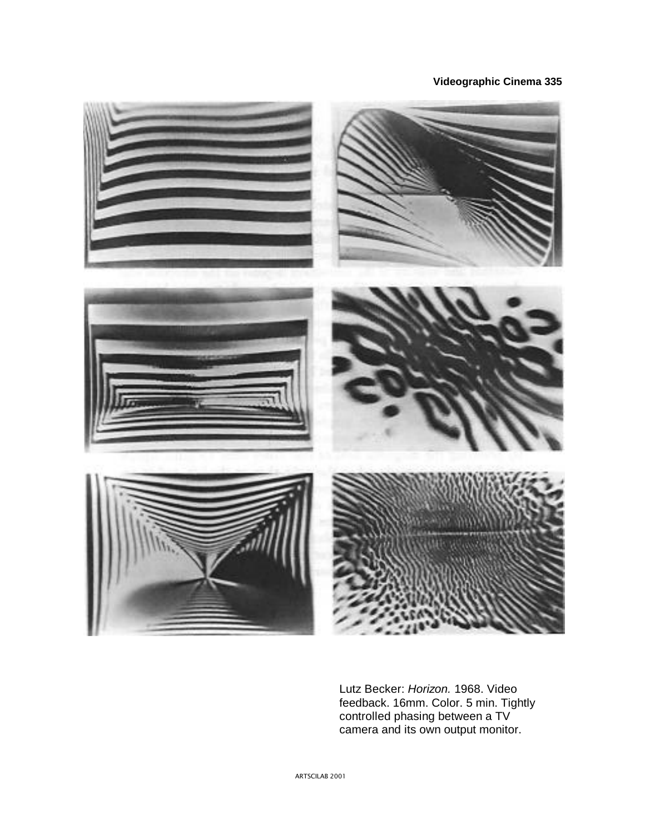## **Videographic Cinema 335**



Lutz Becker: *Horizon.* 1968. Video feedback. 16mm. Color. 5 min. Tightly controlled phasing between a TV camera and its own output monitor.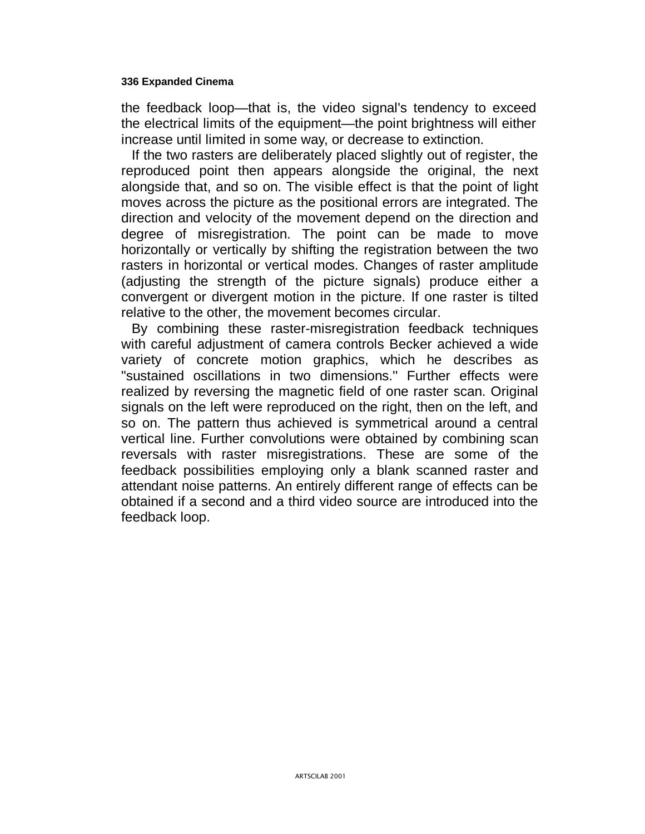the feedback loop— that is, the video signal's tendency to exceed the electrical limits of the equipment— the point brightness will either increase until limited in some way, or decrease to extinction.

If the two rasters are deliberately placed slightly out of register, the reproduced point then appears alongside the original, the next alongside that, and so on. The visible effect is that the point of light moves across the picture as the positional errors are integrated. The direction and velocity of the movement depend on the direction and degree of misregistration. The point can be made to move horizontally or vertically by shifting the registration between the two rasters in horizontal or vertical modes. Changes of raster amplitude (adjusting the strength of the picture signals) produce either a convergent or divergent motion in the picture. If one raster is tilted relative to the other, the movement becomes circular.

By combining these raster-misregistration feedback techniques with careful adjustment of camera controls Becker achieved a wide variety of concrete motion graphics, which he describes as "sustained oscillations in two dimensions.'' Further effects were realized by reversing the magnetic field of one raster scan. Original signals on the left were reproduced on the right, then on the left, and so on. The pattern thus achieved is symmetrical around a central vertical line. Further convolutions were obtained by combining scan reversals with raster misregistrations. These are some of the feedback possibilities employing only a blank scanned raster and attendant noise patterns. An entirely different range of effects can be obtained if a second and a third video source are introduced into the feedback loop.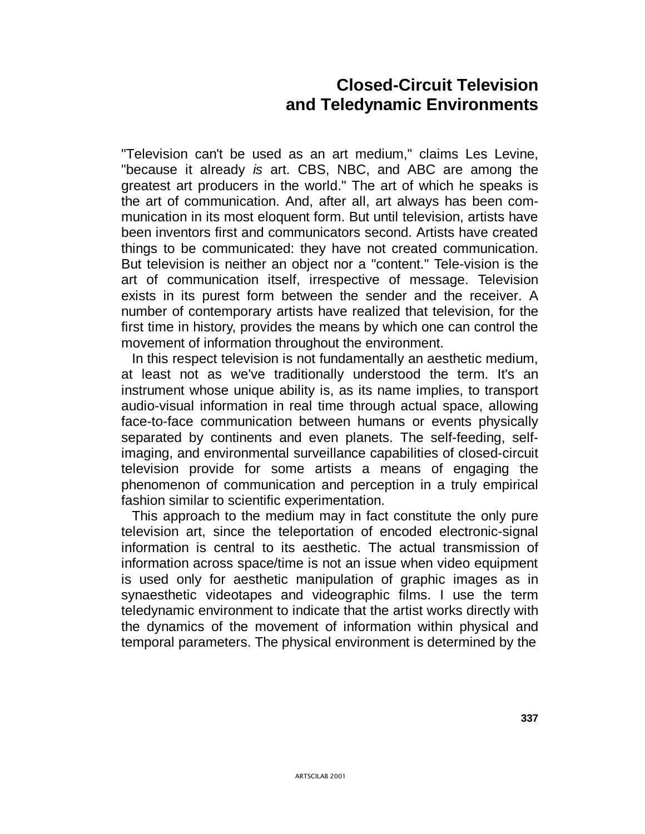# **Closed-Circuit Television and Teledynamic Environments**

"Television can't be used as an art medium," claims Les Levine, "because it already *is* art. CBS, NBC, and ABC are among the greatest art producers in the world." The art of which he speaks is the art of communication. And, after all, art always has been communication in its most eloquent form. But until television, artists have been inventors first and communicators second. Artists have created things to be communicated: they have not created communication. But television is neither an object nor a "content." Tele-vision is the art of communication itself, irrespective of message. Television exists in its purest form between the sender and the receiver. A number of contemporary artists have realized that television, for the first time in history, provides the means by which one can control the movement of information throughout the environment.

In this respect television is not fundamentally an aesthetic medium, at least not as we've traditionally understood the term. It's an instrument whose unique ability is, as its name implies, to transport audio-visual information in real time through actual space, allowing face-to-face communication between humans or events physically separated by continents and even planets. The self-feeding, selfimaging, and environmental surveillance capabilities of closed-circuit television provide for some artists a means of engaging the phenomenon of communication and perception in a truly empirical fashion similar to scientific experimentation.

This approach to the medium may in fact constitute the only pure television art, since the teleportation of encoded electronic-signal information is central to its aesthetic. The actual transmission of information across space/time is not an issue when video equipment is used only for aesthetic manipulation of graphic images as in synaesthetic videotapes and videographic films. I use the term teledynamic environment to indicate that the artist works directly with the dynamics of the movement of information within physical and temporal parameters. The physical environment is determined by the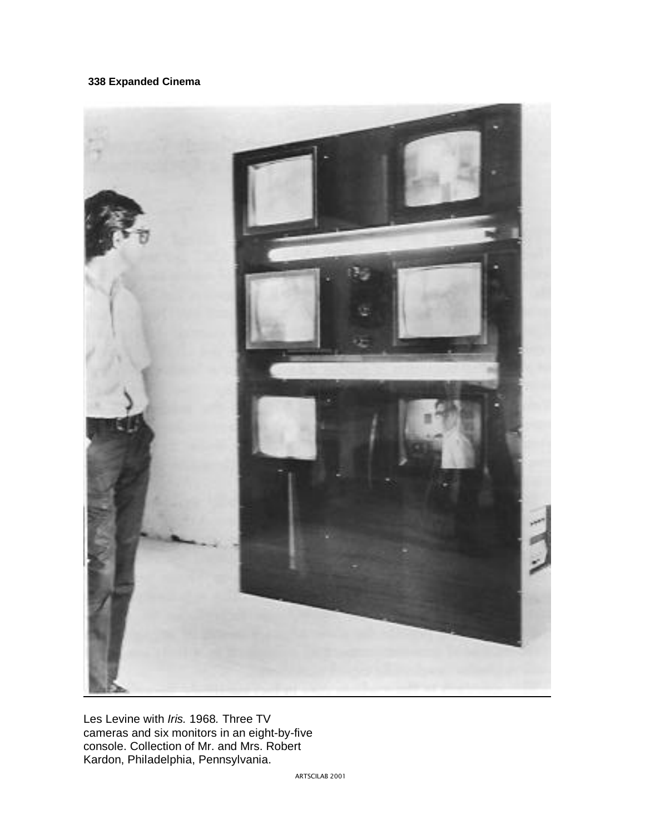

Les Levine with *Iris.* 1968*.* Three TV cameras and six monitors in an eight-by-five console. Collection of Mr. and Mrs. Robert Kardon, Philadelphia, Pennsylvania.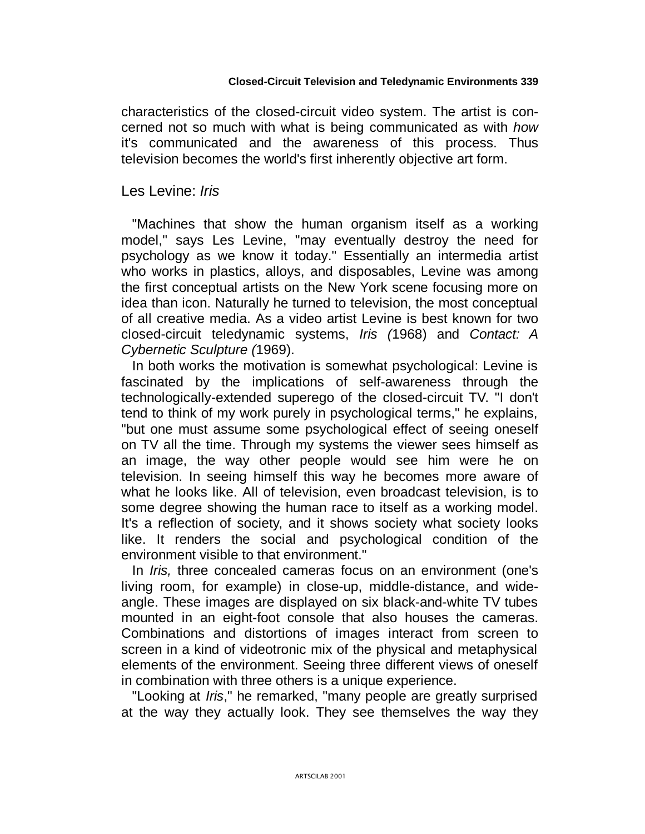## **Closed-Circuit Television and Teledynamic Environments 339**

characteristics of the closed-circuit video system. The artist is concerned not so much with what is being communicated as with *how*  it's communicated and the awareness of this process. Thus television becomes the world's first inherently objective art form.

# Les Levine: *Iris*

"Machines that show the human organism itself as a working model," says Les Levine, "may eventually destroy the need for psychology as we know it today." Essentially an intermedia artist who works in plastics, alloys, and disposables, Levine was among the first conceptual artists on the New York scene focusing more on idea than icon. Naturally he turned to television, the most conceptual of all creative media. As a video artist Levine is best known for two closed-circuit teledynamic systems, *Iris (*1968) and *Contact: A Cybernetic Sculpture (*1969).

In both works the motivation is somewhat psychological: Levine is fascinated by the implications of self-awareness through the technologically-extended superego of the closed-circuit TV. "I don't tend to think of my work purely in psychological terms," he explains, "but one must assume some psychological effect of seeing oneself on TV all the time. Through my systems the viewer sees himself as an image, the way other people would see him were he on television. In seeing himself this way he becomes more aware of what he looks like. All of television, even broadcast television, is to some degree showing the human race to itself as a working model. It's a reflection of society, and it shows society what society looks like. It renders the social and psychological condition of the environment visible to that environment."

In *Iris,* three concealed cameras focus on an environment (one's living room, for example) in close-up, middle-distance, and wideangle. These images are displayed on six black-and-white TV tubes mounted in an eight-foot console that also houses the cameras. Combinations and distortions of images interact from screen to screen in a kind of videotronic mix of the physical and metaphysical elements of the environment. Seeing three different views of oneself in combination with three others is a unique experience.

"Looking at *Iris*," he remarked, "many people are greatly surprised at the way they actually look. They see themselves the way they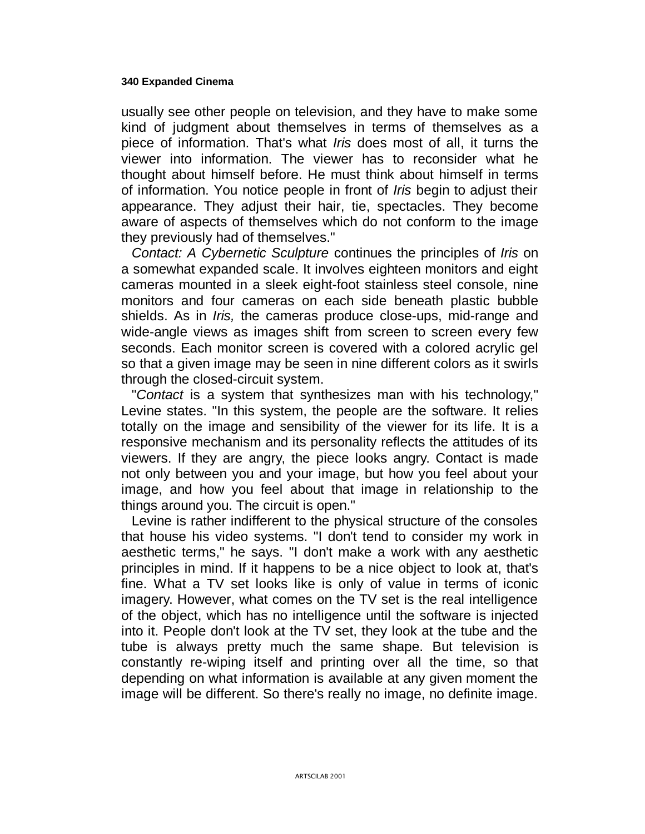usually see other people on television, and they have to make some kind of judgment about themselves in terms of themselves as a piece of information. That's what *Iris* does most of all, it turns the viewer into information. The viewer has to reconsider what he thought about himself before. He must think about himself in terms of information. You notice people in front of *Iris* begin to adjust their appearance. They adjust their hair, tie, spectacles. They become aware of aspects of themselves which do not conform to the image they previously had of themselves."

*Contact: A Cybernetic Sculpture* continues the principles of *Iris* on a somewhat expanded scale. It involves eighteen monitors and eight cameras mounted in a sleek eight-foot stainless steel console, nine monitors and four cameras on each side beneath plastic bubble shields. As in *Iris,* the cameras produce close-ups, mid-range and wide-angle views as images shift from screen to screen every few seconds. Each monitor screen is covered with a colored acrylic gel so that a given image may be seen in nine different colors as it swirls through the closed-circuit system.

"*Contact* is a system that synthesizes man with his technology," Levine states. "In this system, the people are the software. It relies totally on the image and sensibility of the viewer for its life. It is a responsive mechanism and its personality reflects the attitudes of its viewers. If they are angry, the piece looks angry. Contact is made not only between you and your image, but how you feel about your image, and how you feel about that image in relationship to the things around you. The circuit is open."

Levine is rather indifferent to the physical structure of the consoles that house his video systems. "I don't tend to consider my work in aesthetic terms," he says. "I don't make a work with any aesthetic principles in mind. If it happens to be a nice object to look at, that's fine. What a TV set looks like is only of value in terms of iconic imagery. However, what comes on the TV set is the real intelligence of the object, which has no intelligence until the software is injected into it. People don't look at the TV set, they look at the tube and the tube is always pretty much the same shape. But television is constantly re-wiping itself and printing over all the time, so that depending on what information is available at any given moment the image will be different. So there's really no image, no definite image.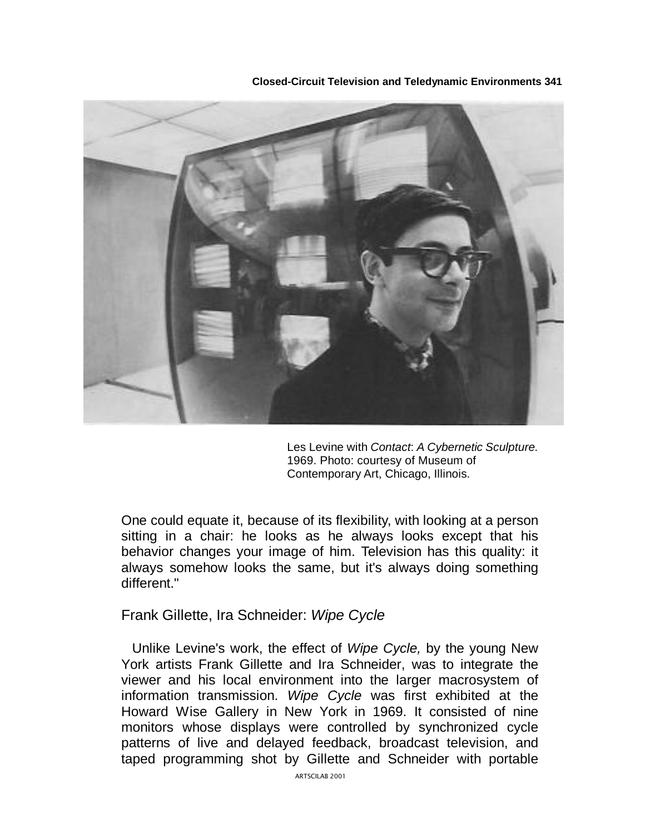**Closed-Circuit Television and Teledynamic Environments 341**



Les Levine with *Contact*: *A Cybernetic Sculpture.* 1969. Photo: courtesy of Museum of Contemporary Art, Chicago, Illinois.

One could equate it, because of its flexibility, with looking at a person sitting in a chair: he looks as he always looks except that his behavior changes your image of him. Television has this quality: it always somehow looks the same, but it's always doing something different."

# Frank Gillette, Ira Schneider: *Wipe Cycle*

Unlike Levine's work, the effect of *Wipe Cycle,* by the young New York artists Frank Gillette and Ira Schneider, was to integrate the viewer and his local environment into the larger macrosystem of information transmission. *Wipe Cycle* was first exhibited at the Howard Wise Gallery in New York in 1969. It consisted of nine monitors whose displays were controlled by synchronized cycle patterns of live and delayed feedback, broadcast television, and taped programming shot by Gillette and Schneider with portable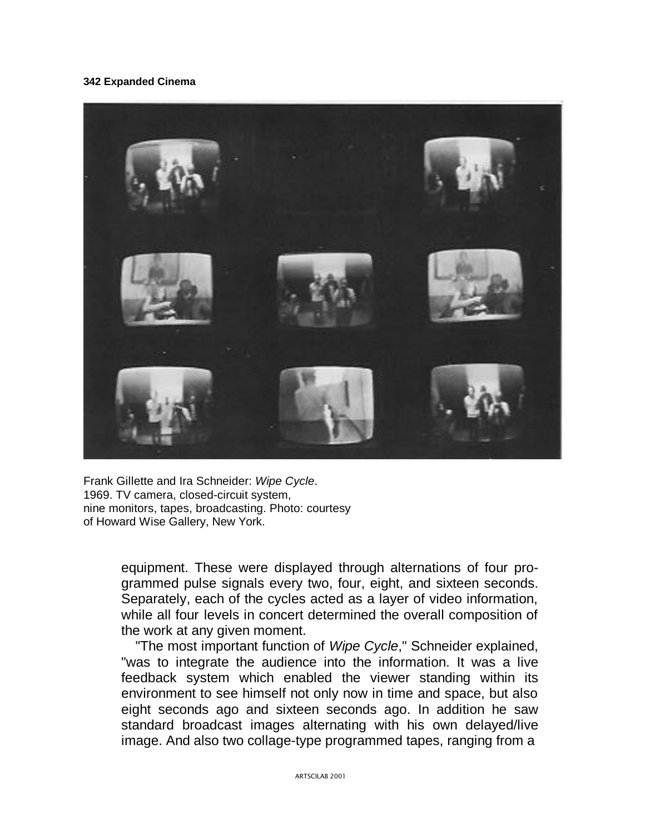

Frank Gillette and Ira Schneider: *Wipe Cycle*. 1969. TV camera, closed-circuit system, nine monitors, tapes, broadcasting. Photo: courtesy of Howard Wise Gallery, New York.

> equipment. These were displayed through alternations of four programmed pulse signals every two, four, eight, and sixteen seconds. Separately, each of the cycles acted as a layer of video information, while all four levels in concert determined the overall composition of the work at any given moment.

> "The most important function of *Wipe Cycle*," Schneider explained, "was to integrate the audience into the information. It was a live feedback system which enabled the viewer standing within its environment to see himself not only now in time and space, but also eight seconds ago and sixteen seconds ago. In addition he saw standard broadcast images alternating with his own delayed/live image. And also two collage-type programmed tapes, ranging from a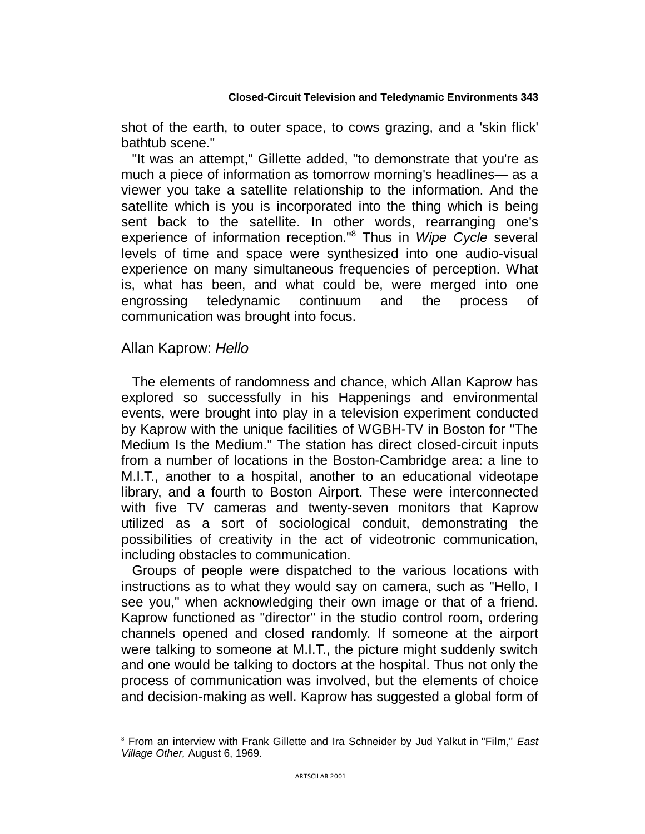shot of the earth, to outer space, to cows grazing, and a 'skin flick' bathtub scene."

"It was an attempt," Gillette added, "to demonstrate that you're as much a piece of information as tomorrow morning's headlines— as a viewer you take a satellite relationship to the information. And the satellite which is you is incorporated into the thing which is being sent back to the satellite. In other words, rearranging one's experience of information reception."<sup>8</sup> Thus in *Wipe Cycle* several levels of time and space were synthesized into one audio-visual experience on many simultaneous frequencies of perception. What is, what has been, and what could be, were merged into one engrossing teledynamic continuum and the process of communication was brought into focus.

# Allan Kaprow: *Hello*

The elements of randomness and chance, which Allan Kaprow has explored so successfully in his Happenings and environmental events, were brought into play in a television experiment conducted by Kaprow with the unique facilities of WGBH-TV in Boston for "The Medium Is the Medium." The station has direct closed-circuit inputs from a number of locations in the Boston-Cambridge area: a line to M.I.T., another to a hospital, another to an educational videotape library, and a fourth to Boston Airport. These were interconnected with five TV cameras and twenty-seven monitors that Kaprow utilized as a sort of sociological conduit, demonstrating the possibilities of creativity in the act of videotronic communication, including obstacles to communication.

Groups of people were dispatched to the various locations with instructions as to what they would say on camera, such as "Hello, I see you," when acknowledging their own image or that of a friend. Kaprow functioned as "director" in the studio control room, ordering channels opened and closed randomly. If someone at the airport were talking to someone at M.I.T., the picture might suddenly switch and one would be talking to doctors at the hospital. Thus not only the process of communication was involved, but the elements of choice and decision-making as well. Kaprow has suggested a global form of

<sup>8</sup> From an interview with Frank Gillette and Ira Schneider by Jud Yalkut in "Film," *East Village Other,* August 6, 1969.